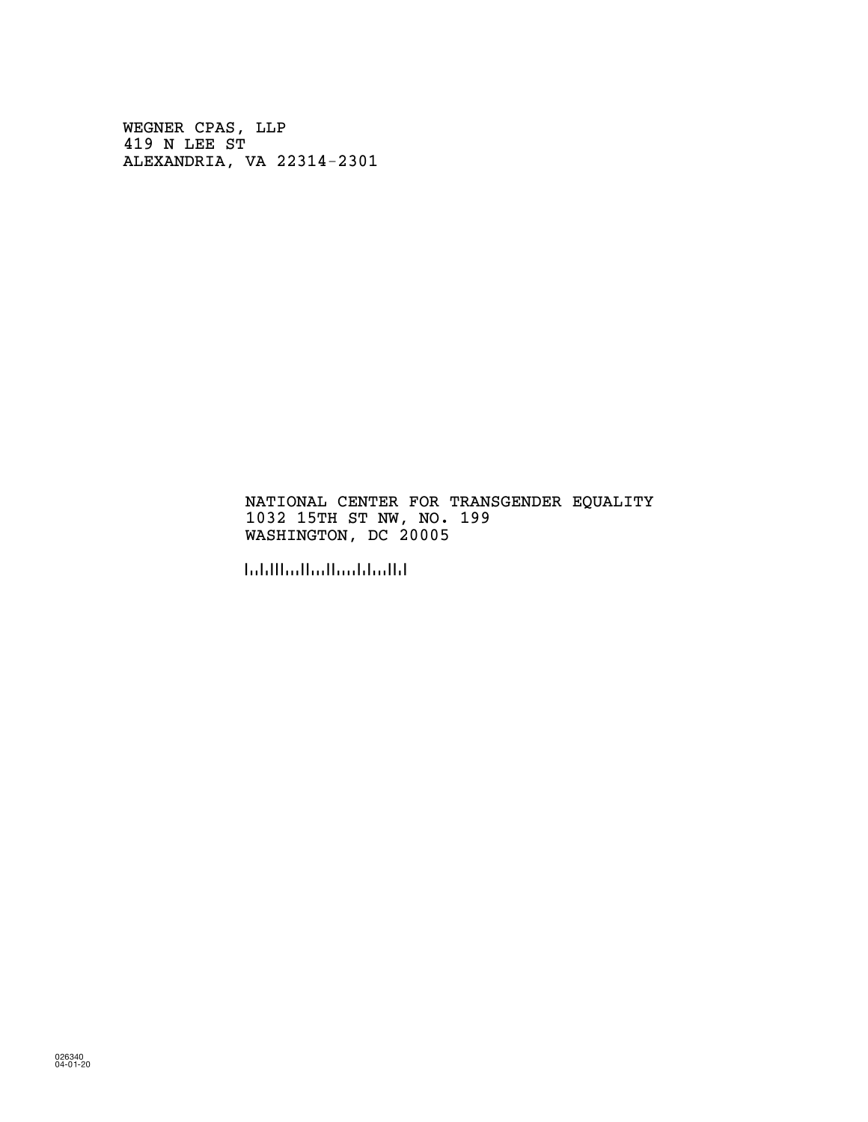WEGNER CPAS, LLP 419 N LEE ST ALEXANDRIA, VA 22314-2301

#### NATIONAL CENTER FOR TRANSGENDER EQUALITY 1032 15TH ST NW, NO. 199 WASHINGTON, DC 20005

!200053!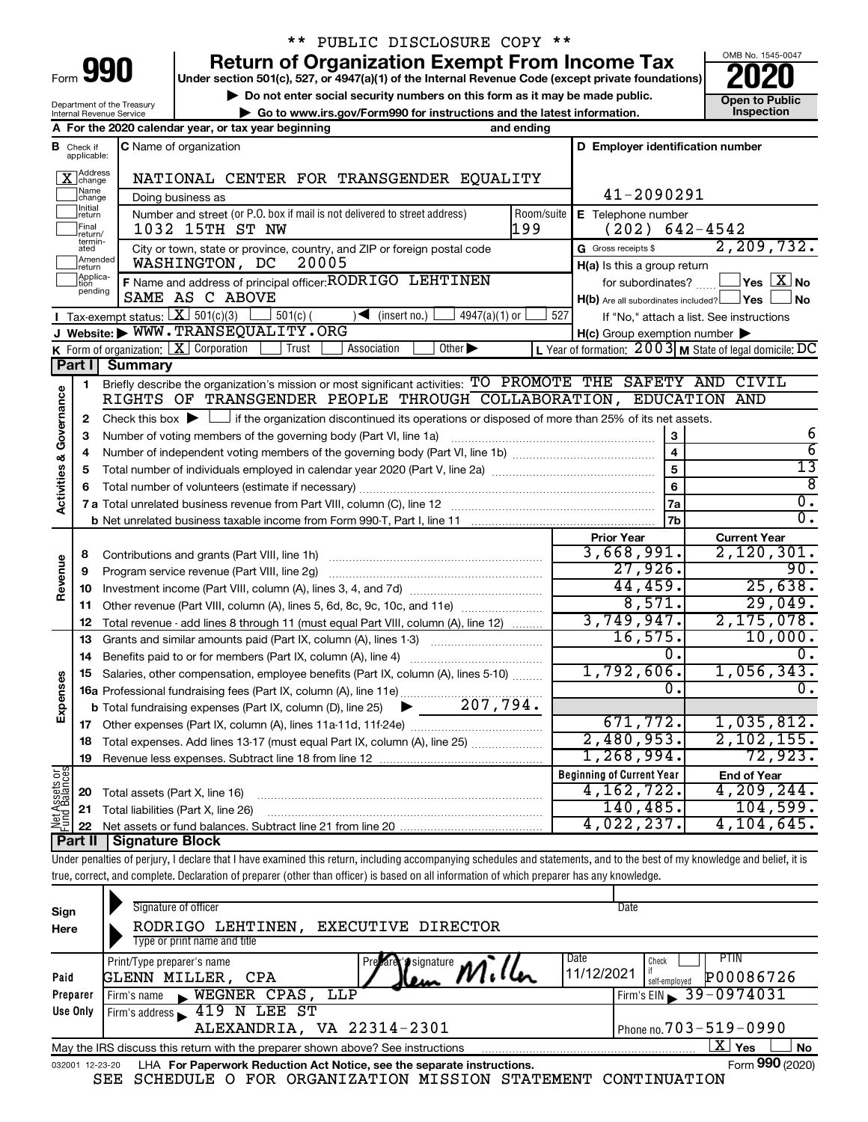| Form |  |  |
|------|--|--|

## \*\* PUBLIC DISCLOSURE COPY \*\*

**Under section 501(c), 527, or 4947(a)(1) of the Internal Revenue Code (except private foundations) Return of Organization Exempt From Income Tax** 



140,485. 104,599. 4,022,237. 4,104,645.

|                         |                                          | Department of the Treasury                                                                                                                          | Do not enter social security numbers on this form as it may be made public.                                 |                    |                                                     | <b>Open to Public</b>                                   |  |  |  |  |
|-------------------------|------------------------------------------|-----------------------------------------------------------------------------------------------------------------------------------------------------|-------------------------------------------------------------------------------------------------------------|--------------------|-----------------------------------------------------|---------------------------------------------------------|--|--|--|--|
|                         |                                          | Internal Revenue Service                                                                                                                            | Go to www.irs.gov/Form990 for instructions and the latest information.                                      |                    |                                                     | Inspection                                              |  |  |  |  |
|                         |                                          |                                                                                                                                                     | A For the 2020 calendar year, or tax year beginning                                                         | and ending         |                                                     |                                                         |  |  |  |  |
|                         | <b>B</b> Check if applicable:            |                                                                                                                                                     | <b>C</b> Name of organization                                                                               |                    | D Employer identification number                    |                                                         |  |  |  |  |
|                         | X Address                                |                                                                                                                                                     |                                                                                                             |                    |                                                     |                                                         |  |  |  |  |
|                         | Name<br> change                          |                                                                                                                                                     | NATIONAL CENTER FOR TRANSGENDER EQUALITY                                                                    |                    | 41-2090291                                          |                                                         |  |  |  |  |
|                         | Initial                                  |                                                                                                                                                     | Doing business as                                                                                           |                    |                                                     |                                                         |  |  |  |  |
|                         | return                                   |                                                                                                                                                     | Number and street (or P.O. box if mail is not delivered to street address)                                  | Room/suite<br>l199 | E Telephone number<br>$(202)$ 642-4542              |                                                         |  |  |  |  |
|                         | <br>Final<br> return/<br>termin-<br>ated |                                                                                                                                                     | 1032 15TH ST NW                                                                                             |                    |                                                     | 2, 209, 732.                                            |  |  |  |  |
|                         | Amended                                  |                                                                                                                                                     | City or town, state or province, country, and ZIP or foreign postal code<br>WASHINGTON, DC<br>20005         |                    | G Gross receipts \$                                 |                                                         |  |  |  |  |
|                         | Ireturn<br>Applica-                      |                                                                                                                                                     | F Name and address of principal officer: RODRIGO LEHTINEN                                                   |                    | H(a) Is this a group return                         | $\sqrt{\ }$ Yes $\sqrt{\ \text{X}}$ No                  |  |  |  |  |
|                         | pending                                  |                                                                                                                                                     | SAME AS C ABOVE                                                                                             |                    | for subordinates? $\frac{1}{2}$                     | ∫No                                                     |  |  |  |  |
|                         |                                          | <b>I</b> Tax-exempt status: $X \overline{X}$ 501(c)(3)                                                                                              | $\rfloor$ 501(c) (<br>$\sqrt{\frac{1}{1}}$ (insert no.)<br>$4947(a)(1)$ or                                  | 527                | H(b) Are all subordinates included? Ves             |                                                         |  |  |  |  |
|                         |                                          |                                                                                                                                                     | J Website: WWW.TRANSEQUALITY.ORG                                                                            |                    |                                                     | If "No," attach a list. See instructions                |  |  |  |  |
|                         |                                          | <b>K</b> Form of organization: $\boxed{\textbf{X}}$ Corporation                                                                                     | Trust<br>Association<br>Other $\blacktriangleright$                                                         |                    | $H(c)$ Group exemption number $\blacktriangleright$ | L Year of formation: 2003 M State of legal domicile: DC |  |  |  |  |
|                         | <b>Part I</b>                            | <b>Summary</b>                                                                                                                                      |                                                                                                             |                    |                                                     |                                                         |  |  |  |  |
|                         | 1                                        |                                                                                                                                                     | Briefly describe the organization's mission or most significant activities: TO PROMOTE THE SAFETY AND CIVIL |                    |                                                     |                                                         |  |  |  |  |
| Governance              |                                          |                                                                                                                                                     | RIGHTS OF TRANSGENDER PEOPLE THROUGH COLLABORATION, EDUCATION AND                                           |                    |                                                     |                                                         |  |  |  |  |
|                         | 2                                        |                                                                                                                                                     |                                                                                                             |                    |                                                     |                                                         |  |  |  |  |
|                         |                                          | Check this box $\blacktriangleright \Box$ if the organization discontinued its operations or disposed of more than 25% of its net assets.<br>3<br>3 |                                                                                                             |                    |                                                     |                                                         |  |  |  |  |
|                         | 4                                        |                                                                                                                                                     | 6<br>$\overline{6}$                                                                                         |                    |                                                     |                                                         |  |  |  |  |
| <b>Activities &amp;</b> | 5                                        |                                                                                                                                                     |                                                                                                             |                    | $\overline{\mathbf{4}}$<br>5                        | $\overline{13}$                                         |  |  |  |  |
|                         | 6                                        |                                                                                                                                                     |                                                                                                             |                    | 6                                                   | ह                                                       |  |  |  |  |
|                         |                                          |                                                                                                                                                     |                                                                                                             |                    | 7a                                                  | 0.                                                      |  |  |  |  |
|                         |                                          |                                                                                                                                                     |                                                                                                             |                    | 7b                                                  | 0.                                                      |  |  |  |  |
|                         |                                          |                                                                                                                                                     |                                                                                                             |                    | <b>Prior Year</b>                                   | <b>Current Year</b>                                     |  |  |  |  |
|                         | 8                                        |                                                                                                                                                     | Contributions and grants (Part VIII, line 1h)                                                               |                    | 3,668,991.                                          | 2,120,301.                                              |  |  |  |  |
| Revenue                 | 9                                        |                                                                                                                                                     | Program service revenue (Part VIII, line 2g)                                                                |                    | 27,926.                                             | 90.<br>25,638.                                          |  |  |  |  |
|                         | 10                                       |                                                                                                                                                     |                                                                                                             | 44,459.            |                                                     |                                                         |  |  |  |  |
|                         | 11                                       |                                                                                                                                                     | Other revenue (Part VIII, column (A), lines 5, 6d, 8c, 9c, 10c, and 11e)                                    |                    | 8,571.                                              | 29,049.                                                 |  |  |  |  |
|                         | 12                                       |                                                                                                                                                     | Total revenue - add lines 8 through 11 (must equal Part VIII, column (A), line 12)                          |                    | 3,749,947.                                          | 2, 175, 078.                                            |  |  |  |  |
|                         | 13                                       |                                                                                                                                                     | Grants and similar amounts paid (Part IX, column (A), lines 1-3)                                            |                    | 16, 575.                                            | 10,000.                                                 |  |  |  |  |
|                         | 14                                       |                                                                                                                                                     |                                                                                                             |                    | Ο.                                                  | 0.                                                      |  |  |  |  |
|                         | 15                                       |                                                                                                                                                     | Salaries, other compensation, employee benefits (Part IX, column (A), lines 5-10)                           |                    | 1,792,606.                                          | 1,056,343.                                              |  |  |  |  |
| Expenses                |                                          |                                                                                                                                                     | 16a Professional fundraising fees (Part IX, column (A), line 11e)                                           |                    | Ω.                                                  | 0.                                                      |  |  |  |  |
|                         |                                          |                                                                                                                                                     | $\blacktriangleright$ 207,794.<br><b>b</b> Total fundraising expenses (Part IX, column (D), line 25)        |                    |                                                     |                                                         |  |  |  |  |
|                         | 17                                       |                                                                                                                                                     |                                                                                                             |                    | 671,772.                                            | 1,035,812.                                              |  |  |  |  |
|                         | 18                                       |                                                                                                                                                     | Total expenses. Add lines 13-17 (must equal Part IX, column (A), line 25)                                   |                    | 2,480,953.                                          | 2, 102, 155.                                            |  |  |  |  |
|                         | 19                                       |                                                                                                                                                     |                                                                                                             |                    | 1,268,994.                                          | 72,923.                                                 |  |  |  |  |
|                         |                                          |                                                                                                                                                     |                                                                                                             |                    | <b>Beginning of Current Year</b>                    | <b>End of Year</b>                                      |  |  |  |  |
| Assets or               | 20                                       | Total assets (Part X, line 16)                                                                                                                      |                                                                                                             |                    | 4,162,722.                                          | 4,209,244.                                              |  |  |  |  |
|                         |                                          |                                                                                                                                                     |                                                                                                             |                    | 140,485.                                            | 104,599.                                                |  |  |  |  |
| Jer<br>Net              |                                          |                                                                                                                                                     | 22 Net accets or fund balances. Subtract line 21 from line 20                                               |                    | 4.022.237.                                          | 4 104 645.                                              |  |  |  |  |

Net assets or fund balances. Subtract line 21 from line 20 **Part II Signature Block**

**22**

Under penalties of perjury, I declare that I have examined this return, including accompanying schedules and statements, and to the best of my knowledge and belief, it is true, correct, and complete. Declaration of preparer (other than officer) is based on all information of which preparer has any knowledge.

| Sign<br>Here    | Signature of officer<br>EXECUTIVE DIRECTOR<br>LEHTINEN,<br>RODRIGO<br>Type or print name and title    | Date                                        |
|-----------------|-------------------------------------------------------------------------------------------------------|---------------------------------------------|
| Paid            | Date<br>Print/Type preparer's name<br>Prevare signature<br>11/12/2021<br>GLENN MILLER,<br>CPA<br>Jlem | PTIN<br>Check<br>P00086726<br>self-emploved |
| Preparer        | WEGNER CPAS, LLP<br>Firm's name<br>$\blacksquare$                                                     | Firm's EIN 39-0974031                       |
| Use Only        | LEE ST<br>419 N<br>Firm's address                                                                     |                                             |
|                 | ALEXANDRIA, VA 22314-2301                                                                             | Phone no. $703 - 519 - 0990$                |
|                 | May the IRS discuss this return with the preparer shown above? See instructions                       | X.<br>Yes<br><b>No</b>                      |
| 032001 12-23-20 | LHA For Paperwork Reduction Act Notice, see the separate instructions.                                | Form 990 (2020)                             |
|                 | SCHEDULE O FOR ORGANIZATION MISSION<br>STATEMENT<br>SEE                                               | CONTINUATION                                |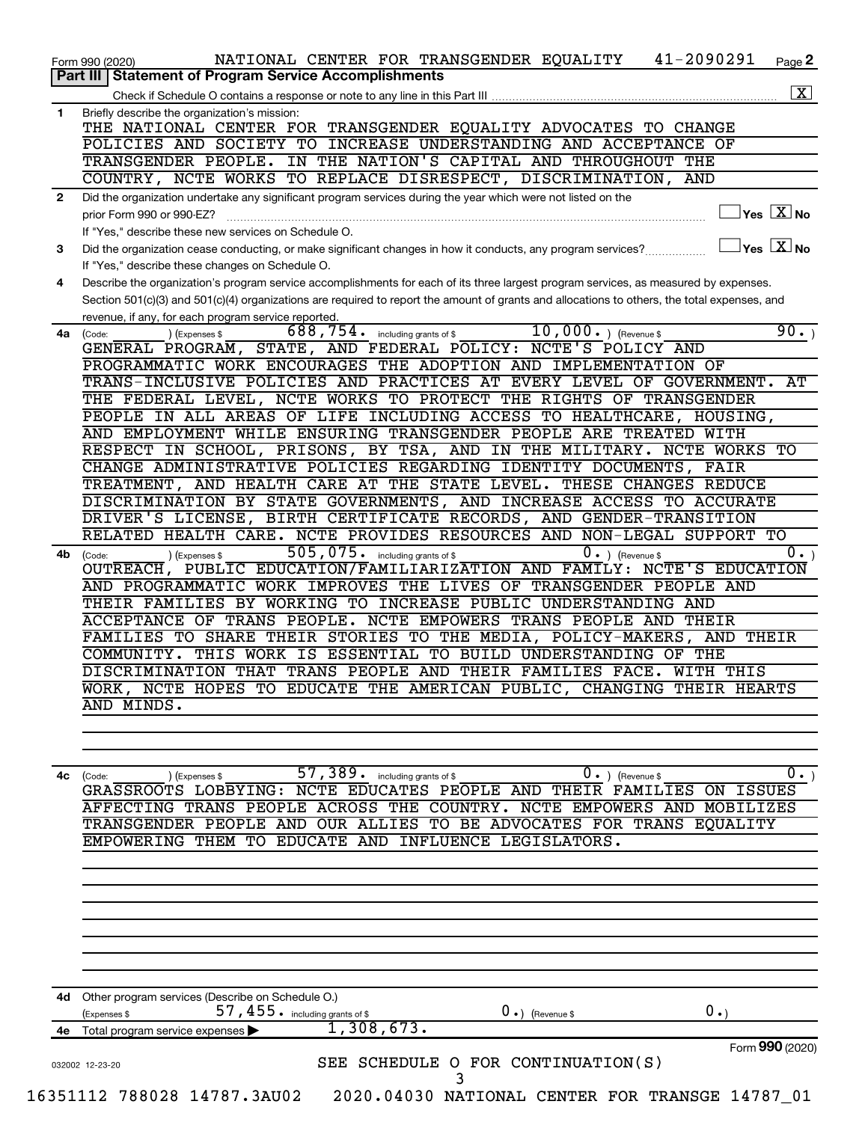|              | 41-2090291<br>NATIONAL CENTER FOR TRANSGENDER EQUALITY<br>Page 2<br>Form 990 (2020)                                                                       |
|--------------|-----------------------------------------------------------------------------------------------------------------------------------------------------------|
|              | <b>Statement of Program Service Accomplishments</b><br>Part III                                                                                           |
|              | $\boxed{\textbf{X}}$                                                                                                                                      |
| $\mathbf{1}$ | Briefly describe the organization's mission:                                                                                                              |
|              | THE NATIONAL CENTER FOR TRANSGENDER EQUALITY ADVOCATES TO CHANGE                                                                                          |
|              | POLICIES AND SOCIETY TO INCREASE UNDERSTANDING AND ACCEPTANCE OF                                                                                          |
|              | TRANSGENDER PEOPLE. IN THE NATION'S CAPITAL AND THROUGHOUT THE                                                                                            |
|              | COUNTRY, NCTE WORKS TO REPLACE DISRESPECT, DISCRIMINATION,<br>AND                                                                                         |
| $\mathbf{2}$ | Did the organization undertake any significant program services during the year which were not listed on the                                              |
|              | $\overline{\ }$ Yes $\overline{\rm X}$ No<br>prior Form 990 or 990-EZ?                                                                                    |
|              | If "Yes," describe these new services on Schedule O.                                                                                                      |
| 3            | $\overline{\ }$ Yes $\overline{\rm X}$ No<br>Did the organization cease conducting, or make significant changes in how it conducts, any program services? |
|              | If "Yes," describe these changes on Schedule O.                                                                                                           |
| 4            | Describe the organization's program service accomplishments for each of its three largest program services, as measured by expenses.                      |
|              | Section 501(c)(3) and 501(c)(4) organizations are required to report the amount of grants and allocations to others, the total expenses, and              |
|              | revenue, if any, for each program service reported.                                                                                                       |
| 4a           | 90.<br>688, 754. including grants of \$<br>$10,000.$ ) (Revenue \$<br>) (Expenses \$<br>(Code:                                                            |
|              | GENERAL PROGRAM, STATE, AND FEDERAL POLICY: NCTE'S POLICY AND                                                                                             |
|              | PROGRAMMATIC WORK ENCOURAGES THE ADOPTION AND IMPLEMENTATION OF                                                                                           |
|              | TRANS-INCLUSIVE POLICIES AND PRACTICES AT EVERY LEVEL OF GOVERNMENT.<br>AТ                                                                                |
|              | THE FEDERAL LEVEL, NCTE WORKS TO PROTECT THE RIGHTS OF TRANSGENDER                                                                                        |
|              | PEOPLE IN ALL AREAS OF LIFE INCLUDING ACCESS TO HEALTHCARE, HOUSING,                                                                                      |
|              | AND EMPLOYMENT WHILE ENSURING TRANSGENDER PEOPLE ARE TREATED WITH                                                                                         |
|              | RESPECT IN SCHOOL, PRISONS, BY TSA, AND IN THE MILITARY. NCTE WORKS TO                                                                                    |
|              | CHANGE ADMINISTRATIVE POLICIES REGARDING IDENTITY DOCUMENTS, FAIR                                                                                         |
|              | TREATMENT, AND HEALTH CARE AT THE STATE LEVEL. THESE CHANGES REDUCE                                                                                       |
|              | DISCRIMINATION BY STATE GOVERNMENTS, AND INCREASE ACCESS TO ACCURATE                                                                                      |
|              |                                                                                                                                                           |
|              | DRIVER'S LICENSE, BIRTH CERTIFICATE RECORDS, AND GENDER-TRANSITION                                                                                        |
|              | RELATED HEALTH CARE. NCTE PROVIDES RESOURCES AND NON-LEGAL SUPPORT<br>$T$ O                                                                               |
| 4b           | 505,075. including grants of \$<br>$\overline{0}$ .<br>$0 \cdot$ ) (Revenue \$<br>(Expenses \$<br>(Code:                                                  |
|              | OUTREACH, PUBLIC EDUCATION/FAMILIARIZATION AND FAMILY: NCTE'S EDUCATION                                                                                   |
|              | AND PROGRAMMATIC WORK IMPROVES THE LIVES OF TRANSGENDER PEOPLE AND                                                                                        |
|              | THEIR FAMILIES BY WORKING TO INCREASE PUBLIC UNDERSTANDING AND                                                                                            |
|              | ACCEPTANCE OF TRANS PEOPLE. NCTE EMPOWERS TRANS PEOPLE AND THEIR                                                                                          |
|              | FAMILIES TO SHARE THEIR STORIES TO THE MEDIA, POLICY-MAKERS, AND THEIR                                                                                    |
|              | THIS WORK IS ESSENTIAL TO BUILD UNDERSTANDING OF THE<br>COMMUNITY.                                                                                        |
|              | DISCRIMINATION THAT TRANS PEOPLE AND THEIR FAMILIES FACE. WITH THIS                                                                                       |
|              | WORK, NCTE HOPES TO EDUCATE THE AMERICAN PUBLIC, CHANGING THEIR HEARTS                                                                                    |
|              | AND MINDS.                                                                                                                                                |
|              |                                                                                                                                                           |
|              |                                                                                                                                                           |
|              |                                                                                                                                                           |
| 4c           | 57, 389. including grants of \$<br>$\overline{0.}$<br>$0 \cdot$ ) (Revenue \$<br>) (Expenses \$<br>(Code:                                                 |
|              | GRASSROOTS LOBBYING: NCTE EDUCATES PEOPLE AND THEIR FAMILIES ON ISSUES                                                                                    |
|              | AFFECTING TRANS PEOPLE ACROSS THE COUNTRY. NCTE EMPOWERS AND MOBILIZES                                                                                    |
|              | TRANSGENDER PEOPLE AND OUR ALLIES TO BE ADVOCATES FOR TRANS EQUALITY                                                                                      |
|              | EMPOWERING THEM TO EDUCATE AND INFLUENCE LEGISLATORS.                                                                                                     |
|              |                                                                                                                                                           |
|              |                                                                                                                                                           |
|              |                                                                                                                                                           |
|              |                                                                                                                                                           |
|              |                                                                                                                                                           |
|              |                                                                                                                                                           |
|              |                                                                                                                                                           |
|              |                                                                                                                                                           |
|              |                                                                                                                                                           |
|              |                                                                                                                                                           |
|              | 4d Other program services (Describe on Schedule O.)                                                                                                       |
|              | 57, 455. including grants of \$<br>$0 \cdot$<br>$0 \cdot$ ) (Revenue \$<br>(Expenses \$                                                                   |
|              | 1,308,673.<br>4e Total program service expenses                                                                                                           |
|              | Form 990 (2020)                                                                                                                                           |
|              | SEE SCHEDULE O FOR CONTINUATION(S)<br>032002 12-23-20                                                                                                     |
|              | 3                                                                                                                                                         |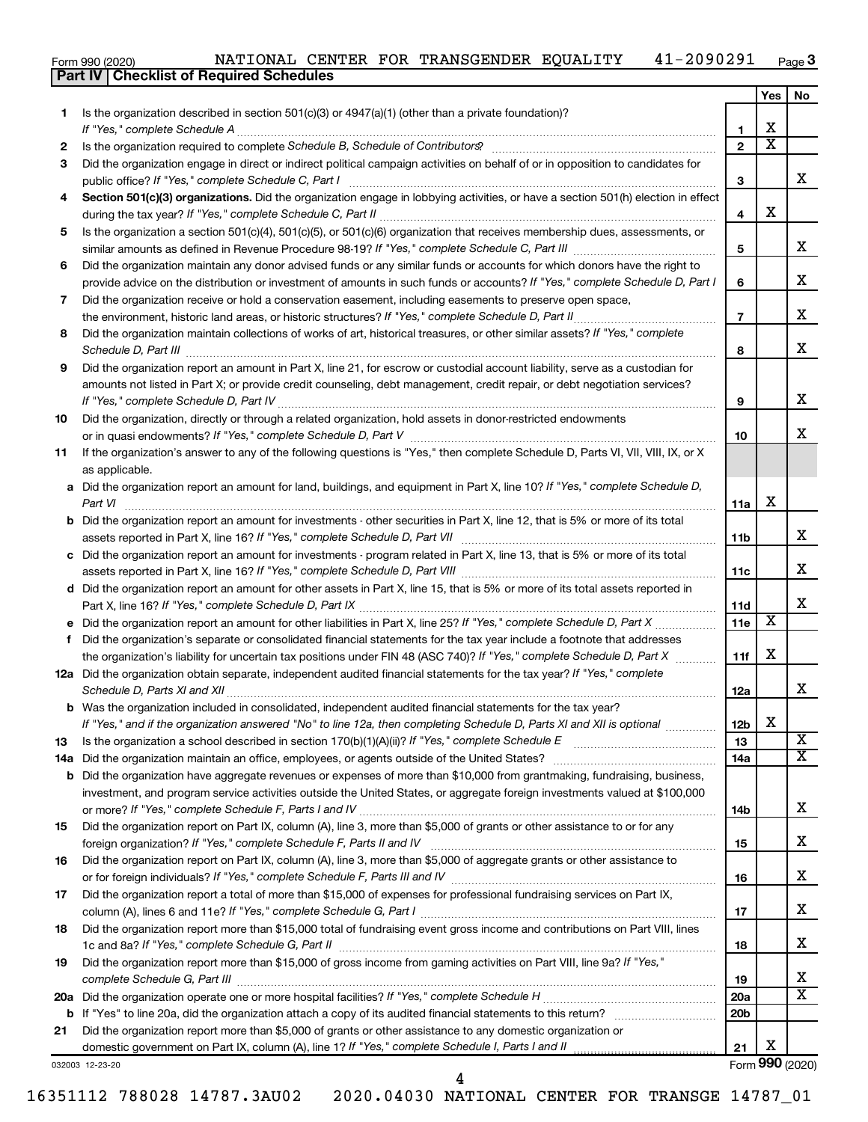| Form 990 (2020) |  | NATIONAL CENTER FOR TRANSGENDER EQUALITY | 41-2090291 | Page $3$ |
|-----------------|--|------------------------------------------|------------|----------|
|                 |  |                                          |            |          |

|     | <b>Part IV   Checklist of Required Schedules</b>                                                                                 |                 |                         |     |
|-----|----------------------------------------------------------------------------------------------------------------------------------|-----------------|-------------------------|-----|
|     |                                                                                                                                  |                 | Yes                     | No. |
| 1.  | Is the organization described in section $501(c)(3)$ or $4947(a)(1)$ (other than a private foundation)?                          |                 |                         |     |
|     |                                                                                                                                  | 1               | х                       |     |
| 2   |                                                                                                                                  | $\mathbf{2}$    | $\overline{\textbf{x}}$ |     |
| 3   | Did the organization engage in direct or indirect political campaign activities on behalf of or in opposition to candidates for  |                 |                         |     |
|     |                                                                                                                                  | 3               |                         | x   |
| 4   | Section 501(c)(3) organizations. Did the organization engage in lobbying activities, or have a section 501(h) election in effect |                 |                         |     |
|     |                                                                                                                                  | 4               | X                       |     |
| 5   | Is the organization a section 501(c)(4), 501(c)(5), or 501(c)(6) organization that receives membership dues, assessments, or     |                 |                         |     |
|     |                                                                                                                                  | 5               |                         | х   |
| 6   | Did the organization maintain any donor advised funds or any similar funds or accounts for which donors have the right to        |                 |                         |     |
|     | provide advice on the distribution or investment of amounts in such funds or accounts? If "Yes," complete Schedule D, Part I     | 6               |                         | х   |
| 7   | Did the organization receive or hold a conservation easement, including easements to preserve open space,                        |                 |                         |     |
|     | the environment, historic land areas, or historic structures? If "Yes," complete Schedule D, Part II                             | $\overline{7}$  |                         | X   |
| 8   | Did the organization maintain collections of works of art, historical treasures, or other similar assets? If "Yes," complete     |                 |                         |     |
|     | Schedule D, Part III <b>Marting Commission Commission Commission</b> Commission Commission Commission                            | 8               |                         | х   |
| 9   | Did the organization report an amount in Part X, line 21, for escrow or custodial account liability, serve as a custodian for    |                 |                         |     |
|     | amounts not listed in Part X; or provide credit counseling, debt management, credit repair, or debt negotiation services?        |                 |                         |     |
|     |                                                                                                                                  | 9               |                         | X   |
| 10  | Did the organization, directly or through a related organization, hold assets in donor-restricted endowments                     |                 |                         |     |
|     |                                                                                                                                  | 10              |                         | х   |
| 11  | If the organization's answer to any of the following questions is "Yes," then complete Schedule D, Parts VI, VII, VIII, IX, or X |                 |                         |     |
|     | as applicable.                                                                                                                   |                 |                         |     |
| а   | Did the organization report an amount for land, buildings, and equipment in Part X, line 10? If "Yes," complete Schedule D,      |                 |                         |     |
|     | Part VI                                                                                                                          | 11a             | X                       |     |
| b   | Did the organization report an amount for investments - other securities in Part X, line 12, that is 5% or more of its total     |                 |                         |     |
|     |                                                                                                                                  | 11 <sub>b</sub> |                         | х   |
| с   | Did the organization report an amount for investments - program related in Part X, line 13, that is 5% or more of its total      |                 |                         |     |
|     |                                                                                                                                  | 11c             |                         | х   |
| d   | Did the organization report an amount for other assets in Part X, line 15, that is 5% or more of its total assets reported in    |                 |                         |     |
|     |                                                                                                                                  | 11d             |                         | х   |
| е   | Did the organization report an amount for other liabilities in Part X, line 25? If "Yes," complete Schedule D, Part X            | 11e             | $\overline{\mathbf{x}}$ |     |
| f   | Did the organization's separate or consolidated financial statements for the tax year include a footnote that addresses          |                 |                         |     |
|     | the organization's liability for uncertain tax positions under FIN 48 (ASC 740)? If "Yes," complete Schedule D, Part X           | 11f             | х                       |     |
|     | 12a Did the organization obtain separate, independent audited financial statements for the tax year? If "Yes," complete          |                 |                         |     |
|     |                                                                                                                                  | 12a             |                         | х   |
|     | Was the organization included in consolidated, independent audited financial statements for the tax year?                        |                 |                         |     |
|     | If "Yes," and if the organization answered "No" to line 12a, then completing Schedule D, Parts XI and XII is optional            | 12b             | X                       |     |
| 13  |                                                                                                                                  | 13              |                         | X   |
| 14a | Did the organization maintain an office, employees, or agents outside of the United States?                                      | 14a             |                         | х   |
| b   | Did the organization have aggregate revenues or expenses of more than \$10,000 from grantmaking, fundraising, business,          |                 |                         |     |
|     | investment, and program service activities outside the United States, or aggregate foreign investments valued at \$100,000       |                 |                         |     |
|     |                                                                                                                                  | 14b             |                         | x   |
| 15  | Did the organization report on Part IX, column (A), line 3, more than \$5,000 of grants or other assistance to or for any        |                 |                         |     |
|     | foreign organization? If "Yes," complete Schedule F, Parts II and IV                                                             | 15              |                         | x   |
| 16  | Did the organization report on Part IX, column (A), line 3, more than \$5,000 of aggregate grants or other assistance to         |                 |                         |     |
|     |                                                                                                                                  | 16              |                         | х   |
| 17  | Did the organization report a total of more than \$15,000 of expenses for professional fundraising services on Part IX,          |                 |                         |     |
|     |                                                                                                                                  | 17              |                         | x   |
| 18  | Did the organization report more than \$15,000 total of fundraising event gross income and contributions on Part VIII, lines     |                 |                         |     |
|     |                                                                                                                                  | 18              |                         | x   |
| 19  | Did the organization report more than \$15,000 of gross income from gaming activities on Part VIII, line 9a? If "Yes,"           |                 |                         |     |
|     |                                                                                                                                  | 19              |                         | x   |
|     |                                                                                                                                  | 20a             |                         | X   |
|     |                                                                                                                                  | 20b             |                         |     |
| 21  | Did the organization report more than \$5,000 of grants or other assistance to any domestic organization or                      |                 |                         |     |
|     |                                                                                                                                  | 21              | х                       |     |
|     | 032003 12-23-20                                                                                                                  |                 | Form 990 (2020)         |     |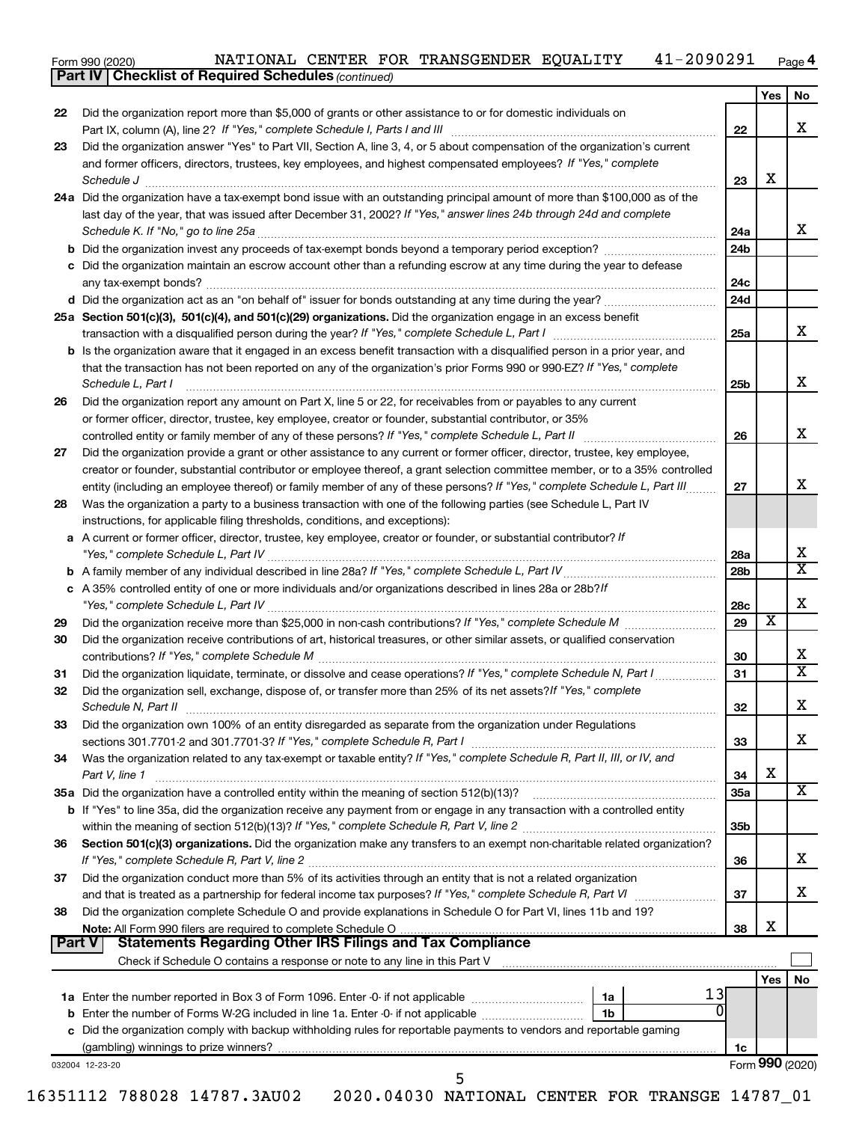Form 990 (2020) NATIONAL CENTER FOR TRANSGENDER EQUALITY  $41-2090291$   $_{\sf Page}$ 41-2090291 Page 4

*(continued)* **Part IV Checklist of Required Schedules**

|               |                                                                                                                                                                                                                                                                                                                                                    |            | Yes                     | No                           |
|---------------|----------------------------------------------------------------------------------------------------------------------------------------------------------------------------------------------------------------------------------------------------------------------------------------------------------------------------------------------------|------------|-------------------------|------------------------------|
| 22            | Did the organization report more than \$5,000 of grants or other assistance to or for domestic individuals on                                                                                                                                                                                                                                      | 22         |                         | X                            |
| 23            | Did the organization answer "Yes" to Part VII, Section A, line 3, 4, or 5 about compensation of the organization's current                                                                                                                                                                                                                         |            |                         |                              |
|               | and former officers, directors, trustees, key employees, and highest compensated employees? If "Yes," complete<br>Schedule J <b>www.communications.communications.communications.com</b>                                                                                                                                                           | 23         | х                       |                              |
|               | 24a Did the organization have a tax-exempt bond issue with an outstanding principal amount of more than \$100,000 as of the                                                                                                                                                                                                                        |            |                         |                              |
|               | last day of the year, that was issued after December 31, 2002? If "Yes," answer lines 24b through 24d and complete<br>Schedule K. If "No," go to line 25a                                                                                                                                                                                          | 24a        |                         | x                            |
|               |                                                                                                                                                                                                                                                                                                                                                    | 24b        |                         |                              |
|               | c Did the organization maintain an escrow account other than a refunding escrow at any time during the year to defease                                                                                                                                                                                                                             | 24c        |                         |                              |
|               |                                                                                                                                                                                                                                                                                                                                                    | 24d        |                         |                              |
|               | 25a Section 501(c)(3), 501(c)(4), and 501(c)(29) organizations. Did the organization engage in an excess benefit                                                                                                                                                                                                                                   |            |                         |                              |
|               |                                                                                                                                                                                                                                                                                                                                                    | 25a        |                         | х                            |
|               | <b>b</b> Is the organization aware that it engaged in an excess benefit transaction with a disqualified person in a prior year, and<br>that the transaction has not been reported on any of the organization's prior Forms 990 or 990-EZ? If "Yes," complete<br>Schedule L, Part I                                                                 | 25b        |                         | x                            |
| 26            | Did the organization report any amount on Part X, line 5 or 22, for receivables from or payables to any current                                                                                                                                                                                                                                    |            |                         |                              |
|               | or former officer, director, trustee, key employee, creator or founder, substantial contributor, or 35%                                                                                                                                                                                                                                            |            |                         |                              |
|               |                                                                                                                                                                                                                                                                                                                                                    | 26         |                         | X                            |
| 27            | Did the organization provide a grant or other assistance to any current or former officer, director, trustee, key employee,                                                                                                                                                                                                                        |            |                         |                              |
|               | creator or founder, substantial contributor or employee thereof, a grant selection committee member, or to a 35% controlled                                                                                                                                                                                                                        |            |                         |                              |
|               | entity (including an employee thereof) or family member of any of these persons? If "Yes," complete Schedule L, Part III                                                                                                                                                                                                                           | 27         |                         | x                            |
| 28            | Was the organization a party to a business transaction with one of the following parties (see Schedule L, Part IV                                                                                                                                                                                                                                  |            |                         |                              |
|               | instructions, for applicable filing thresholds, conditions, and exceptions):<br>a A current or former officer, director, trustee, key employee, creator or founder, or substantial contributor? If                                                                                                                                                 |            |                         |                              |
|               |                                                                                                                                                                                                                                                                                                                                                    | 28a        |                         | х<br>$\overline{\mathbf{X}}$ |
|               | c A 35% controlled entity of one or more individuals and/or organizations described in lines 28a or 28b?/f                                                                                                                                                                                                                                         | 28b        |                         |                              |
|               |                                                                                                                                                                                                                                                                                                                                                    | 28c        |                         | X                            |
| 29            |                                                                                                                                                                                                                                                                                                                                                    | 29         | $\overline{\mathbf{X}}$ |                              |
| 30            | Did the organization receive contributions of art, historical treasures, or other similar assets, or qualified conservation                                                                                                                                                                                                                        | 30         |                         | х                            |
| 31            | Did the organization liquidate, terminate, or dissolve and cease operations? If "Yes," complete Schedule N, Part I                                                                                                                                                                                                                                 | 31         |                         | $\overline{\textbf{X}}$      |
| 32            | Did the organization sell, exchange, dispose of, or transfer more than 25% of its net assets? If "Yes," complete<br>Schedule N, Part II et al. 2003. Contract a contract a contract of the contract of the contract of the contract of the contract of the contract of the contract of the contract of the contract of the contract of the contrac | 32         |                         | X                            |
| 33            | Did the organization own 100% of an entity disregarded as separate from the organization under Regulations                                                                                                                                                                                                                                         |            |                         |                              |
|               |                                                                                                                                                                                                                                                                                                                                                    | 33         |                         | x                            |
| 34            | Was the organization related to any tax-exempt or taxable entity? If "Yes," complete Schedule R, Part II, III, or IV, and<br>Part V, line 1                                                                                                                                                                                                        | 34         | х                       |                              |
|               | 35a Did the organization have a controlled entity within the meaning of section 512(b)(13)?                                                                                                                                                                                                                                                        | <b>35a</b> |                         | X                            |
|               | <b>b</b> If "Yes" to line 35a, did the organization receive any payment from or engage in any transaction with a controlled entity                                                                                                                                                                                                                 | 35b        |                         |                              |
| 36            | Section 501(c)(3) organizations. Did the organization make any transfers to an exempt non-charitable related organization?                                                                                                                                                                                                                         | 36         |                         | x                            |
| 37            | Did the organization conduct more than 5% of its activities through an entity that is not a related organization<br>and that is treated as a partnership for federal income tax purposes? If "Yes," complete Schedule R, Part VI                                                                                                                   | 37         |                         | x                            |
| 38            | Did the organization complete Schedule O and provide explanations in Schedule O for Part VI, lines 11b and 19?                                                                                                                                                                                                                                     | 38         | x                       |                              |
| <b>Part V</b> | <b>Statements Regarding Other IRS Filings and Tax Compliance</b>                                                                                                                                                                                                                                                                                   |            |                         |                              |
|               |                                                                                                                                                                                                                                                                                                                                                    |            | Yes l                   | No                           |
|               | 13<br>1a Enter the number reported in Box 3 of Form 1096. Enter -0- if not applicable <i>manumeraness</i><br>1a                                                                                                                                                                                                                                    |            |                         |                              |
|               | 1b                                                                                                                                                                                                                                                                                                                                                 |            |                         |                              |
|               | c Did the organization comply with backup withholding rules for reportable payments to vendors and reportable gaming                                                                                                                                                                                                                               |            |                         |                              |
|               |                                                                                                                                                                                                                                                                                                                                                    | 1c         |                         |                              |
|               |                                                                                                                                                                                                                                                                                                                                                    |            |                         | Form 990 (2020)              |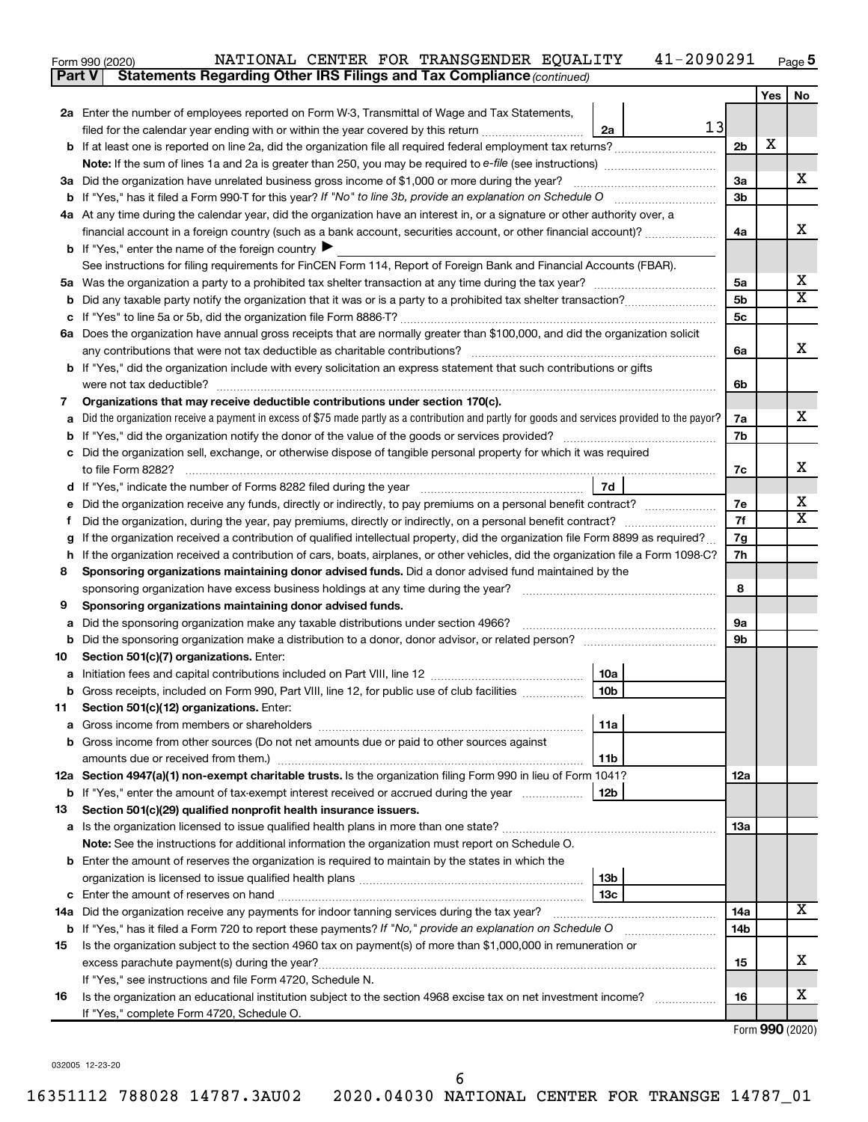| Form 990 (2020) |                                                                                     |  | NATIONAL CENTER FOR TRANSGENDER EQUALITY | 41-2090291 | Page $5$ |
|-----------------|-------------------------------------------------------------------------------------|--|------------------------------------------|------------|----------|
|                 | <b>Part V</b> Statements Regarding Other IRS Filings and Tax Compliance (continued) |  |                                          |            |          |

|    |                                                                                                                                                                               |                        |    |                | Yes | No                           |  |  |  |
|----|-------------------------------------------------------------------------------------------------------------------------------------------------------------------------------|------------------------|----|----------------|-----|------------------------------|--|--|--|
|    | 2a Enter the number of employees reported on Form W-3, Transmittal of Wage and Tax Statements,                                                                                |                        |    |                |     |                              |  |  |  |
|    | filed for the calendar year ending with or within the year covered by this return                                                                                             | 2a                     | 13 |                |     |                              |  |  |  |
|    |                                                                                                                                                                               |                        |    | 2 <sub>b</sub> | х   |                              |  |  |  |
|    | <b>Note:</b> If the sum of lines 1a and 2a is greater than 250, you may be required to e-file (see instructions) <i></i>                                                      |                        |    |                |     |                              |  |  |  |
|    | 3a Did the organization have unrelated business gross income of \$1,000 or more during the year?                                                                              |                        |    |                |     |                              |  |  |  |
|    |                                                                                                                                                                               |                        |    | 3b             |     |                              |  |  |  |
|    | 4a At any time during the calendar year, did the organization have an interest in, or a signature or other authority over, a                                                  |                        |    |                |     |                              |  |  |  |
|    | financial account in a foreign country (such as a bank account, securities account, or other financial account)?                                                              |                        |    | 4a             |     | х                            |  |  |  |
|    | <b>b</b> If "Yes," enter the name of the foreign country $\blacktriangleright$                                                                                                |                        |    |                |     |                              |  |  |  |
|    | See instructions for filing requirements for FinCEN Form 114, Report of Foreign Bank and Financial Accounts (FBAR).                                                           |                        |    |                |     |                              |  |  |  |
|    |                                                                                                                                                                               |                        |    | 5a             |     | x                            |  |  |  |
|    |                                                                                                                                                                               |                        |    | 5b             |     | $\overline{\texttt{x}}$      |  |  |  |
|    |                                                                                                                                                                               |                        |    | 5c             |     |                              |  |  |  |
|    | 6a Does the organization have annual gross receipts that are normally greater than \$100,000, and did the organization solicit                                                |                        |    |                |     | x                            |  |  |  |
|    | any contributions that were not tax deductible as charitable contributions?                                                                                                   |                        |    | 6a             |     |                              |  |  |  |
|    | b If "Yes," did the organization include with every solicitation an express statement that such contributions or gifts                                                        |                        |    | 6b             |     |                              |  |  |  |
| 7  | were not tax deductible?<br>Organizations that may receive deductible contributions under section 170(c).                                                                     |                        |    |                |     |                              |  |  |  |
| а  | Did the organization receive a payment in excess of \$75 made partly as a contribution and partly for goods and services provided to the payor?                               |                        |    | 7a             |     | х                            |  |  |  |
|    |                                                                                                                                                                               |                        |    | 7b             |     |                              |  |  |  |
|    | c Did the organization sell, exchange, or otherwise dispose of tangible personal property for which it was required                                                           |                        |    |                |     |                              |  |  |  |
|    | to file Form 8282?                                                                                                                                                            |                        |    | 7c             |     | x                            |  |  |  |
|    | d If "Yes," indicate the number of Forms 8282 filed during the year manufactured intervent in the set of the N                                                                | 7d                     |    |                |     |                              |  |  |  |
|    | e Did the organization receive any funds, directly or indirectly, to pay premiums on a personal benefit contract?                                                             |                        |    | 7е             |     | x<br>$\overline{\texttt{x}}$ |  |  |  |
| Ť. |                                                                                                                                                                               |                        |    |                |     |                              |  |  |  |
| g  | If the organization received a contribution of qualified intellectual property, did the organization file Form 8899 as required?                                              |                        |    | 7g             |     |                              |  |  |  |
|    | h If the organization received a contribution of cars, boats, airplanes, or other vehicles, did the organization file a Form 1098-C?                                          |                        |    |                |     |                              |  |  |  |
| 8  | Sponsoring organizations maintaining donor advised funds. Did a donor advised fund maintained by the                                                                          |                        |    |                |     |                              |  |  |  |
|    | sponsoring organization have excess business holdings at any time during the year?                                                                                            |                        |    | 8              |     |                              |  |  |  |
| 9  | Sponsoring organizations maintaining donor advised funds.                                                                                                                     |                        |    |                |     |                              |  |  |  |
| а  | Did the sponsoring organization make any taxable distributions under section 4966?                                                                                            |                        |    | 9а             |     |                              |  |  |  |
| b  |                                                                                                                                                                               |                        |    | 9b             |     |                              |  |  |  |
| 10 | Section 501(c)(7) organizations. Enter:                                                                                                                                       |                        |    |                |     |                              |  |  |  |
|    |                                                                                                                                                                               | 10a<br>10 <sub>b</sub> |    |                |     |                              |  |  |  |
| 11 | <b>b</b> Gross receipts, included on Form 990, Part VIII, line 12, for public use of club facilities <i>manument</i><br>Section 501(c)(12) organizations. Enter:              |                        |    |                |     |                              |  |  |  |
|    |                                                                                                                                                                               | 11a                    |    |                |     |                              |  |  |  |
|    | <b>b</b> Gross income from other sources (Do not net amounts due or paid to other sources against                                                                             |                        |    |                |     |                              |  |  |  |
|    | amounts due or received from them.)                                                                                                                                           | 11b                    |    |                |     |                              |  |  |  |
|    | 12a Section 4947(a)(1) non-exempt charitable trusts. Is the organization filing Form 990 in lieu of Form 1041?                                                                |                        |    | 12a            |     |                              |  |  |  |
|    | <b>b</b> If "Yes," enter the amount of tax-exempt interest received or accrued during the year                                                                                | 12b                    |    |                |     |                              |  |  |  |
| 13 | Section 501(c)(29) qualified nonprofit health insurance issuers.                                                                                                              |                        |    |                |     |                              |  |  |  |
|    |                                                                                                                                                                               |                        |    | 1За            |     |                              |  |  |  |
|    | Note: See the instructions for additional information the organization must report on Schedule O.                                                                             |                        |    |                |     |                              |  |  |  |
|    | <b>b</b> Enter the amount of reserves the organization is required to maintain by the states in which the                                                                     |                        |    |                |     |                              |  |  |  |
|    |                                                                                                                                                                               | 13 <sub>b</sub>        |    |                |     |                              |  |  |  |
|    | <b>c</b> Enter the amount of reserves on hand                                                                                                                                 | 13с                    |    |                |     |                              |  |  |  |
|    | 14a Did the organization receive any payments for indoor tanning services during the tax year?                                                                                |                        |    | 14a            |     | x                            |  |  |  |
|    | <b>b</b> If "Yes," has it filed a Form 720 to report these payments? If "No," provide an explanation on Schedule O                                                            |                        |    | 14b            |     |                              |  |  |  |
| 15 | Is the organization subject to the section 4960 tax on payment(s) of more than \$1,000,000 in remuneration or                                                                 |                        |    |                |     | x                            |  |  |  |
|    | excess parachute payment(s) during the year?                                                                                                                                  |                        |    | 15             |     |                              |  |  |  |
|    | If "Yes," see instructions and file Form 4720, Schedule N.<br>Is the organization an educational institution subject to the section 4968 excise tax on net investment income? |                        |    | 16             |     | x                            |  |  |  |
| 16 | If "Yes," complete Form 4720, Schedule O.                                                                                                                                     |                        |    |                |     |                              |  |  |  |
|    |                                                                                                                                                                               |                        |    |                |     |                              |  |  |  |

032005 12-23-20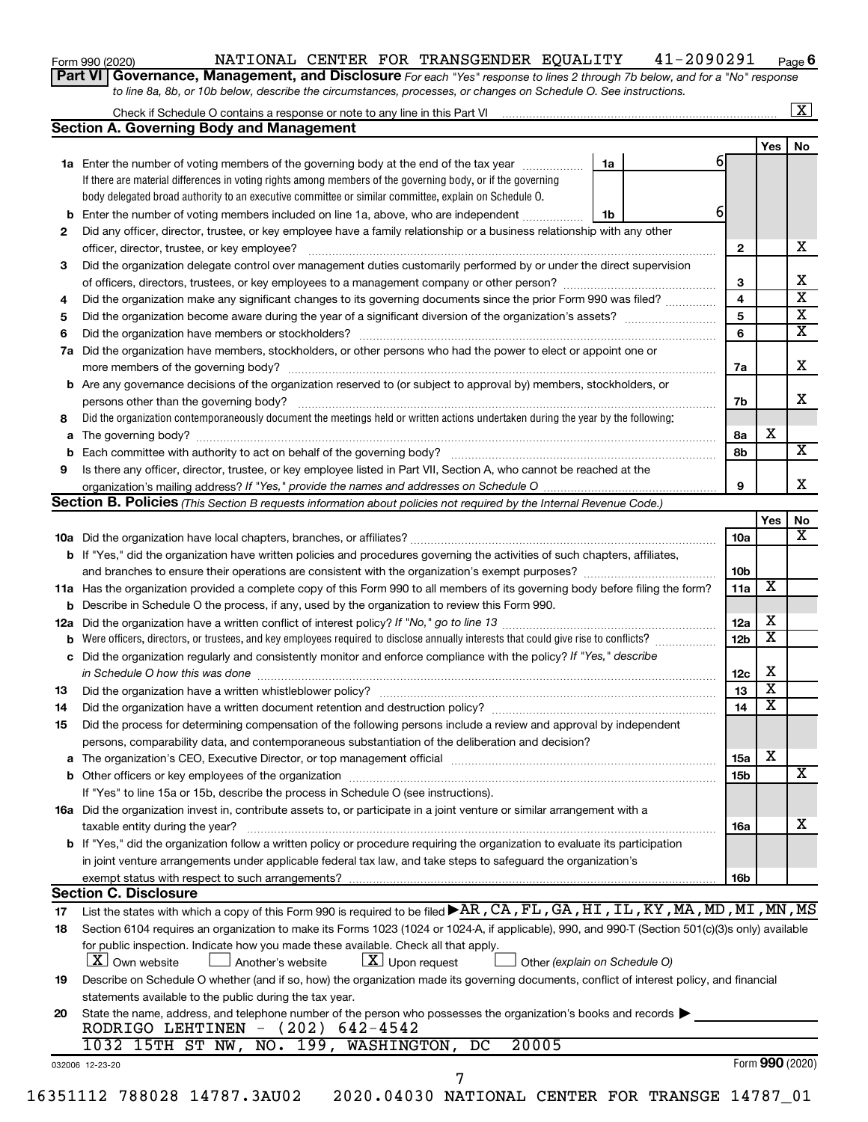| Form 990 (2020) |  |
|-----------------|--|
|-----------------|--|

#### Form 990 (2020) NATIONAL CENTER FOR TRANSGENDER EQUALITY  $41-2090291$   $_{\sf Page}$

**6**

**Part VI** Governance, Management, and Disclosure For each "Yes" response to lines 2 through 7b below, and for a "No" response *to line 8a, 8b, or 10b below, describe the circumstances, processes, or changes on Schedule O. See instructions.*

|                |                                                                                                                                                                                                                                |    |                 |                         | $\mathbf{X}$ |
|----------------|--------------------------------------------------------------------------------------------------------------------------------------------------------------------------------------------------------------------------------|----|-----------------|-------------------------|--------------|
|                | <b>Section A. Governing Body and Management</b>                                                                                                                                                                                |    |                 |                         |              |
|                |                                                                                                                                                                                                                                |    |                 | Yes                     | No           |
|                | 1a Enter the number of voting members of the governing body at the end of the tax year                                                                                                                                         | 1a |                 |                         |              |
|                | If there are material differences in voting rights among members of the governing body, or if the governing                                                                                                                    |    |                 |                         |              |
|                | body delegated broad authority to an executive committee or similar committee, explain on Schedule O.                                                                                                                          |    |                 |                         |              |
| b              | Enter the number of voting members included on line 1a, above, who are independent                                                                                                                                             | 1b |                 |                         |              |
| 2              | Did any officer, director, trustee, or key employee have a family relationship or a business relationship with any other                                                                                                       |    |                 |                         |              |
|                | officer, director, trustee, or key employee?                                                                                                                                                                                   |    | $\mathbf{2}$    |                         |              |
| 3              | Did the organization delegate control over management duties customarily performed by or under the direct supervision                                                                                                          |    |                 |                         |              |
|                |                                                                                                                                                                                                                                |    | 3               |                         |              |
| 4              | Did the organization make any significant changes to its governing documents since the prior Form 990 was filed?                                                                                                               |    | 4               |                         |              |
| 5              |                                                                                                                                                                                                                                |    | 5               |                         |              |
| 6              |                                                                                                                                                                                                                                |    | 6               |                         |              |
| 7a             | Did the organization have members, stockholders, or other persons who had the power to elect or appoint one or                                                                                                                 |    |                 |                         |              |
|                |                                                                                                                                                                                                                                |    | 7a              |                         |              |
| b              | Are any governance decisions of the organization reserved to (or subject to approval by) members, stockholders, or                                                                                                             |    |                 |                         |              |
|                |                                                                                                                                                                                                                                |    | 7b              |                         |              |
| 8              | Did the organization contemporaneously document the meetings held or written actions undertaken during the year by the following:                                                                                              |    |                 |                         |              |
| а              |                                                                                                                                                                                                                                |    | 8а              | X                       |              |
|                |                                                                                                                                                                                                                                |    | 8b              |                         |              |
| 9              | Is there any officer, director, trustee, or key employee listed in Part VII, Section A, who cannot be reached at the                                                                                                           |    |                 |                         |              |
|                |                                                                                                                                                                                                                                |    | 9               |                         |              |
|                | <b>Section B. Policies</b> (This Section B requests information about policies not required by the Internal Revenue Code.)                                                                                                     |    |                 |                         |              |
|                |                                                                                                                                                                                                                                |    |                 | Yes                     |              |
|                |                                                                                                                                                                                                                                |    | <b>10a</b>      |                         |              |
|                | <b>b</b> If "Yes," did the organization have written policies and procedures governing the activities of such chapters, affiliates,                                                                                            |    |                 |                         |              |
|                |                                                                                                                                                                                                                                |    | 10 <sub>b</sub> |                         |              |
|                | 11a Has the organization provided a complete copy of this Form 990 to all members of its governing body before filing the form?                                                                                                |    | 11a             | X                       |              |
|                | Describe in Schedule O the process, if any, used by the organization to review this Form 990.                                                                                                                                  |    |                 |                         |              |
| 12a            |                                                                                                                                                                                                                                |    | 12a             | х                       |              |
|                | Were officers, directors, or trustees, and key employees required to disclose annually interests that could give rise to conflicts?                                                                                            |    | 12 <sub>b</sub> | $\overline{\mathbf{X}}$ |              |
| с              | Did the organization regularly and consistently monitor and enforce compliance with the policy? If "Yes," describe                                                                                                             |    |                 |                         |              |
|                | in Schedule O how this was done manufactured and contact the way of the state of the state of the state of the                                                                                                                 |    | 12c             | Х                       |              |
| 13             |                                                                                                                                                                                                                                |    | 13              | $\overline{\mathbf{X}}$ |              |
|                |                                                                                                                                                                                                                                |    | 14              | $\overline{\mathbf{X}}$ |              |
| 14             |                                                                                                                                                                                                                                |    |                 |                         |              |
| 15             | Did the process for determining compensation of the following persons include a review and approval by independent                                                                                                             |    |                 |                         |              |
|                | persons, comparability data, and contemporaneous substantiation of the deliberation and decision?                                                                                                                              |    |                 |                         |              |
| а              | The organization's CEO, Executive Director, or top management official [111] [12] manuscription and an intervention of the organization's CEO, Executive Director, or top management official [12] manuscription and an interv |    | 15a             | х                       |              |
|                |                                                                                                                                                                                                                                |    | 15b             |                         |              |
|                | If "Yes" to line 15a or 15b, describe the process in Schedule O (see instructions).                                                                                                                                            |    |                 |                         |              |
|                | 16a Did the organization invest in, contribute assets to, or participate in a joint venture or similar arrangement with a                                                                                                      |    |                 |                         |              |
|                | taxable entity during the year?                                                                                                                                                                                                |    | 16a             |                         |              |
|                | b If "Yes," did the organization follow a written policy or procedure requiring the organization to evaluate its participation                                                                                                 |    |                 |                         |              |
|                |                                                                                                                                                                                                                                |    |                 |                         |              |
|                | in joint venture arrangements under applicable federal tax law, and take steps to safeguard the organization's                                                                                                                 |    |                 |                         |              |
|                | exempt status with respect to such arrangements?                                                                                                                                                                               |    | 16b             |                         |              |
|                | <b>Section C. Disclosure</b>                                                                                                                                                                                                   |    |                 |                         |              |
|                | List the states with which a copy of this Form 990 is required to be filed $\blacktriangleright$ AR, CA, FL, GA, HI, IL, KY, MA, MD, MI, MN, MS                                                                                |    |                 |                         |              |
|                | Section 6104 requires an organization to make its Forms 1023 (1024 or 1024-A, if applicable), 990, and 990-T (Section 501(c)(3)s only) available                                                                               |    |                 |                         |              |
|                | for public inspection. Indicate how you made these available. Check all that apply.                                                                                                                                            |    |                 |                         |              |
|                | $\lfloor x \rfloor$ Upon request<br><b>X</b> Own website<br>Another's website<br>Other (explain on Schedule O)                                                                                                                 |    |                 |                         |              |
|                | Describe on Schedule O whether (and if so, how) the organization made its governing documents, conflict of interest policy, and financial                                                                                      |    |                 |                         |              |
| 17<br>18<br>19 | statements available to the public during the tax year.                                                                                                                                                                        |    |                 |                         |              |
| 20             | State the name, address, and telephone number of the person who possesses the organization's books and records                                                                                                                 |    |                 |                         |              |
|                | RODRIGO LEHTINEN - $(202)$ 642-4542                                                                                                                                                                                            |    |                 |                         |              |
|                | 20005<br>1032 15TH ST NW, NO. 199, WASHINGTON, DC                                                                                                                                                                              |    |                 |                         |              |
|                | 032006 12-23-20<br>7                                                                                                                                                                                                           |    |                 | Form 990 (2020)         |              |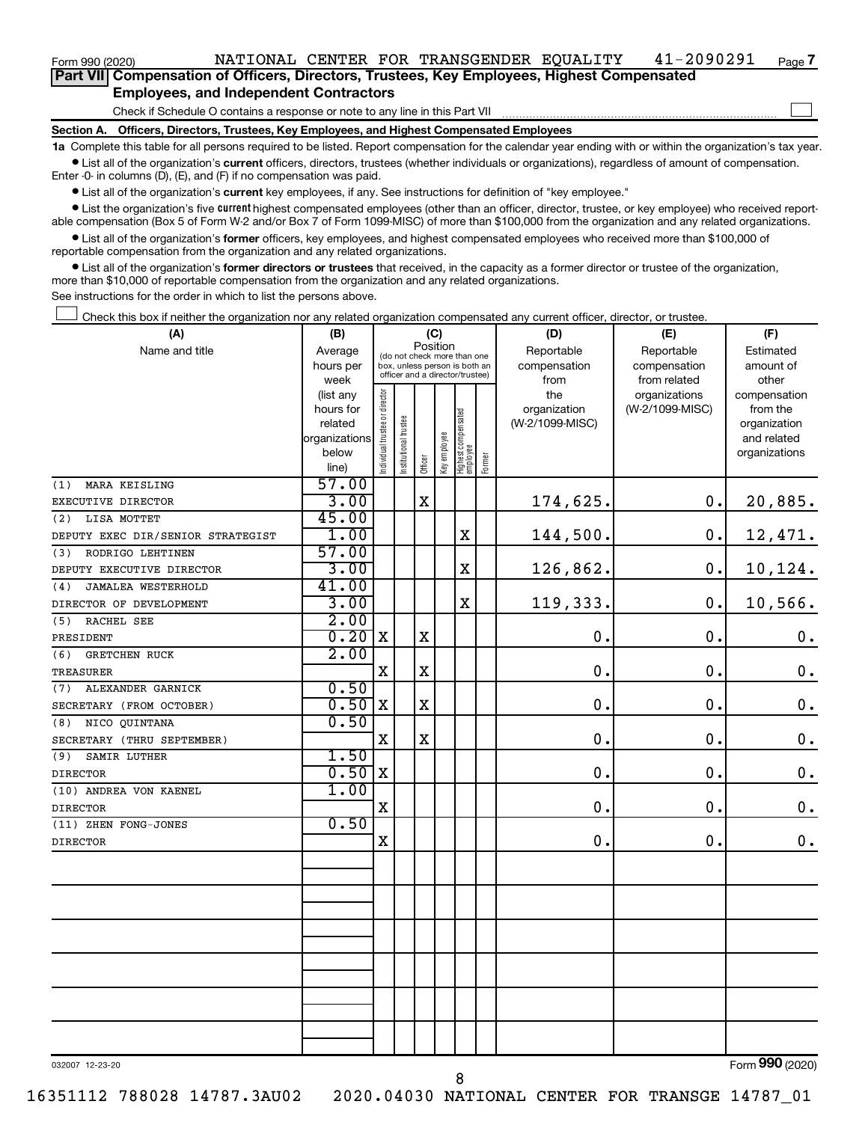**Part VII Compensation of Officers, Directors, Trustees, Key Employees, Highest Compensated Employees, and Independent Contractors**

Check if Schedule O contains a response or note to any line in this Part VII

**Section A. Officers, Directors, Trustees, Key Employees, and Highest Compensated Employees**

**1a**  Complete this table for all persons required to be listed. Report compensation for the calendar year ending with or within the organization's tax year.  $\bullet$  List all of the organization's current officers, directors, trustees (whether individuals or organizations), regardless of amount of compensation.

Enter -0- in columns (D), (E), and (F) if no compensation was paid.

**•** List all of the organization's current key employees, if any. See instructions for definition of "key employee."

• List the organization's five *current* highest compensated employees (other than an officer, director, trustee, or key employee) who received reportable compensation (Box 5 of Form W-2 and/or Box 7 of Form 1099-MISC) of more than \$100,000 from the organization and any related organizations.

 $\bullet$  List all of the organization's former officers, key employees, and highest compensated employees who received more than \$100,000 of reportable compensation from the organization and any related organizations.

**•** List all of the organization's former directors or trustees that received, in the capacity as a former director or trustee of the organization, more than \$10,000 of reportable compensation from the organization and any related organizations.

See instructions for the order in which to list the persons above.

Check this box if neither the organization nor any related organization compensated any current officer, director, or trustee.  $\Box$ 

| (A)                               | (B)                      | (C)                                     |                                                                  |             |              |                                  |        | (D)             | (E)             | (F)                         |
|-----------------------------------|--------------------------|-----------------------------------------|------------------------------------------------------------------|-------------|--------------|----------------------------------|--------|-----------------|-----------------|-----------------------------|
| Name and title                    | Average                  | Position<br>(do not check more than one |                                                                  |             |              |                                  |        | Reportable      | Reportable      | Estimated                   |
|                                   | hours per                |                                         | box, unless person is both an<br>officer and a director/trustee) |             |              |                                  |        | compensation    | compensation    | amount of                   |
|                                   | week                     |                                         |                                                                  |             |              |                                  |        | from            | from related    | other                       |
|                                   | (list any                |                                         |                                                                  |             |              |                                  |        | the             | organizations   | compensation                |
|                                   | hours for                |                                         |                                                                  |             |              |                                  |        | organization    | (W-2/1099-MISC) | from the                    |
|                                   | related<br>organizations |                                         |                                                                  |             |              |                                  |        | (W-2/1099-MISC) |                 | organization<br>and related |
|                                   | below                    |                                         |                                                                  |             |              |                                  |        |                 |                 | organizations               |
|                                   | line)                    | Individual trustee or director          | Institutional trustee                                            | Officer     | Key employee | Highest compensated<br> employee | Former |                 |                 |                             |
| MARA KEISLING<br>(1)              | 57.00                    |                                         |                                                                  |             |              |                                  |        |                 |                 |                             |
| EXECUTIVE DIRECTOR                | 3.00                     |                                         |                                                                  | $\mathbf X$ |              |                                  |        | 174,625.        | 0.              | 20,885.                     |
| LISA MOTTET<br>(2)                | 45.00                    |                                         |                                                                  |             |              |                                  |        |                 |                 |                             |
| DEPUTY EXEC DIR/SENIOR STRATEGIST | 1.00                     |                                         |                                                                  |             |              | X                                |        | 144,500.        | $\mathbf 0$ .   | 12,471.                     |
| RODRIGO LEHTINEN<br>(3)           | 57.00                    |                                         |                                                                  |             |              |                                  |        |                 |                 |                             |
| DEPUTY EXECUTIVE DIRECTOR         | 3.00                     |                                         |                                                                  |             |              | $\mathbf X$                      |        | 126,862.        | $\mathbf 0$ .   | 10,124.                     |
| <b>JAMALEA WESTERHOLD</b><br>(4)  | 41.00                    |                                         |                                                                  |             |              |                                  |        |                 |                 |                             |
| DIRECTOR OF DEVELOPMENT           | 3.00                     |                                         |                                                                  |             |              | $\mathbf x$                      |        | 119,333.        | $\mathbf 0$ .   | 10,566.                     |
| (5)<br><b>RACHEL SEE</b>          | 2.00                     |                                         |                                                                  |             |              |                                  |        |                 |                 |                             |
| PRESIDENT                         | 0.20                     | $\mathbf X$                             |                                                                  | $\mathbf X$ |              |                                  |        | $\mathbf 0$ .   | $\mathbf 0$ .   | $\boldsymbol{0}$ .          |
| <b>GRETCHEN RUCK</b><br>(6)       | 2.00                     |                                         |                                                                  |             |              |                                  |        |                 |                 |                             |
| TREASURER                         |                          | $\mathbf X$                             |                                                                  | $\mathbf X$ |              |                                  |        | $\mathbf 0$ .   | $\mathbf 0$ .   | $\mathbf 0$ .               |
| ALEXANDER GARNICK<br>(7)          | 0.50                     |                                         |                                                                  |             |              |                                  |        |                 |                 |                             |
| SECRETARY (FROM OCTOBER)          | 0.50                     | X                                       |                                                                  | $\mathbf X$ |              |                                  |        | $\mathbf 0$ .   | $\mathbf 0$ .   | $\mathbf 0$ .               |
| NICO QUINTANA<br>(8)              | 0.50                     |                                         |                                                                  |             |              |                                  |        |                 |                 |                             |
| SECRETARY (THRU SEPTEMBER)        |                          | $\mathbf X$                             |                                                                  | $\mathbf X$ |              |                                  |        | $\mathbf 0$ .   | $\mathbf 0$ .   | $\mathbf 0$ .               |
| (9)<br>SAMIR LUTHER               | 1.50                     |                                         |                                                                  |             |              |                                  |        |                 |                 |                             |
| <b>DIRECTOR</b>                   | 0.50                     | X                                       |                                                                  |             |              |                                  |        | $\mathbf 0$ .   | $\mathbf 0$ .   | $\mathbf 0$ .               |
| (10) ANDREA VON KAENEL            | 1.00                     |                                         |                                                                  |             |              |                                  |        |                 |                 |                             |
| <b>DIRECTOR</b>                   |                          | X                                       |                                                                  |             |              |                                  |        | $\mathbf 0$ .   | $\mathbf 0$ .   | $\mathbf 0$ .               |
| (11) ZHEN FONG-JONES              | 0.50                     |                                         |                                                                  |             |              |                                  |        |                 |                 |                             |
| <b>DIRECTOR</b>                   |                          | X                                       |                                                                  |             |              |                                  |        | 0.              | $\mathbf 0$ .   | 0.                          |
|                                   |                          |                                         |                                                                  |             |              |                                  |        |                 |                 |                             |
|                                   |                          |                                         |                                                                  |             |              |                                  |        |                 |                 |                             |
|                                   |                          |                                         |                                                                  |             |              |                                  |        |                 |                 |                             |
|                                   |                          |                                         |                                                                  |             |              |                                  |        |                 |                 |                             |
|                                   |                          |                                         |                                                                  |             |              |                                  |        |                 |                 |                             |
|                                   |                          |                                         |                                                                  |             |              |                                  |        |                 |                 |                             |
|                                   |                          |                                         |                                                                  |             |              |                                  |        |                 |                 |                             |
|                                   |                          |                                         |                                                                  |             |              |                                  |        |                 |                 |                             |
|                                   |                          |                                         |                                                                  |             |              |                                  |        |                 |                 |                             |
|                                   |                          |                                         |                                                                  |             |              |                                  |        |                 |                 |                             |
|                                   |                          |                                         |                                                                  |             |              |                                  |        |                 |                 |                             |
|                                   |                          |                                         |                                                                  |             |              |                                  |        |                 |                 | $\overline{\phantom{a}}$    |

032007 12-23-20

Form (2020) **990**

**7**

 $\Box$ 

8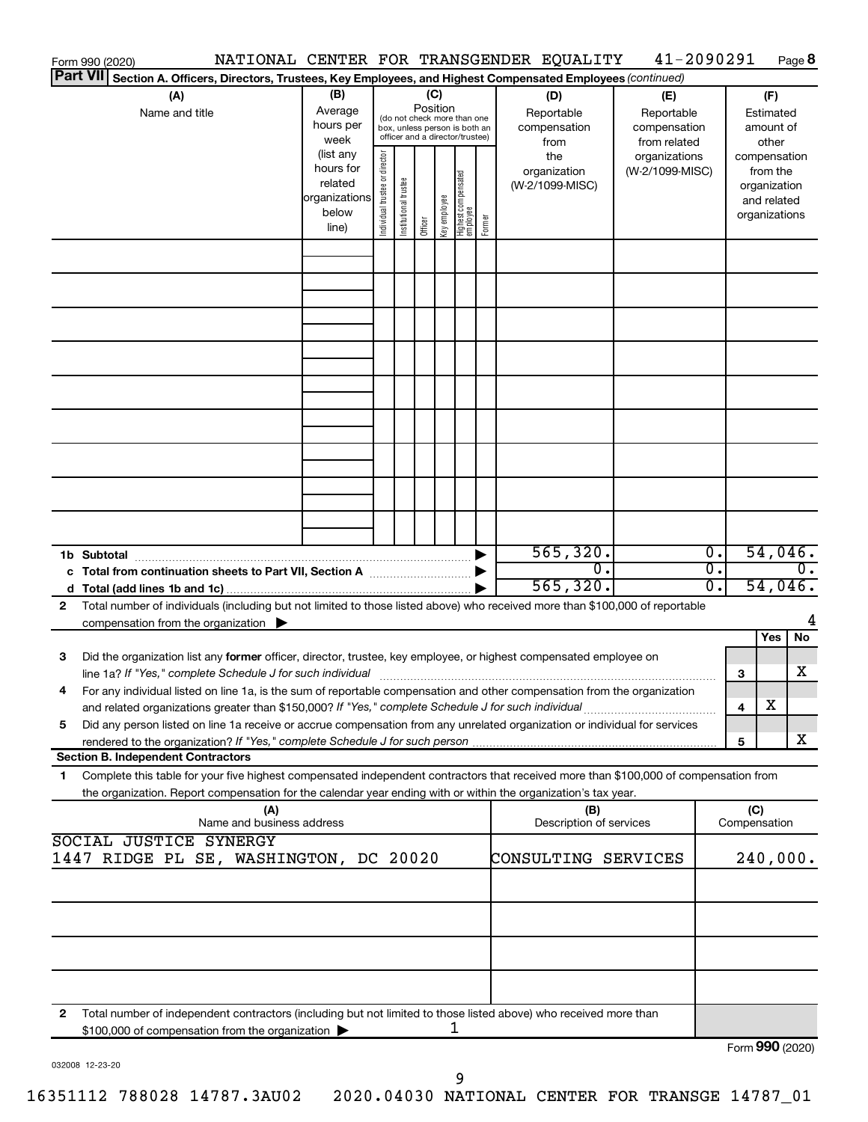|    | Form 990 (2020)                                                                                                                                                                                                                                                                                                                                   |                                                                      |                                |                                                                                                 |                         |                                  |        | NATIONAL CENTER FOR TRANSGENDER EQUALITY  | 41-2090291                                        |                                      |                 |                                                          | Page 8           |
|----|---------------------------------------------------------------------------------------------------------------------------------------------------------------------------------------------------------------------------------------------------------------------------------------------------------------------------------------------------|----------------------------------------------------------------------|--------------------------------|-------------------------------------------------------------------------------------------------|-------------------------|----------------------------------|--------|-------------------------------------------|---------------------------------------------------|--------------------------------------|-----------------|----------------------------------------------------------|------------------|
|    | Part VII Section A. Officers, Directors, Trustees, Key Employees, and Highest Compensated Employees (continued)                                                                                                                                                                                                                                   |                                                                      |                                |                                                                                                 |                         |                                  |        |                                           |                                                   |                                      |                 |                                                          |                  |
|    | (A)<br>Name and title                                                                                                                                                                                                                                                                                                                             | (B)<br>Average<br>hours per<br>week                                  |                                | (do not check more than one<br>box, unless person is both an<br>officer and a director/trustee) | (C)<br>Position         |                                  |        | (D)<br>Reportable<br>compensation<br>from | (E)<br>Reportable<br>compensation<br>from related |                                      |                 | (F)<br>Estimated<br>amount of<br>other                   |                  |
|    |                                                                                                                                                                                                                                                                                                                                                   | (list any<br>hours for<br>related<br>organizations<br>below<br>line) | Individual trustee or director | Institutional trustee                                                                           | Key employee<br>Officer | Highest compensated<br> employee | Former | the<br>organization<br>(W-2/1099-MISC)    | organizations<br>(W-2/1099-MISC)                  |                                      | compensation    | from the<br>organization<br>and related<br>organizations |                  |
|    |                                                                                                                                                                                                                                                                                                                                                   |                                                                      |                                |                                                                                                 |                         |                                  |        |                                           |                                                   |                                      |                 |                                                          |                  |
|    |                                                                                                                                                                                                                                                                                                                                                   |                                                                      |                                |                                                                                                 |                         |                                  |        |                                           |                                                   |                                      |                 |                                                          |                  |
|    |                                                                                                                                                                                                                                                                                                                                                   |                                                                      |                                |                                                                                                 |                         |                                  |        |                                           |                                                   |                                      |                 |                                                          |                  |
|    |                                                                                                                                                                                                                                                                                                                                                   |                                                                      |                                |                                                                                                 |                         |                                  |        |                                           |                                                   |                                      |                 |                                                          |                  |
|    |                                                                                                                                                                                                                                                                                                                                                   |                                                                      |                                |                                                                                                 |                         |                                  |        |                                           |                                                   |                                      |                 |                                                          |                  |
|    |                                                                                                                                                                                                                                                                                                                                                   |                                                                      |                                |                                                                                                 |                         |                                  |        |                                           |                                                   |                                      |                 |                                                          |                  |
|    |                                                                                                                                                                                                                                                                                                                                                   |                                                                      |                                |                                                                                                 |                         |                                  |        |                                           |                                                   |                                      |                 |                                                          |                  |
|    |                                                                                                                                                                                                                                                                                                                                                   |                                                                      |                                |                                                                                                 |                         |                                  |        |                                           |                                                   |                                      |                 |                                                          |                  |
|    | c Total from continuation sheets to Part VII, Section A manuscreen by                                                                                                                                                                                                                                                                             |                                                                      |                                |                                                                                                 |                         |                                  |        | 565, 320.<br>$\overline{0}$ .             |                                                   | $\overline{0}$ .<br>$\overline{0}$ . |                 | 54,046.                                                  | $\overline{0}$ . |
|    |                                                                                                                                                                                                                                                                                                                                                   |                                                                      |                                |                                                                                                 |                         |                                  |        | 565, 320.                                 |                                                   | $\overline{0}$ .                     |                 | 54,046.                                                  |                  |
| 2  | Total number of individuals (including but not limited to those listed above) who received more than \$100,000 of reportable<br>compensation from the organization $\blacktriangleright$                                                                                                                                                          |                                                                      |                                |                                                                                                 |                         |                                  |        |                                           |                                                   |                                      |                 |                                                          |                  |
| 3  | Did the organization list any former officer, director, trustee, key employee, or highest compensated employee on                                                                                                                                                                                                                                 |                                                                      |                                |                                                                                                 |                         |                                  |        |                                           |                                                   |                                      |                 | Yes                                                      | No               |
|    | line 1a? If "Yes," complete Schedule J for such individual manufactured contains and the set of the schedule J<br>For any individual listed on line 1a, is the sum of reportable compensation and other compensation from the organization<br>and related organizations greater than \$150,000? If "Yes," complete Schedule J for such individual |                                                                      |                                |                                                                                                 |                         |                                  |        |                                           |                                                   |                                      | 3<br>4          | х                                                        | х                |
| 5  | Did any person listed on line 1a receive or accrue compensation from any unrelated organization or individual for services                                                                                                                                                                                                                        |                                                                      |                                |                                                                                                 |                         |                                  |        |                                           |                                                   |                                      | 5               |                                                          | х                |
| 1. | <b>Section B. Independent Contractors</b><br>Complete this table for your five highest compensated independent contractors that received more than \$100,000 of compensation from                                                                                                                                                                 |                                                                      |                                |                                                                                                 |                         |                                  |        |                                           |                                                   |                                      |                 |                                                          |                  |
|    | the organization. Report compensation for the calendar year ending with or within the organization's tax year.                                                                                                                                                                                                                                    | (A)                                                                  |                                |                                                                                                 |                         |                                  |        | (B)                                       |                                                   |                                      | (C)             |                                                          |                  |
|    |                                                                                                                                                                                                                                                                                                                                                   | Name and business address                                            |                                |                                                                                                 |                         |                                  |        | Description of services                   |                                                   |                                      | Compensation    |                                                          |                  |
|    | SOCIAL JUSTICE SYNERGY<br>1447 RIDGE PL SE, WASHINGTON, DC 20020                                                                                                                                                                                                                                                                                  |                                                                      |                                |                                                                                                 |                         |                                  |        | CONSULTING SERVICES                       |                                                   |                                      | 240,000.        |                                                          |                  |
|    |                                                                                                                                                                                                                                                                                                                                                   |                                                                      |                                |                                                                                                 |                         |                                  |        |                                           |                                                   |                                      |                 |                                                          |                  |
|    |                                                                                                                                                                                                                                                                                                                                                   |                                                                      |                                |                                                                                                 |                         |                                  |        |                                           |                                                   |                                      |                 |                                                          |                  |
|    |                                                                                                                                                                                                                                                                                                                                                   |                                                                      |                                |                                                                                                 |                         |                                  |        |                                           |                                                   |                                      |                 |                                                          |                  |
| 2  | Total number of independent contractors (including but not limited to those listed above) who received more than                                                                                                                                                                                                                                  |                                                                      |                                |                                                                                                 |                         |                                  |        |                                           |                                                   |                                      |                 |                                                          |                  |
|    | \$100,000 of compensation from the organization                                                                                                                                                                                                                                                                                                   |                                                                      |                                |                                                                                                 |                         | 1                                |        |                                           |                                                   |                                      | Form 990 (2020) |                                                          |                  |

| 032008 12-23-20 |
|-----------------|
|                 |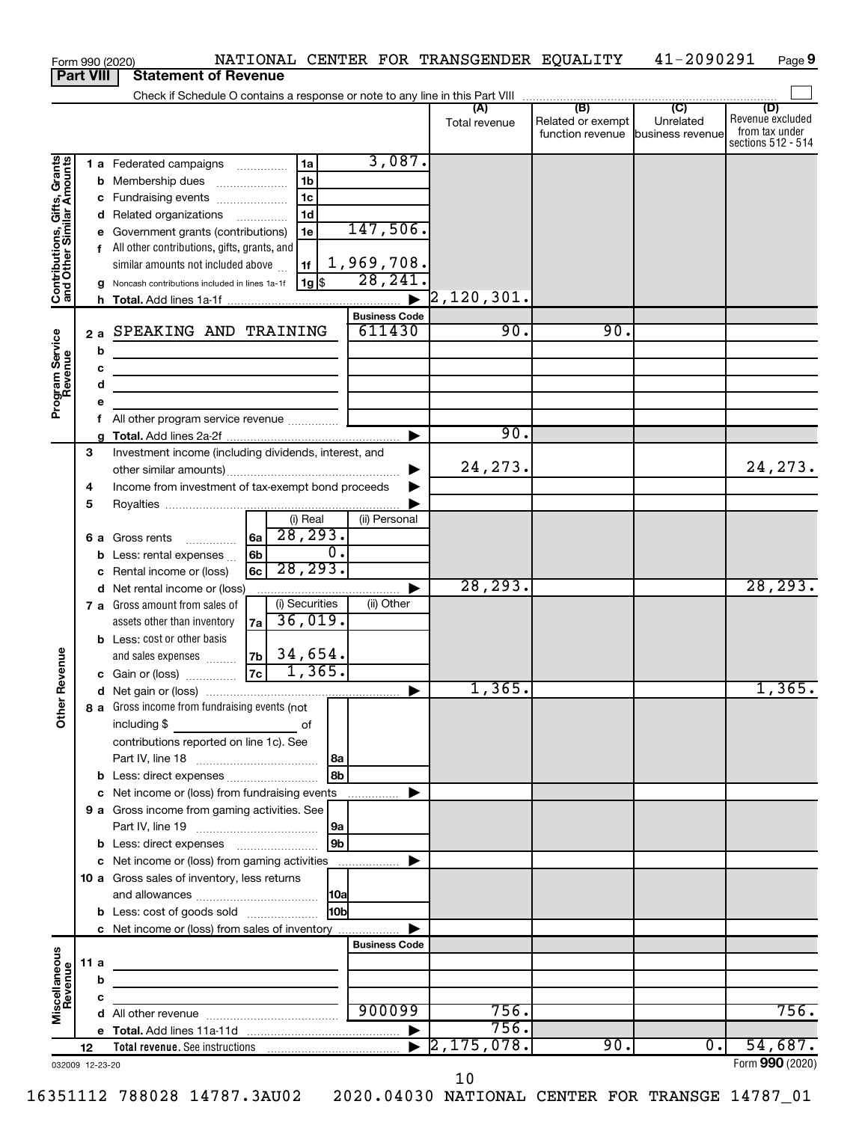|                                                           |      |         | NATIONAL CENTER FOR TRANSGENDER EQUALITY<br>Form 990 (2020)                        |                                |                       |                      |                                              | 41-2090291                                      | Page 9                                                          |
|-----------------------------------------------------------|------|---------|------------------------------------------------------------------------------------|--------------------------------|-----------------------|----------------------|----------------------------------------------|-------------------------------------------------|-----------------------------------------------------------------|
| <b>Part VIII</b>                                          |      |         | <b>Statement of Revenue</b>                                                        |                                |                       |                      |                                              |                                                 |                                                                 |
|                                                           |      |         |                                                                                    |                                |                       |                      |                                              |                                                 |                                                                 |
|                                                           |      |         |                                                                                    |                                |                       | (A)<br>Total revenue | (B)<br>Related or exempt<br>function revenue | $\overline{C}$<br>Unrelated<br>business revenue | (D)<br>Revenue excluded<br>from tax under<br>sections 512 - 514 |
|                                                           |      |         | 1a<br>1 a Federated campaigns                                                      |                                | 3,087.                |                      |                                              |                                                 |                                                                 |
| Contributions, Gifts, Grants<br>and Other Similar Amounts |      |         | 1 <sub>b</sub><br><b>b</b> Membership dues<br>$\ldots \ldots \ldots \ldots \ldots$ |                                |                       |                      |                                              |                                                 |                                                                 |
|                                                           |      |         | 1 <sub>c</sub><br>c Fundraising events                                             |                                |                       |                      |                                              |                                                 |                                                                 |
|                                                           |      |         | 1 <sub>d</sub><br>d Related organizations                                          |                                |                       |                      |                                              |                                                 |                                                                 |
|                                                           |      |         | 1e<br>e Government grants (contributions)                                          | 147,506.                       |                       |                      |                                              |                                                 |                                                                 |
|                                                           |      |         | f All other contributions, gifts, grants, and                                      |                                |                       |                      |                                              |                                                 |                                                                 |
|                                                           |      |         | 1f<br>similar amounts not included above                                           | 1,969,708.                     |                       |                      |                                              |                                                 |                                                                 |
|                                                           |      |         | 1g   \$<br>Noncash contributions included in lines 1a-1f                           | 28, 241.                       |                       |                      |                                              |                                                 |                                                                 |
|                                                           |      |         |                                                                                    |                                | $\blacktriangleright$ | $\vert 2$ ,120,301.  |                                              |                                                 |                                                                 |
|                                                           |      |         |                                                                                    | <b>Business Code</b><br>611430 |                       | 90.                  | 90.                                          |                                                 |                                                                 |
| Program Service<br>Revenue                                | 2a   |         | SPEAKING AND TRAINING                                                              |                                |                       |                      |                                              |                                                 |                                                                 |
|                                                           |      | b       |                                                                                    |                                |                       |                      |                                              |                                                 |                                                                 |
|                                                           |      | с       | the control of the control of the control of the control of the control of         |                                |                       |                      |                                              |                                                 |                                                                 |
|                                                           |      | d       | the control of the control of the control of the control of the control of         |                                |                       |                      |                                              |                                                 |                                                                 |
|                                                           |      | е<br>f. | All other program service revenue                                                  |                                |                       |                      |                                              |                                                 |                                                                 |
|                                                           |      |         |                                                                                    |                                | ▶                     | 90.                  |                                              |                                                 |                                                                 |
|                                                           | 3    |         | Investment income (including dividends, interest, and                              |                                |                       |                      |                                              |                                                 |                                                                 |
|                                                           |      |         |                                                                                    |                                | ▶                     | 24, 273.             |                                              |                                                 | 24, 273.                                                        |
|                                                           | 4    |         | Income from investment of tax-exempt bond proceeds                                 |                                |                       |                      |                                              |                                                 |                                                                 |
|                                                           | 5    |         |                                                                                    |                                |                       |                      |                                              |                                                 |                                                                 |
|                                                           |      |         | (i) Real                                                                           | (ii) Personal                  |                       |                      |                                              |                                                 |                                                                 |
|                                                           |      |         | 28, 293.<br> 6a <br>6 a Gross rents                                                |                                |                       |                      |                                              |                                                 |                                                                 |
|                                                           |      |         | $\overline{0}$ .<br>6 <sub>b</sub><br><b>b</b> Less: rental expenses               |                                |                       |                      |                                              |                                                 |                                                                 |
|                                                           |      |         | 28, 293.<br>6c<br>c Rental income or (loss)                                        |                                |                       |                      |                                              |                                                 |                                                                 |
|                                                           |      |         | d Net rental income or (loss)                                                      |                                | ▶                     | 28, 293.             |                                              |                                                 | 28, 293.                                                        |
|                                                           |      |         | (i) Securities<br>7 a Gross amount from sales of                                   | (ii) Other                     |                       |                      |                                              |                                                 |                                                                 |
|                                                           |      |         | 36,019.<br>assets other than inventory<br>7a                                       |                                |                       |                      |                                              |                                                 |                                                                 |
|                                                           |      |         | <b>b</b> Less: cost or other basis                                                 |                                |                       |                      |                                              |                                                 |                                                                 |
| evenue                                                    |      |         | 34,654.<br> 7b <br>and sales expenses                                              |                                |                       |                      |                                              |                                                 |                                                                 |
|                                                           |      |         | 1,365.<br>7c<br>c Gain or (loss)                                                   |                                |                       |                      |                                              |                                                 |                                                                 |
|                                                           |      |         |                                                                                    |                                |                       | 1,365.               |                                              |                                                 | 1,365.                                                          |
| Other F                                                   |      |         | 8 a Gross income from fundraising events (not                                      |                                |                       |                      |                                              |                                                 |                                                                 |
|                                                           |      |         | including \$                                                                       |                                |                       |                      |                                              |                                                 |                                                                 |
|                                                           |      |         | contributions reported on line 1c). See                                            |                                |                       |                      |                                              |                                                 |                                                                 |
|                                                           |      |         | 8b<br>b Less: direct expenses                                                      |                                |                       |                      |                                              |                                                 |                                                                 |
|                                                           |      |         | c Net income or (loss) from fundraising events                                     |                                | ▶                     |                      |                                              |                                                 |                                                                 |
|                                                           |      |         | 9 a Gross income from gaming activities. See                                       |                                |                       |                      |                                              |                                                 |                                                                 |
|                                                           |      |         |                                                                                    |                                |                       |                      |                                              |                                                 |                                                                 |
|                                                           |      |         | l 9b∣                                                                              |                                |                       |                      |                                              |                                                 |                                                                 |
|                                                           |      |         | c Net income or (loss) from gaming activities                                      |                                | ▶                     |                      |                                              |                                                 |                                                                 |
|                                                           |      |         | 10 a Gross sales of inventory, less returns                                        |                                |                       |                      |                                              |                                                 |                                                                 |
|                                                           |      |         |                                                                                    |                                |                       |                      |                                              |                                                 |                                                                 |
|                                                           |      |         | 10 <sub>b</sub><br><b>b</b> Less: cost of goods sold                               |                                |                       |                      |                                              |                                                 |                                                                 |
|                                                           |      |         | c Net income or (loss) from sales of inventory                                     |                                | ▶                     |                      |                                              |                                                 |                                                                 |
|                                                           |      |         |                                                                                    | <b>Business Code</b>           |                       |                      |                                              |                                                 |                                                                 |
| Miscellaneous<br>Revenue                                  | 11 a |         | the control of the control of the control of the control of the control of         |                                |                       |                      |                                              |                                                 |                                                                 |
|                                                           |      | b       |                                                                                    |                                |                       |                      |                                              |                                                 |                                                                 |
|                                                           |      | c       | the control of the control of the control of the control of                        |                                |                       |                      |                                              |                                                 |                                                                 |
|                                                           |      |         |                                                                                    | 900099                         |                       | 756.                 |                                              |                                                 | 756.                                                            |
|                                                           |      |         |                                                                                    |                                |                       | 756.                 |                                              |                                                 |                                                                 |
|                                                           | 12   |         |                                                                                    |                                | $\blacktriangleright$ | 2, 175, 078.         | 90.                                          | $\overline{0}$ .                                | 54,687.                                                         |
| 032009 12-23-20                                           |      |         |                                                                                    |                                |                       |                      |                                              |                                                 | Form 990 (2020)                                                 |

10

<sup>16351112 788028 14787.3</sup>AU02 2020.04030 NATIONAL CENTER FOR TRANSGE 14787\_01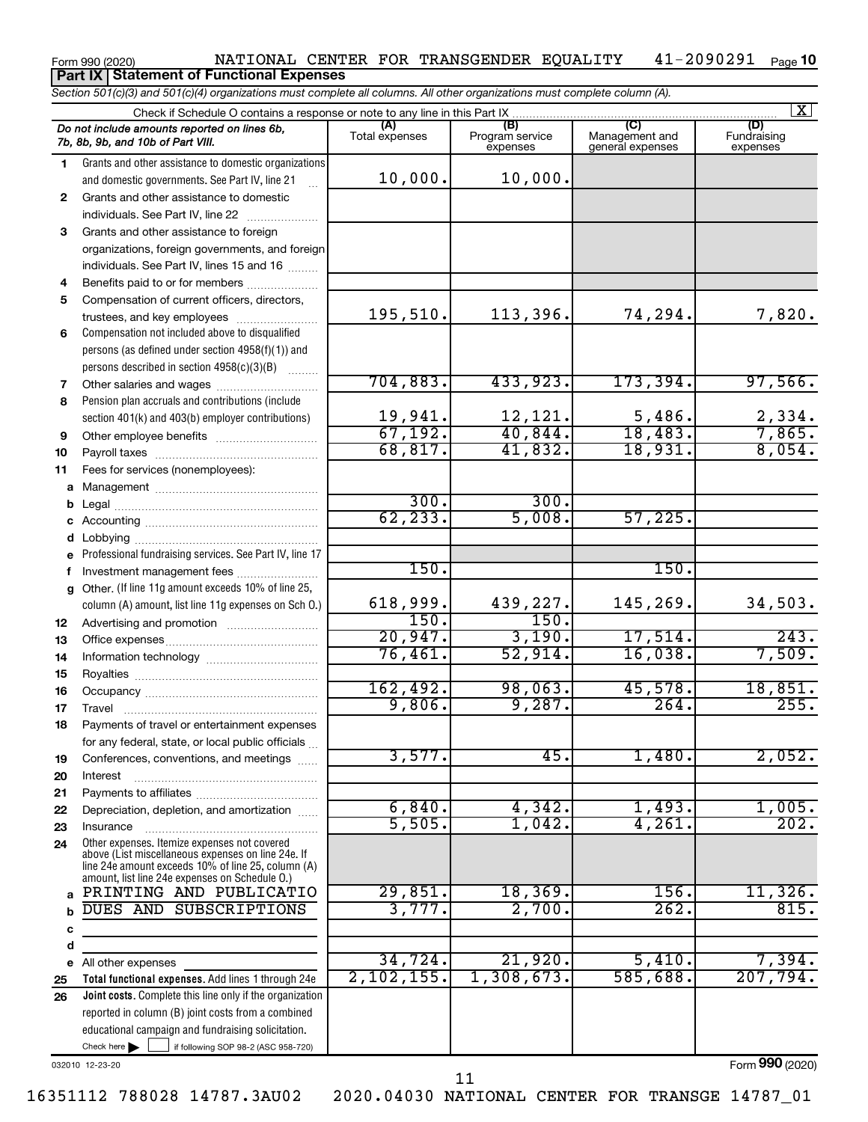#### Form 990 (2020) NATIONAL CENTER FOR TRANSGENDER EQUALITY 41-2090291 Page 41-2090291 Page 10 **Part IX Statement of Functional Expenses**

*Section 501(c)(3) and 501(c)(4) organizations must complete all columns. All other organizations must complete column (A).*

|              | Check if Schedule O contains a response or note to any line in this Part IX                          |                       |                                    |                                           | $\mathbf{X}$                   |
|--------------|------------------------------------------------------------------------------------------------------|-----------------------|------------------------------------|-------------------------------------------|--------------------------------|
|              | Do not include amounts reported on lines 6b,<br>7b, 8b, 9b, and 10b of Part VIII.                    | (A)<br>Total expenses | (B)<br>Program service<br>expenses | (C)<br>Management and<br>general expenses | (D)<br>Fundraising<br>expenses |
| 1.           | Grants and other assistance to domestic organizations                                                |                       |                                    |                                           |                                |
|              | and domestic governments. See Part IV, line 21                                                       | 10,000.               | 10,000.                            |                                           |                                |
| $\mathbf{2}$ | Grants and other assistance to domestic                                                              |                       |                                    |                                           |                                |
|              | individuals. See Part IV, line 22                                                                    |                       |                                    |                                           |                                |
| 3            | Grants and other assistance to foreign                                                               |                       |                                    |                                           |                                |
|              | organizations, foreign governments, and foreign                                                      |                       |                                    |                                           |                                |
|              | individuals. See Part IV, lines 15 and 16                                                            |                       |                                    |                                           |                                |
| 4            | Benefits paid to or for members                                                                      |                       |                                    |                                           |                                |
| 5            | Compensation of current officers, directors,                                                         |                       |                                    |                                           |                                |
|              | trustees, and key employees                                                                          | 195,510.              | 113,396.                           | 74,294.                                   | 7,820.                         |
| 6            | Compensation not included above to disqualified                                                      |                       |                                    |                                           |                                |
|              | persons (as defined under section 4958(f)(1)) and                                                    |                       |                                    |                                           |                                |
|              | persons described in section 4958(c)(3)(B)                                                           |                       |                                    |                                           |                                |
| 7            | Other salaries and wages                                                                             | 704,883.              | 433,923.                           | 173,394.                                  | 97,566.                        |
| 8            | Pension plan accruals and contributions (include                                                     |                       |                                    |                                           |                                |
|              | section 401(k) and 403(b) employer contributions)                                                    | 19,941.               | 12,121.                            | 5,486.                                    | 2,334.                         |
| 9            |                                                                                                      | 67, 192.              | 40,844.                            | 18,483.                                   | 7,865.                         |
| 10           |                                                                                                      | 68, 817.              | 41,832.                            | 18,931.                                   | 8,054.                         |
| 11           | Fees for services (nonemployees):                                                                    |                       |                                    |                                           |                                |
|              |                                                                                                      |                       |                                    |                                           |                                |
| b            |                                                                                                      | 300.                  | 300.                               |                                           |                                |
| c            |                                                                                                      | 62, 233.              | 5,008.                             | 57,225.                                   |                                |
| d            |                                                                                                      |                       |                                    |                                           |                                |
| e            | Professional fundraising services. See Part IV, line 17                                              |                       |                                    |                                           |                                |
| f            | Investment management fees                                                                           | 150.                  |                                    | 150.                                      |                                |
| $\mathbf{q}$ | Other. (If line 11g amount exceeds 10% of line 25,                                                   |                       |                                    |                                           |                                |
|              | column (A) amount, list line 11g expenses on Sch O.)                                                 | 618,999.              | 439,227.                           | 145,269.                                  | 34,503.                        |
| 12           |                                                                                                      | 150.                  | 150.                               |                                           |                                |
| 13           |                                                                                                      | 20,947.               | 3,190.<br>52,914.                  | 17,514.                                   | 243.<br>7,509.                 |
| 14           |                                                                                                      | 76,461.               |                                    | 16,038.                                   |                                |
| 15           |                                                                                                      | 162,492.              | 98,063.                            | 45,578.                                   | 18,851.                        |
| 16           |                                                                                                      | 9,806.                | 9,287.                             | 264.                                      | 255.                           |
| 17           |                                                                                                      |                       |                                    |                                           |                                |
| 18           | Payments of travel or entertainment expenses                                                         |                       |                                    |                                           |                                |
|              | for any federal, state, or local public officials                                                    | 3,577.                | 45.                                | 1,480.                                    | 2,052.                         |
| 19           | Conferences, conventions, and meetings                                                               |                       |                                    |                                           |                                |
| 20<br>21     | Interest                                                                                             |                       |                                    |                                           |                                |
| 22           | Depreciation, depletion, and amortization                                                            | 6,840.                | 4,342.                             | 1,493.                                    | 1,005.                         |
| 23           | Insurance                                                                                            | 5,505.                | 1,042.                             | 4,261.                                    | 202.                           |
| 24           | Other expenses. Itemize expenses not covered                                                         |                       |                                    |                                           |                                |
|              | above (List miscellaneous expenses on line 24e. If                                                   |                       |                                    |                                           |                                |
|              | line 24e amount exceeds 10% of line 25, column (A)<br>amount, list line 24e expenses on Schedule O.) |                       |                                    |                                           |                                |
| a            | PRINTING AND PUBLICATIO                                                                              | 29,851.               | 18,369.                            | 156.                                      | 11,326.                        |
| b            | DUES AND SUBSCRIPTIONS                                                                               | 3,777.                | 2,700.                             | 262.                                      | 815.                           |
| c            |                                                                                                      |                       |                                    |                                           |                                |
| d            |                                                                                                      |                       |                                    |                                           |                                |
| е            | All other expenses                                                                                   | 34,724.               | 21,920.                            | 5,410.                                    | 7,394.                         |
| 25           | Total functional expenses. Add lines 1 through 24e                                                   | 2, 102, 155.          | 1,308,673.                         | 585,688.                                  | 207,794.                       |
| 26           | Joint costs. Complete this line only if the organization                                             |                       |                                    |                                           |                                |
|              | reported in column (B) joint costs from a combined                                                   |                       |                                    |                                           |                                |
|              | educational campaign and fundraising solicitation.                                                   |                       |                                    |                                           |                                |
|              | Check here $\blacktriangleright$<br>if following SOP 98-2 (ASC 958-720)                              |                       |                                    |                                           |                                |

032010 12-23-20

Form (2020) **990**

11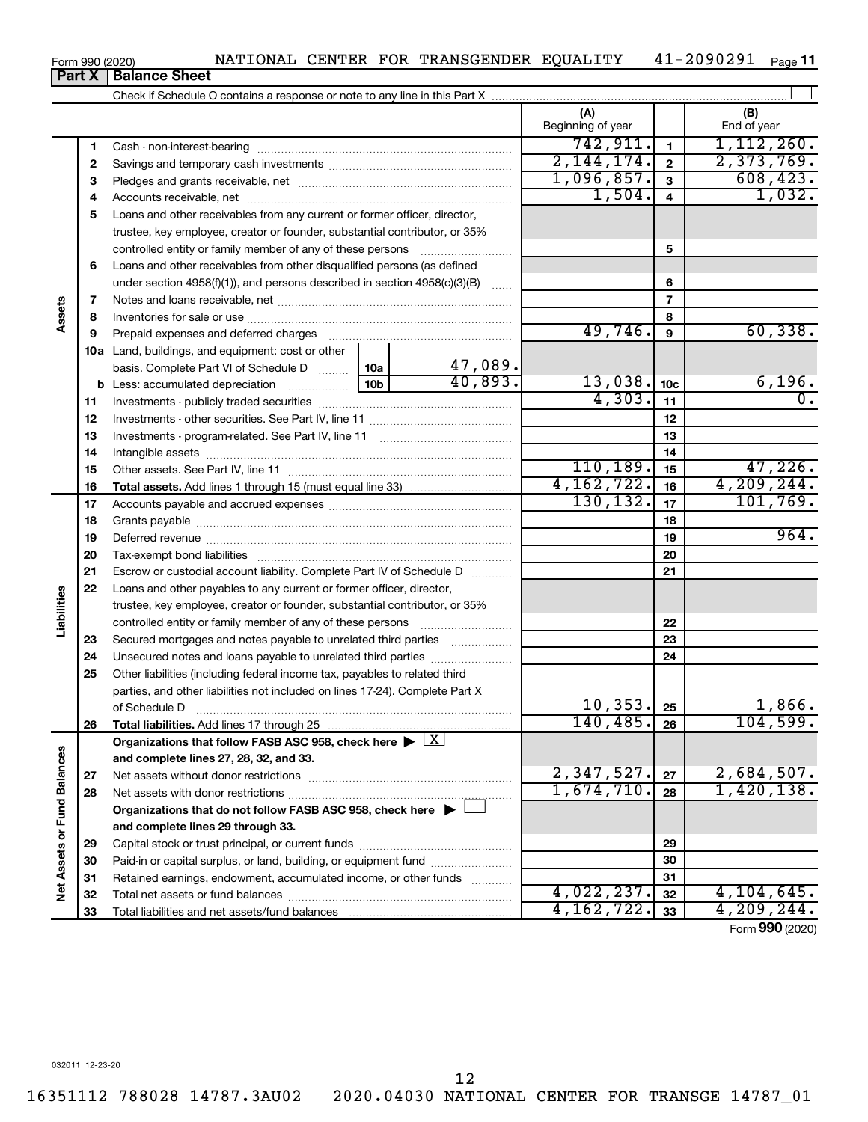#### 16351112 788028 14787.3AU02 2020.04030 NATIONAL CENTER FOR TRANSGE 14787\_01 12

Form 990 (2020) **Part X Balance Sheet** 

| 21004 |  | NATIONAL CENTER FOR TRANSGENDER EQUALITY | $41 - 2090291$ Page 11 |  |
|-------|--|------------------------------------------|------------------------|--|
|       |  |                                          |                        |  |

|                             |          |                                                                                                        |     |                | (A)<br>Beginning of year |                         | (B)<br>End of year |
|-----------------------------|----------|--------------------------------------------------------------------------------------------------------|-----|----------------|--------------------------|-------------------------|--------------------|
|                             | 1        |                                                                                                        |     |                | 742, 911.                | $\mathbf{1}$            | 1, 112, 260.       |
|                             | 2        |                                                                                                        |     |                | 2,144,174.               | $\mathbf{2}$            | 2,373,769.         |
|                             | З        |                                                                                                        |     |                | 1,096,857.               | $\mathbf{3}$            | 608, 423.          |
|                             | 4        |                                                                                                        |     |                | 1,504.                   | $\overline{\mathbf{4}}$ | 1,032.             |
|                             | 5        | Loans and other receivables from any current or former officer, director,                              |     |                |                          |                         |                    |
|                             |          | trustee, key employee, creator or founder, substantial contributor, or 35%                             |     |                |                          |                         |                    |
|                             |          |                                                                                                        |     |                |                          | 5                       |                    |
|                             | 6        | Loans and other receivables from other disqualified persons (as defined                                |     |                |                          |                         |                    |
|                             |          | under section $4958(f)(1)$ , and persons described in section $4958(c)(3)(B)$                          |     | $\overline{a}$ |                          | 6                       |                    |
|                             | 7        |                                                                                                        |     |                |                          | $\overline{7}$          |                    |
| Assets                      | 8        |                                                                                                        |     |                |                          | 8                       |                    |
|                             | 9        | Prepaid expenses and deferred charges                                                                  |     |                | 49,746.                  | 9                       | 60, 338.           |
|                             |          | 10a Land, buildings, and equipment: cost or other                                                      |     |                |                          |                         |                    |
|                             |          | basis. Complete Part VI of Schedule D  10a                                                             |     | 47,089.        |                          |                         |                    |
|                             |          | <b>b</b> Less: accumulated depreciation                                                                | 10b | 40,893.        | 13,038.                  | 10 <sub>c</sub>         | 6,196.             |
|                             | 11       |                                                                                                        |     |                | 4,303.                   | 11                      | $\overline{0}$ .   |
|                             | 12       |                                                                                                        |     |                |                          | 12                      |                    |
|                             | 13       |                                                                                                        |     |                |                          | 13                      |                    |
|                             | 14       |                                                                                                        |     |                |                          | 14                      |                    |
|                             | 15       |                                                                                                        |     |                | 110, 189.                | 15                      | 47,226.            |
|                             | 16       |                                                                                                        |     |                | 4, 162, 722.             | 16                      | 4, 209, 244.       |
|                             | 17       |                                                                                                        |     |                | 130, 132.                | 17                      | 101, 769.          |
|                             | 18       |                                                                                                        |     |                |                          | 18                      |                    |
|                             | 19       |                                                                                                        |     |                |                          | 19                      | 964.               |
|                             | 20       |                                                                                                        |     |                |                          | 20                      |                    |
|                             | 21       | Escrow or custodial account liability. Complete Part IV of Schedule D                                  |     |                |                          | 21                      |                    |
|                             | 22       | Loans and other payables to any current or former officer, director,                                   |     |                |                          |                         |                    |
| Liabilities                 |          | trustee, key employee, creator or founder, substantial contributor, or 35%                             |     |                |                          |                         |                    |
|                             |          |                                                                                                        |     |                |                          | 22                      |                    |
|                             | 23       | Secured mortgages and notes payable to unrelated third parties                                         |     |                |                          | 23                      |                    |
|                             | 24       | Unsecured notes and loans payable to unrelated third parties                                           |     |                |                          | 24                      |                    |
|                             | 25       | Other liabilities (including federal income tax, payables to related third                             |     |                |                          |                         |                    |
|                             |          | parties, and other liabilities not included on lines 17-24). Complete Part X                           |     |                | 10, 353.                 |                         | 1,866.             |
|                             |          | of Schedule D                                                                                          |     |                | $140, 485.$ 26           | 25                      | 104,599.           |
|                             | 26       |                                                                                                        |     |                |                          |                         |                    |
|                             |          | Organizations that follow FASB ASC 958, check here $\blacktriangleright \lfloor \underline{X} \rfloor$ |     |                |                          |                         |                    |
|                             |          | and complete lines 27, 28, 32, and 33.                                                                 |     |                | 2,347,527.               | 27                      | 2,684,507.         |
|                             | 27<br>28 |                                                                                                        |     |                | 1,674,710.               | 28                      | 1,420,138.         |
|                             |          | Organizations that do not follow FASB ASC 958, check here $\blacktriangleright$                        |     |                |                          |                         |                    |
|                             |          | and complete lines 29 through 33.                                                                      |     |                |                          |                         |                    |
| Net Assets or Fund Balances | 29       |                                                                                                        |     |                |                          | 29                      |                    |
|                             | 30       | Paid-in or capital surplus, or land, building, or equipment fund                                       |     |                |                          | 30                      |                    |
|                             | 31       | Retained earnings, endowment, accumulated income, or other funds                                       |     |                |                          | 31                      |                    |
|                             | 32       |                                                                                                        |     |                | 4,022,237.               | 32                      | 4, 104, 645.       |
|                             | 33       |                                                                                                        |     |                | 4, 162, 722.             | 33                      | 4, 209, 244.       |
|                             |          |                                                                                                        |     |                |                          |                         |                    |

Form (2020) **990**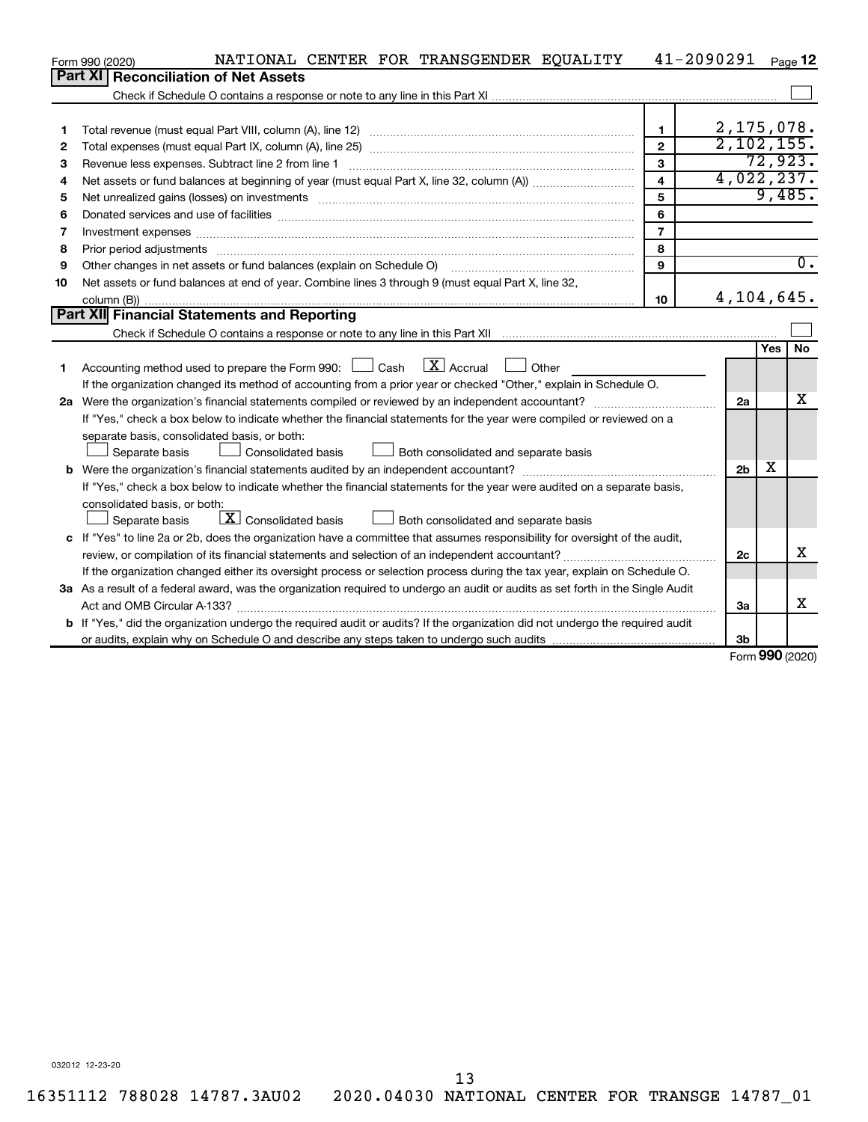|    | NATIONAL CENTER FOR TRANSGENDER EQUALITY<br>Form 990 (2020)                                                                          |                | 41-2090291     |            | Page 12          |
|----|--------------------------------------------------------------------------------------------------------------------------------------|----------------|----------------|------------|------------------|
|    | Part XI<br><b>Reconciliation of Net Assets</b>                                                                                       |                |                |            |                  |
|    |                                                                                                                                      |                |                |            |                  |
|    |                                                                                                                                      |                |                |            |                  |
| 1  |                                                                                                                                      | $\mathbf{1}$   | 2,175,078.     |            |                  |
| 2  |                                                                                                                                      | $\mathbf{2}$   | 2,102,155.     |            |                  |
| 3  | Revenue less expenses. Subtract line 2 from line 1                                                                                   | 3              |                |            | 72,923.          |
| 4  |                                                                                                                                      | 4              | 4,022,237.     |            |                  |
| 5  |                                                                                                                                      | 5              |                |            | 9,485.           |
| 6  |                                                                                                                                      | 6              |                |            |                  |
| 7  | Investment expenses www.communication.com/www.communication.com/www.communication.com/www.com                                        | $\overline{7}$ |                |            |                  |
| 8  | Prior period adjustments www.communication.communication.communication.com/news-managements                                          | 8              |                |            |                  |
| 9  | Other changes in net assets or fund balances (explain on Schedule O)                                                                 | 9              |                |            | $\overline{0}$ . |
| 10 | Net assets or fund balances at end of year. Combine lines 3 through 9 (must equal Part X, line 32,                                   |                |                |            |                  |
|    |                                                                                                                                      | 10             | 4,104,645.     |            |                  |
|    | Part XII Financial Statements and Reporting                                                                                          |                |                |            |                  |
|    |                                                                                                                                      |                |                |            |                  |
|    |                                                                                                                                      |                |                | <b>Yes</b> | <b>No</b>        |
| 1. | Accounting method used to prepare the Form 990: $\Box$ Cash $\Box X$ Accrual<br>$\Box$ Other                                         |                |                |            |                  |
|    | If the organization changed its method of accounting from a prior year or checked "Other," explain in Schedule O.                    |                |                |            |                  |
|    |                                                                                                                                      |                | 2a             |            | X                |
|    | If "Yes," check a box below to indicate whether the financial statements for the year were compiled or reviewed on a                 |                |                |            |                  |
|    | separate basis, consolidated basis, or both:                                                                                         |                |                |            |                  |
|    | Both consolidated and separate basis<br>Separate basis<br>Consolidated basis                                                         |                |                |            |                  |
|    |                                                                                                                                      |                | 2 <sub>b</sub> | х          |                  |
|    | If "Yes," check a box below to indicate whether the financial statements for the year were audited on a separate basis,              |                |                |            |                  |
|    | consolidated basis, or both:                                                                                                         |                |                |            |                  |
|    | $\lfloor \underline{X} \rfloor$ Consolidated basis<br>Both consolidated and separate basis<br>Separate basis                         |                |                |            |                  |
|    | c If "Yes" to line 2a or 2b, does the organization have a committee that assumes responsibility for oversight of the audit,          |                |                |            |                  |
|    |                                                                                                                                      |                | 2c             |            | X                |
|    | If the organization changed either its oversight process or selection process during the tax year, explain on Schedule O.            |                |                |            |                  |
|    | 3a As a result of a federal award, was the organization required to undergo an audit or audits as set forth in the Single Audit      |                |                |            |                  |
|    | Act and OMB Circular A-133?                                                                                                          |                | 3a             |            | x                |
|    | <b>b</b> If "Yes," did the organization undergo the required audit or audits? If the organization did not undergo the required audit |                |                |            |                  |
|    |                                                                                                                                      |                | 3b             | $\sim$     |                  |

Form (2020) **990**

032012 12-23-20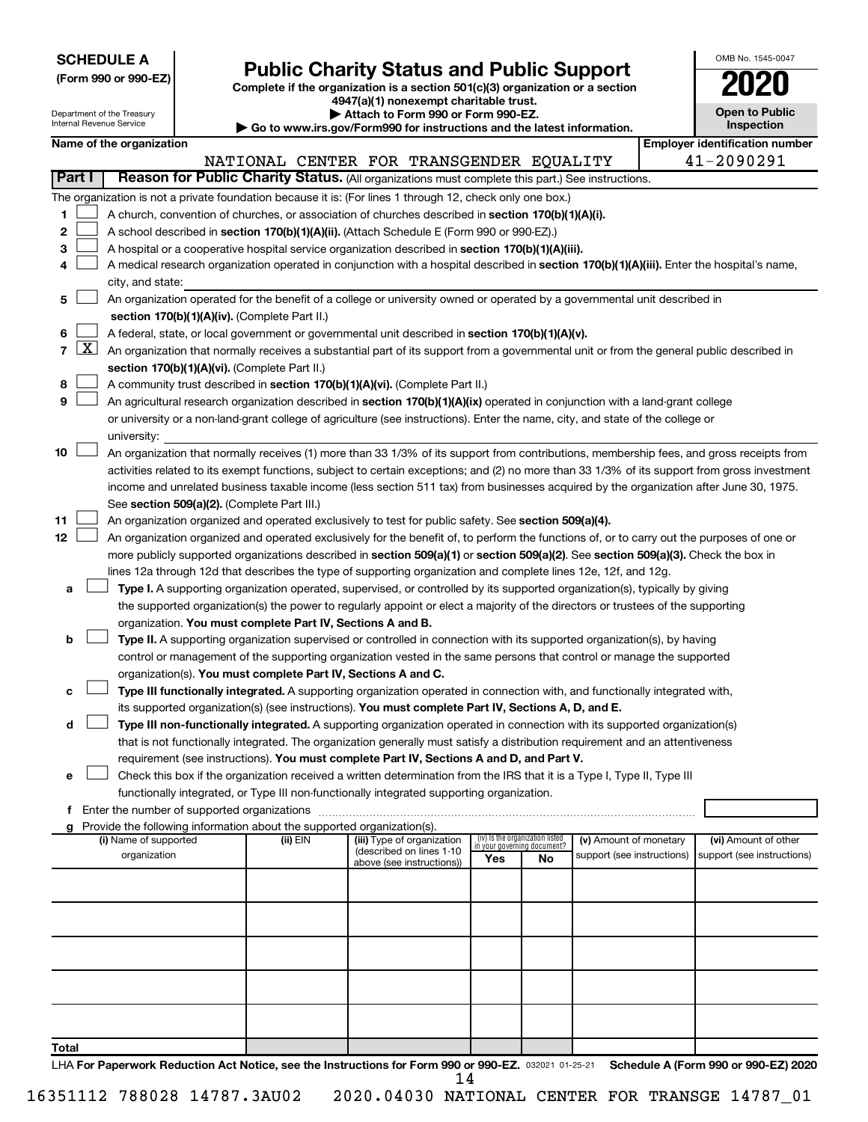| <b>SCHEDULE A</b> |  |
|-------------------|--|
|-------------------|--|

Department of the Treasury a mon<br>sel Der

# Form 990 or 990-EZ) **Public Charity Status and Public Support**<br>
Complete if the organization is a section 501(c)(3) organization or a section<br> **2020**

**4947(a)(1) nonexempt charitable trust.**

**| Attach to Form 990 or Form 990-EZ.** 

| OMB No 1545-0047                    |
|-------------------------------------|
| 2020                                |
| <b>Open to Public</b><br>Inspection |

|       |                 | internal Revenue Service |                                                                        | $\blacktriangleright$ Go to www.irs.gov/Form990 for instructions and the latest information.                                                                                                                    |                                                                |    |                            | <b>Inspection</b>                     |
|-------|-----------------|--------------------------|------------------------------------------------------------------------|-----------------------------------------------------------------------------------------------------------------------------------------------------------------------------------------------------------------|----------------------------------------------------------------|----|----------------------------|---------------------------------------|
|       |                 | Name of the organization |                                                                        |                                                                                                                                                                                                                 |                                                                |    |                            | <b>Employer identification number</b> |
|       | <b>Part I</b>   |                          |                                                                        | NATIONAL CENTER FOR TRANSGENDER EQUALITY<br>Reason for Public Charity Status. (All organizations must complete this part.) See instructions.                                                                    |                                                                |    |                            | 41-2090291                            |
|       |                 |                          |                                                                        |                                                                                                                                                                                                                 |                                                                |    |                            |                                       |
| 1     |                 |                          |                                                                        | The organization is not a private foundation because it is: (For lines 1 through 12, check only one box.)<br>A church, convention of churches, or association of churches described in section 170(b)(1)(A)(i). |                                                                |    |                            |                                       |
| 2     |                 |                          |                                                                        | A school described in section 170(b)(1)(A)(ii). (Attach Schedule E (Form 990 or 990-EZ).)                                                                                                                       |                                                                |    |                            |                                       |
| з     |                 |                          |                                                                        | A hospital or a cooperative hospital service organization described in section 170(b)(1)(A)(iii).                                                                                                               |                                                                |    |                            |                                       |
| 4     |                 |                          |                                                                        | A medical research organization operated in conjunction with a hospital described in section 170(b)(1)(A)(iii). Enter the hospital's name,                                                                      |                                                                |    |                            |                                       |
|       |                 | city, and state:         |                                                                        |                                                                                                                                                                                                                 |                                                                |    |                            |                                       |
| 5     |                 |                          |                                                                        | An organization operated for the benefit of a college or university owned or operated by a governmental unit described in                                                                                       |                                                                |    |                            |                                       |
|       |                 |                          | section 170(b)(1)(A)(iv). (Complete Part II.)                          |                                                                                                                                                                                                                 |                                                                |    |                            |                                       |
| 6     |                 |                          |                                                                        | A federal, state, or local government or governmental unit described in section 170(b)(1)(A)(v).                                                                                                                |                                                                |    |                            |                                       |
|       | $7 \mid X \mid$ |                          |                                                                        | An organization that normally receives a substantial part of its support from a governmental unit or from the general public described in                                                                       |                                                                |    |                            |                                       |
|       |                 |                          | section 170(b)(1)(A)(vi). (Complete Part II.)                          |                                                                                                                                                                                                                 |                                                                |    |                            |                                       |
| 8     |                 |                          |                                                                        | A community trust described in section 170(b)(1)(A)(vi). (Complete Part II.)                                                                                                                                    |                                                                |    |                            |                                       |
| 9     |                 |                          |                                                                        | An agricultural research organization described in section 170(b)(1)(A)(ix) operated in conjunction with a land-grant college                                                                                   |                                                                |    |                            |                                       |
|       |                 |                          |                                                                        | or university or a non-land-grant college of agriculture (see instructions). Enter the name, city, and state of the college or                                                                                  |                                                                |    |                            |                                       |
|       |                 | university:              |                                                                        |                                                                                                                                                                                                                 |                                                                |    |                            |                                       |
| 10    |                 |                          |                                                                        | An organization that normally receives (1) more than 33 1/3% of its support from contributions, membership fees, and gross receipts from                                                                        |                                                                |    |                            |                                       |
|       |                 |                          |                                                                        | activities related to its exempt functions, subject to certain exceptions; and (2) no more than 33 1/3% of its support from gross investment                                                                    |                                                                |    |                            |                                       |
|       |                 |                          |                                                                        | income and unrelated business taxable income (less section 511 tax) from businesses acquired by the organization after June 30, 1975.                                                                           |                                                                |    |                            |                                       |
|       |                 |                          | See section 509(a)(2). (Complete Part III.)                            |                                                                                                                                                                                                                 |                                                                |    |                            |                                       |
| 11    |                 |                          |                                                                        | An organization organized and operated exclusively to test for public safety. See section 509(a)(4).                                                                                                            |                                                                |    |                            |                                       |
| 12    |                 |                          |                                                                        | An organization organized and operated exclusively for the benefit of, to perform the functions of, or to carry out the purposes of one or                                                                      |                                                                |    |                            |                                       |
|       |                 |                          |                                                                        | more publicly supported organizations described in section 509(a)(1) or section 509(a)(2). See section 509(a)(3). Check the box in                                                                              |                                                                |    |                            |                                       |
|       |                 |                          |                                                                        | lines 12a through 12d that describes the type of supporting organization and complete lines 12e, 12f, and 12g.                                                                                                  |                                                                |    |                            |                                       |
| а     |                 |                          |                                                                        | Type I. A supporting organization operated, supervised, or controlled by its supported organization(s), typically by giving                                                                                     |                                                                |    |                            |                                       |
|       |                 |                          |                                                                        | the supported organization(s) the power to regularly appoint or elect a majority of the directors or trustees of the supporting                                                                                 |                                                                |    |                            |                                       |
|       |                 |                          | organization. You must complete Part IV, Sections A and B.             |                                                                                                                                                                                                                 |                                                                |    |                            |                                       |
| b     |                 |                          |                                                                        | Type II. A supporting organization supervised or controlled in connection with its supported organization(s), by having                                                                                         |                                                                |    |                            |                                       |
|       |                 |                          |                                                                        | control or management of the supporting organization vested in the same persons that control or manage the supported                                                                                            |                                                                |    |                            |                                       |
|       |                 |                          | organization(s). You must complete Part IV, Sections A and C.          | Type III functionally integrated. A supporting organization operated in connection with, and functionally integrated with,                                                                                      |                                                                |    |                            |                                       |
| с     |                 |                          |                                                                        | its supported organization(s) (see instructions). You must complete Part IV, Sections A, D, and E.                                                                                                              |                                                                |    |                            |                                       |
| d     |                 |                          |                                                                        | Type III non-functionally integrated. A supporting organization operated in connection with its supported organization(s)                                                                                       |                                                                |    |                            |                                       |
|       |                 |                          |                                                                        | that is not functionally integrated. The organization generally must satisfy a distribution requirement and an attentiveness                                                                                    |                                                                |    |                            |                                       |
|       |                 |                          |                                                                        | requirement (see instructions). <b>You must complete Part IV, Sections A and D, and Part V.</b>                                                                                                                 |                                                                |    |                            |                                       |
| e     |                 |                          |                                                                        | Check this box if the organization received a written determination from the IRS that it is a Type I, Type II, Type III                                                                                         |                                                                |    |                            |                                       |
|       |                 |                          |                                                                        | functionally integrated, or Type III non-functionally integrated supporting organization.                                                                                                                       |                                                                |    |                            |                                       |
|       |                 |                          |                                                                        |                                                                                                                                                                                                                 |                                                                |    |                            |                                       |
| a     |                 |                          | Provide the following information about the supported organization(s). |                                                                                                                                                                                                                 |                                                                |    |                            |                                       |
|       |                 | (i) Name of supported    | (ii) EIN                                                               | (iii) Type of organization<br>(described on lines 1-10                                                                                                                                                          | (iv) Is the organization listed<br>in your governing document? |    | (v) Amount of monetary     | (vi) Amount of other                  |
|       |                 | organization             |                                                                        | above (see instructions))                                                                                                                                                                                       | Yes                                                            | No | support (see instructions) | support (see instructions)            |
|       |                 |                          |                                                                        |                                                                                                                                                                                                                 |                                                                |    |                            |                                       |
|       |                 |                          |                                                                        |                                                                                                                                                                                                                 |                                                                |    |                            |                                       |
|       |                 |                          |                                                                        |                                                                                                                                                                                                                 |                                                                |    |                            |                                       |
|       |                 |                          |                                                                        |                                                                                                                                                                                                                 |                                                                |    |                            |                                       |
|       |                 |                          |                                                                        |                                                                                                                                                                                                                 |                                                                |    |                            |                                       |
|       |                 |                          |                                                                        |                                                                                                                                                                                                                 |                                                                |    |                            |                                       |
|       |                 |                          |                                                                        |                                                                                                                                                                                                                 |                                                                |    |                            |                                       |
|       |                 |                          |                                                                        |                                                                                                                                                                                                                 |                                                                |    |                            |                                       |
|       |                 |                          |                                                                        |                                                                                                                                                                                                                 |                                                                |    |                            |                                       |
| Total |                 |                          |                                                                        |                                                                                                                                                                                                                 |                                                                |    |                            |                                       |
|       |                 |                          |                                                                        |                                                                                                                                                                                                                 |                                                                |    |                            |                                       |

LHA For Paperwork Reduction Act Notice, see the Instructions for Form 990 or 990-EZ. 032021 01-25-21 Schedule A (Form 990 or 990-EZ) 2020 14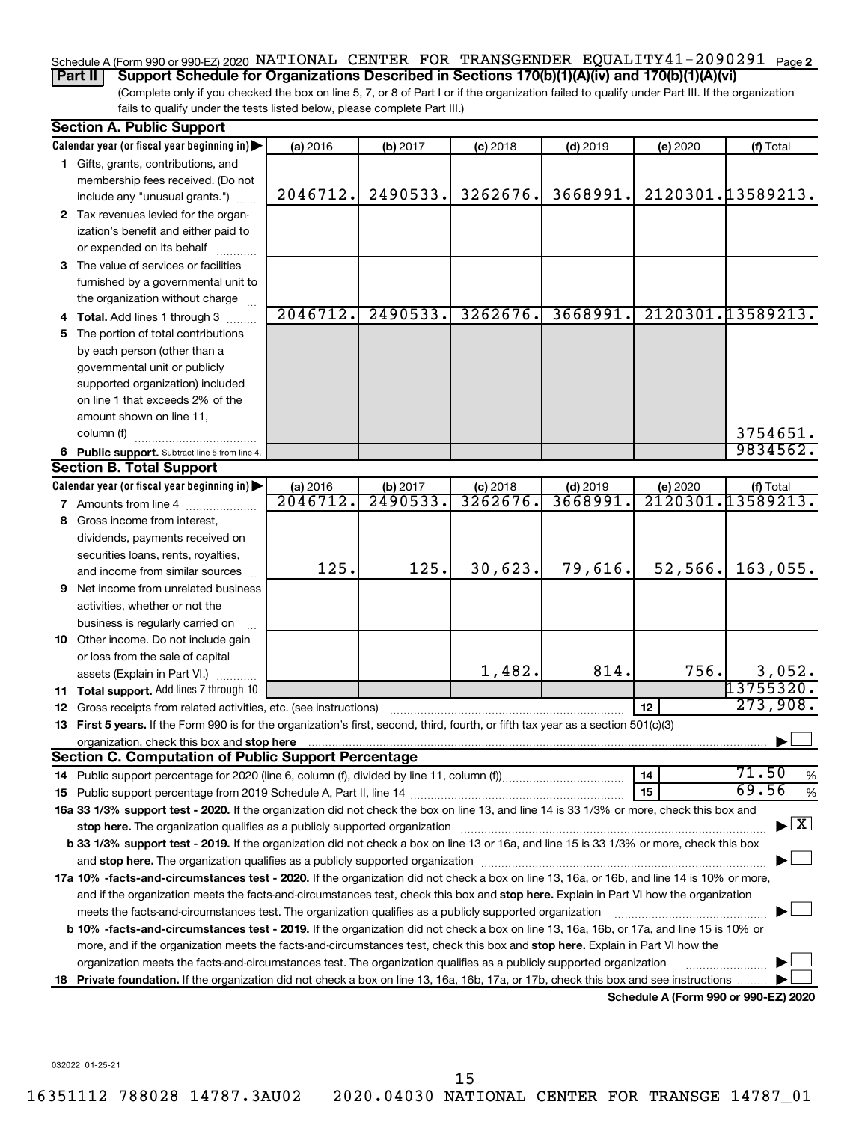#### Schedule A (Form 990 or 990-EZ) 2020 NATIONAL CENTER FOR TRANSGENDER EQUALITY41-2090291 <sub>Page 2</sub>

**Part II Support Schedule for Organizations Described in Sections 170(b)(1)(A)(iv) and 170(b)(1)(A)(vi)**

(Complete only if you checked the box on line 5, 7, or 8 of Part I or if the organization failed to qualify under Part III. If the organization fails to qualify under the tests listed below, please complete Part III.)

| <b>Section A. Public Support</b>                                                                                                                                                                                                                                                                                                                                           |          |          |            |            |          |                                      |
|----------------------------------------------------------------------------------------------------------------------------------------------------------------------------------------------------------------------------------------------------------------------------------------------------------------------------------------------------------------------------|----------|----------|------------|------------|----------|--------------------------------------|
| Calendar year (or fiscal year beginning in)                                                                                                                                                                                                                                                                                                                                | (a) 2016 | (b) 2017 | $(c)$ 2018 | $(d)$ 2019 | (e) 2020 | (f) Total                            |
| 1 Gifts, grants, contributions, and                                                                                                                                                                                                                                                                                                                                        |          |          |            |            |          |                                      |
| membership fees received. (Do not                                                                                                                                                                                                                                                                                                                                          |          |          |            |            |          |                                      |
| include any "unusual grants.")                                                                                                                                                                                                                                                                                                                                             | 2046712. | 2490533. | 3262676.   | 3668991.   |          | 2120301.13589213.                    |
| 2 Tax revenues levied for the organ-                                                                                                                                                                                                                                                                                                                                       |          |          |            |            |          |                                      |
| ization's benefit and either paid to                                                                                                                                                                                                                                                                                                                                       |          |          |            |            |          |                                      |
| or expended on its behalf                                                                                                                                                                                                                                                                                                                                                  |          |          |            |            |          |                                      |
| 3 The value of services or facilities                                                                                                                                                                                                                                                                                                                                      |          |          |            |            |          |                                      |
| furnished by a governmental unit to                                                                                                                                                                                                                                                                                                                                        |          |          |            |            |          |                                      |
| the organization without charge                                                                                                                                                                                                                                                                                                                                            |          |          |            |            |          |                                      |
| 4 Total. Add lines 1 through 3                                                                                                                                                                                                                                                                                                                                             | 2046712. | 2490533. | 3262676.   | 3668991    |          | 2120301.13589213.                    |
| 5 The portion of total contributions                                                                                                                                                                                                                                                                                                                                       |          |          |            |            |          |                                      |
| by each person (other than a                                                                                                                                                                                                                                                                                                                                               |          |          |            |            |          |                                      |
| governmental unit or publicly                                                                                                                                                                                                                                                                                                                                              |          |          |            |            |          |                                      |
| supported organization) included                                                                                                                                                                                                                                                                                                                                           |          |          |            |            |          |                                      |
| on line 1 that exceeds 2% of the                                                                                                                                                                                                                                                                                                                                           |          |          |            |            |          |                                      |
| amount shown on line 11,                                                                                                                                                                                                                                                                                                                                                   |          |          |            |            |          |                                      |
| column (f)                                                                                                                                                                                                                                                                                                                                                                 |          |          |            |            |          | 3754651.                             |
| 6 Public support. Subtract line 5 from line 4.                                                                                                                                                                                                                                                                                                                             |          |          |            |            |          | 9834562.                             |
| <b>Section B. Total Support</b>                                                                                                                                                                                                                                                                                                                                            |          |          |            |            |          |                                      |
| Calendar year (or fiscal year beginning in)                                                                                                                                                                                                                                                                                                                                | (a) 2016 | (b) 2017 | $(c)$ 2018 | $(d)$ 2019 | (e) 2020 | (f) Total                            |
| 7 Amounts from line 4                                                                                                                                                                                                                                                                                                                                                      | 2046712. | 2490533  | 3262676    | 3668991    |          | 2120301.13589213.                    |
| 8 Gross income from interest,                                                                                                                                                                                                                                                                                                                                              |          |          |            |            |          |                                      |
| dividends, payments received on                                                                                                                                                                                                                                                                                                                                            |          |          |            |            |          |                                      |
| securities loans, rents, royalties,                                                                                                                                                                                                                                                                                                                                        |          |          |            |            |          |                                      |
| and income from similar sources                                                                                                                                                                                                                                                                                                                                            | 125.     | 125.     | 30,623.    | 79,616.    | 52, 566. | 163,055.                             |
| 9 Net income from unrelated business                                                                                                                                                                                                                                                                                                                                       |          |          |            |            |          |                                      |
| activities, whether or not the                                                                                                                                                                                                                                                                                                                                             |          |          |            |            |          |                                      |
| business is regularly carried on                                                                                                                                                                                                                                                                                                                                           |          |          |            |            |          |                                      |
| 10 Other income. Do not include gain                                                                                                                                                                                                                                                                                                                                       |          |          |            |            |          |                                      |
| or loss from the sale of capital                                                                                                                                                                                                                                                                                                                                           |          |          |            |            |          |                                      |
| assets (Explain in Part VI.)                                                                                                                                                                                                                                                                                                                                               |          |          | 1,482.     | 814.       | 756.     | 3,052.                               |
| <b>11 Total support.</b> Add lines 7 through 10                                                                                                                                                                                                                                                                                                                            |          |          |            |            |          | 13755320.                            |
| <b>12</b> Gross receipts from related activities, etc. (see instructions)                                                                                                                                                                                                                                                                                                  |          |          |            |            | 12       | 273,908.                             |
| 13 First 5 years. If the Form 990 is for the organization's first, second, third, fourth, or fifth tax year as a section 501(c)(3)                                                                                                                                                                                                                                         |          |          |            |            |          |                                      |
| organization, check this box and stop here                                                                                                                                                                                                                                                                                                                                 |          |          |            |            |          |                                      |
| <b>Section C. Computation of Public Support Percentage</b>                                                                                                                                                                                                                                                                                                                 |          |          |            |            |          | 71.50                                |
|                                                                                                                                                                                                                                                                                                                                                                            |          |          |            |            | 14       | %<br>69.56                           |
|                                                                                                                                                                                                                                                                                                                                                                            |          |          |            |            | 15       | %                                    |
| 16a 33 1/3% support test - 2020. If the organization did not check the box on line 13, and line 14 is 33 1/3% or more, check this box and                                                                                                                                                                                                                                  |          |          |            |            |          | $\blacktriangleright$ $\mathbf{X}$   |
| stop here. The organization qualifies as a publicly supported organization manufaction manufacture or the organization manufacture or the organization manufacture or the organization manufacture or the state of the state o<br>b 33 1/3% support test - 2019. If the organization did not check a box on line 13 or 16a, and line 15 is 33 1/3% or more, check this box |          |          |            |            |          |                                      |
|                                                                                                                                                                                                                                                                                                                                                                            |          |          |            |            |          |                                      |
| 17a 10% -facts-and-circumstances test - 2020. If the organization did not check a box on line 13, 16a, or 16b, and line 14 is 10% or more,                                                                                                                                                                                                                                 |          |          |            |            |          |                                      |
|                                                                                                                                                                                                                                                                                                                                                                            |          |          |            |            |          |                                      |
| and if the organization meets the facts-and-circumstances test, check this box and stop here. Explain in Part VI how the organization<br>meets the facts-and-circumstances test. The organization qualifies as a publicly supported organization                                                                                                                           |          |          |            |            |          |                                      |
| <b>b 10%</b> -facts-and-circumstances test - 2019. If the organization did not check a box on line 13, 16a, 16b, or 17a, and line 15 is 10% or                                                                                                                                                                                                                             |          |          |            |            |          |                                      |
| more, and if the organization meets the facts-and-circumstances test, check this box and <b>stop here.</b> Explain in Part VI how the                                                                                                                                                                                                                                      |          |          |            |            |          |                                      |
| organization meets the facts-and-circumstances test. The organization qualifies as a publicly supported organization                                                                                                                                                                                                                                                       |          |          |            |            |          |                                      |
| 18 Private foundation. If the organization did not check a box on line 13, 16a, 16b, 17a, or 17b, check this box and see instructions                                                                                                                                                                                                                                      |          |          |            |            |          |                                      |
|                                                                                                                                                                                                                                                                                                                                                                            |          |          |            |            |          | Schedule A (Form 990 or 990-EZ) 2020 |

032022 01-25-21

15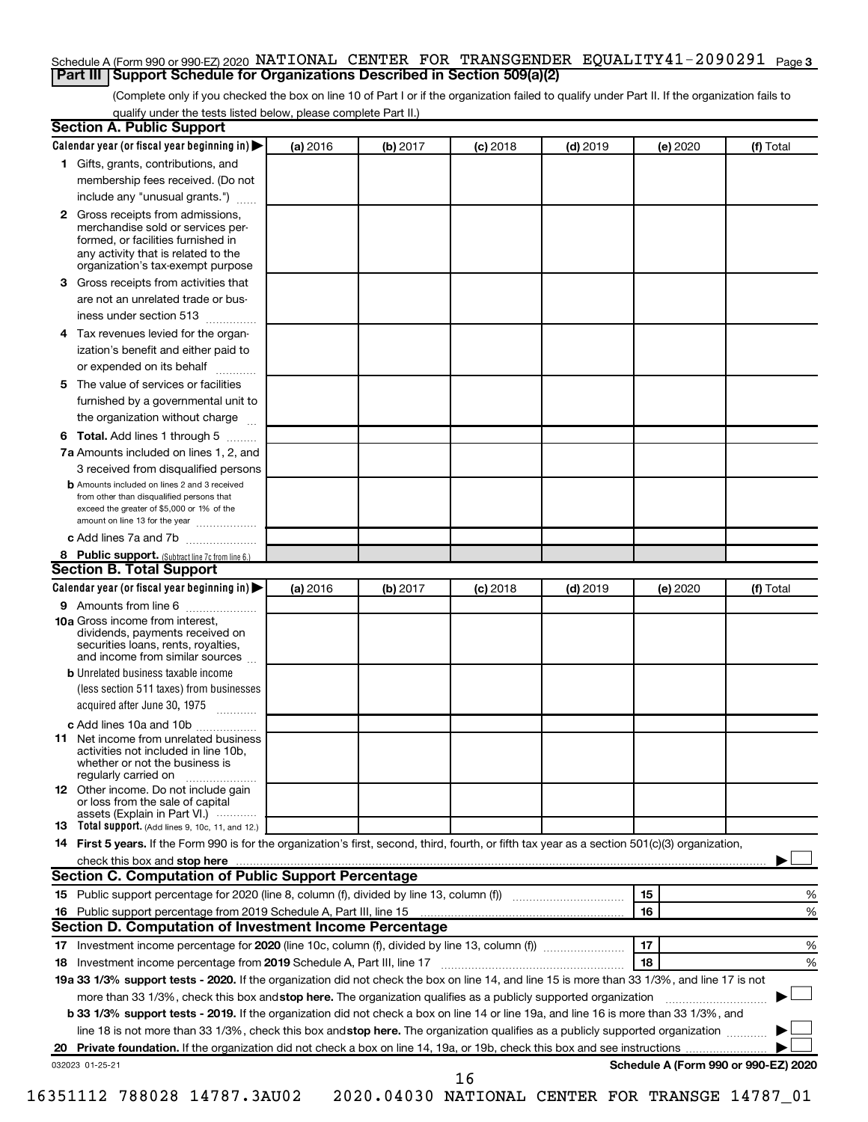#### Schedule A (Form 990 or 990-EZ) 2020 NATIONAL CENTER FOR TRANSGENDER EQUALITY41-2090291 <sub>Page 3</sub> **Part III Support Schedule for Organizations Described in Section 509(a)(2)**

(Complete only if you checked the box on line 10 of Part I or if the organization failed to qualify under Part II. If the organization fails to qualify under the tests listed below, please complete Part II.)

|              | Calendar year (or fiscal year beginning in)                                                                                                                                                                                                               | (a) 2016 | (b) 2017 | $(c)$ 2018 | $(d)$ 2019 |    | (e) 2020 | (f) Total                            |
|--------------|-----------------------------------------------------------------------------------------------------------------------------------------------------------------------------------------------------------------------------------------------------------|----------|----------|------------|------------|----|----------|--------------------------------------|
|              | 1 Gifts, grants, contributions, and                                                                                                                                                                                                                       |          |          |            |            |    |          |                                      |
|              | membership fees received. (Do not                                                                                                                                                                                                                         |          |          |            |            |    |          |                                      |
|              | include any "unusual grants.")                                                                                                                                                                                                                            |          |          |            |            |    |          |                                      |
| $\mathbf{2}$ | Gross receipts from admissions,<br>merchandise sold or services per-<br>formed, or facilities furnished in<br>any activity that is related to the<br>organization's tax-exempt purpose                                                                    |          |          |            |            |    |          |                                      |
| 3            | Gross receipts from activities that                                                                                                                                                                                                                       |          |          |            |            |    |          |                                      |
|              | are not an unrelated trade or bus-                                                                                                                                                                                                                        |          |          |            |            |    |          |                                      |
|              | iness under section 513                                                                                                                                                                                                                                   |          |          |            |            |    |          |                                      |
| 4            | Tax revenues levied for the organ-                                                                                                                                                                                                                        |          |          |            |            |    |          |                                      |
|              | ization's benefit and either paid to<br>or expended on its behalf<br>.                                                                                                                                                                                    |          |          |            |            |    |          |                                      |
| 5            | The value of services or facilities                                                                                                                                                                                                                       |          |          |            |            |    |          |                                      |
|              | furnished by a governmental unit to<br>the organization without charge                                                                                                                                                                                    |          |          |            |            |    |          |                                      |
|              | Total. Add lines 1 through 5                                                                                                                                                                                                                              |          |          |            |            |    |          |                                      |
| 6            |                                                                                                                                                                                                                                                           |          |          |            |            |    |          |                                      |
|              | 7a Amounts included on lines 1, 2, and                                                                                                                                                                                                                    |          |          |            |            |    |          |                                      |
|              | 3 received from disqualified persons<br><b>b</b> Amounts included on lines 2 and 3 received                                                                                                                                                               |          |          |            |            |    |          |                                      |
|              | from other than disqualified persons that<br>exceed the greater of \$5,000 or 1% of the<br>amount on line 13 for the year                                                                                                                                 |          |          |            |            |    |          |                                      |
|              | c Add lines 7a and 7b                                                                                                                                                                                                                                     |          |          |            |            |    |          |                                      |
|              | 8 Public support. (Subtract line 7c from line 6.)                                                                                                                                                                                                         |          |          |            |            |    |          |                                      |
|              | <b>Section B. Total Support</b>                                                                                                                                                                                                                           |          |          |            |            |    |          |                                      |
|              | Calendar year (or fiscal year beginning in)                                                                                                                                                                                                               | (a) 2016 | (b) 2017 | $(c)$ 2018 | $(d)$ 2019 |    | (e) 2020 | (f) Total                            |
|              | 9 Amounts from line 6                                                                                                                                                                                                                                     |          |          |            |            |    |          |                                      |
|              | <b>10a</b> Gross income from interest,<br>dividends, payments received on<br>securities loans, rents, royalties,<br>and income from similar sources                                                                                                       |          |          |            |            |    |          |                                      |
|              | <b>b</b> Unrelated business taxable income                                                                                                                                                                                                                |          |          |            |            |    |          |                                      |
|              | (less section 511 taxes) from businesses<br>acquired after June 30, 1975                                                                                                                                                                                  |          |          |            |            |    |          |                                      |
|              | c Add lines 10a and 10b                                                                                                                                                                                                                                   |          |          |            |            |    |          |                                      |
| 11           | Net income from unrelated business<br>activities not included in line 10b.<br>whether or not the business is<br>regularly carried on                                                                                                                      |          |          |            |            |    |          |                                      |
|              | <b>12</b> Other income. Do not include gain<br>or loss from the sale of capital<br>assets (Explain in Part VI.)                                                                                                                                           |          |          |            |            |    |          |                                      |
|              | <b>13</b> Total support. (Add lines 9, 10c, 11, and 12.)                                                                                                                                                                                                  |          |          |            |            |    |          |                                      |
|              | 14 First 5 years. If the Form 990 is for the organization's first, second, third, fourth, or fifth tax year as a section 501(c)(3) organization,                                                                                                          |          |          |            |            |    |          |                                      |
|              |                                                                                                                                                                                                                                                           |          |          |            |            |    |          |                                      |
|              | Section C. Computation of Public Support Percentage                                                                                                                                                                                                       |          |          |            |            |    |          |                                      |
|              |                                                                                                                                                                                                                                                           |          |          |            |            | 15 |          | %                                    |
|              |                                                                                                                                                                                                                                                           |          |          |            |            | 16 |          | %                                    |
|              |                                                                                                                                                                                                                                                           |          |          |            |            |    |          |                                      |
|              | Section D. Computation of Investment Income Percentage                                                                                                                                                                                                    |          |          |            |            |    |          |                                      |
|              |                                                                                                                                                                                                                                                           |          |          |            |            | 17 |          | %                                    |
|              |                                                                                                                                                                                                                                                           |          |          |            |            | 18 |          | %                                    |
|              |                                                                                                                                                                                                                                                           |          |          |            |            |    |          |                                      |
|              | 19a 33 1/3% support tests - 2020. If the organization did not check the box on line 14, and line 15 is more than 33 1/3%, and line 17 is not                                                                                                              |          |          |            |            |    |          |                                      |
|              | more than 33 1/3%, check this box and stop here. The organization qualifies as a publicly supported organization<br>b 33 1/3% support tests - 2019. If the organization did not check a box on line 14 or line 19a, and line 16 is more than 33 1/3%, and |          |          |            |            |    |          |                                      |
|              | line 18 is not more than 33 1/3%, check this box and stop here. The organization qualifies as a publicly supported organization                                                                                                                           |          |          |            |            |    |          |                                      |
|              | 032023 01-25-21                                                                                                                                                                                                                                           |          |          |            |            |    |          | Schedule A (Form 990 or 990-EZ) 2020 |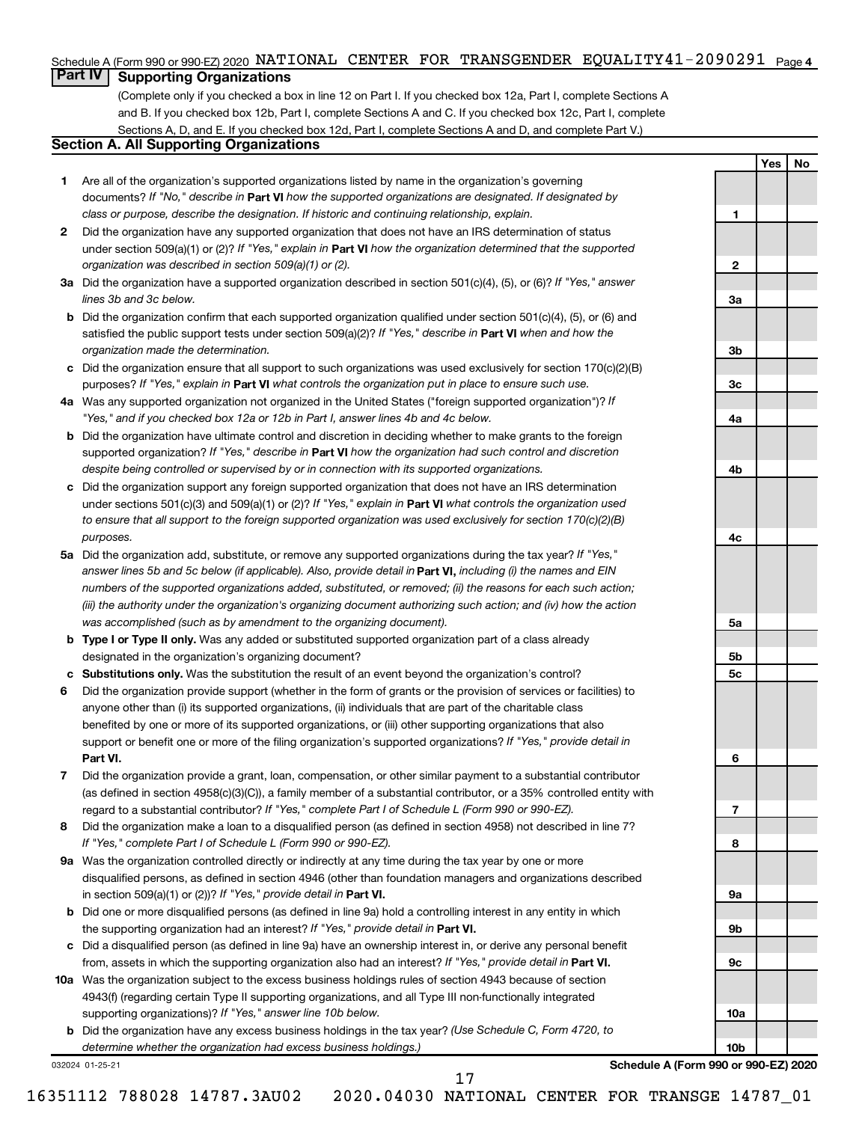#### Schedule A (Form 990 or 990-EZ) 2020 NATIONAL CENTER FOR TRANSGENDER EQUALITY41-2090291 <sub>Page 4</sub>

### **Part IV Supporting Organizations**

(Complete only if you checked a box in line 12 on Part I. If you checked box 12a, Part I, complete Sections A and B. If you checked box 12b, Part I, complete Sections A and C. If you checked box 12c, Part I, complete Sections A, D, and E. If you checked box 12d, Part I, complete Sections A and D, and complete Part V.)

#### **Section A. All Supporting Organizations**

- **1** Are all of the organization's supported organizations listed by name in the organization's governing documents? If "No," describe in Part VI how the supported organizations are designated. If designated by *class or purpose, describe the designation. If historic and continuing relationship, explain.*
- **2** Did the organization have any supported organization that does not have an IRS determination of status under section 509(a)(1) or (2)? If "Yes," explain in Part **VI** how the organization determined that the supported *organization was described in section 509(a)(1) or (2).*
- **3a** Did the organization have a supported organization described in section 501(c)(4), (5), or (6)? If "Yes," answer *lines 3b and 3c below.*
- **b** Did the organization confirm that each supported organization qualified under section 501(c)(4), (5), or (6) and satisfied the public support tests under section 509(a)(2)? If "Yes," describe in Part VI when and how the *organization made the determination.*
- **c** Did the organization ensure that all support to such organizations was used exclusively for section 170(c)(2)(B) purposes? If "Yes," explain in Part VI what controls the organization put in place to ensure such use.
- **4 a** *If* Was any supported organization not organized in the United States ("foreign supported organization")? *"Yes," and if you checked box 12a or 12b in Part I, answer lines 4b and 4c below.*
- **b** Did the organization have ultimate control and discretion in deciding whether to make grants to the foreign supported organization? If "Yes," describe in Part VI how the organization had such control and discretion *despite being controlled or supervised by or in connection with its supported organizations.*
- **c** Did the organization support any foreign supported organization that does not have an IRS determination under sections 501(c)(3) and 509(a)(1) or (2)? If "Yes," explain in Part VI what controls the organization used *to ensure that all support to the foreign supported organization was used exclusively for section 170(c)(2)(B) purposes.*
- **5a** Did the organization add, substitute, or remove any supported organizations during the tax year? If "Yes," answer lines 5b and 5c below (if applicable). Also, provide detail in **Part VI,** including (i) the names and EIN *numbers of the supported organizations added, substituted, or removed; (ii) the reasons for each such action; (iii) the authority under the organization's organizing document authorizing such action; and (iv) how the action was accomplished (such as by amendment to the organizing document).*
- **b Type I or Type II only.** Was any added or substituted supported organization part of a class already designated in the organization's organizing document?
- **c Substitutions only.**  Was the substitution the result of an event beyond the organization's control?
- **6** Did the organization provide support (whether in the form of grants or the provision of services or facilities) to **Part VI.** support or benefit one or more of the filing organization's supported organizations? If "Yes," provide detail in anyone other than (i) its supported organizations, (ii) individuals that are part of the charitable class benefited by one or more of its supported organizations, or (iii) other supporting organizations that also
- **7** Did the organization provide a grant, loan, compensation, or other similar payment to a substantial contributor regard to a substantial contributor? If "Yes," complete Part I of Schedule L (Form 990 or 990-EZ). (as defined in section 4958(c)(3)(C)), a family member of a substantial contributor, or a 35% controlled entity with
- **8** Did the organization make a loan to a disqualified person (as defined in section 4958) not described in line 7? *If "Yes," complete Part I of Schedule L (Form 990 or 990-EZ).*
- **9 a** Was the organization controlled directly or indirectly at any time during the tax year by one or more in section 509(a)(1) or (2))? If "Yes," provide detail in **Part VI.** disqualified persons, as defined in section 4946 (other than foundation managers and organizations described
- **b** Did one or more disqualified persons (as defined in line 9a) hold a controlling interest in any entity in which the supporting organization had an interest? If "Yes," provide detail in Part VI.
- **c** Did a disqualified person (as defined in line 9a) have an ownership interest in, or derive any personal benefit from, assets in which the supporting organization also had an interest? If "Yes," provide detail in Part VI.
- **10 a** Was the organization subject to the excess business holdings rules of section 4943 because of section supporting organizations)? If "Yes," answer line 10b below. 4943(f) (regarding certain Type II supporting organizations, and all Type III non-functionally integrated
	- **b** Did the organization have any excess business holdings in the tax year? (Use Schedule C, Form 4720, to *determine whether the organization had excess business holdings.)*

032024 01-25-21

**Schedule A (Form 990 or 990-EZ) 2020**

**Yes No**

**1**

**2**

**3a**

**3b**

**3c**

**4a**

**4b**

**4c**

**5a**

**5b 5c**

**6**

**7**

**8**

**9a**

**9b**

**9c**

**10a**

**10b**

17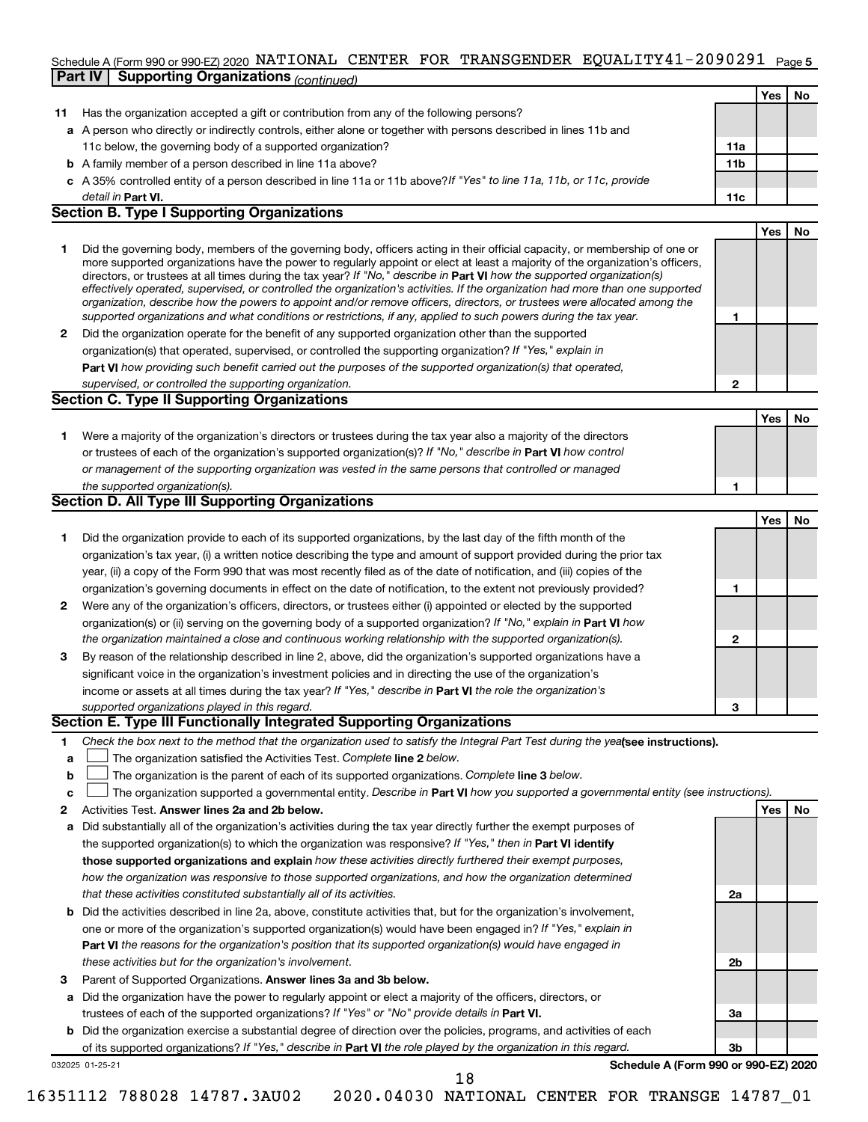#### Schedule A (Form 990 or 990-EZ) 2020 NATIONAL CENTER FOR TRANSGENDER EQUALITY 4 L = 20 9 0 2 9 L Page 5 **Part IV Supporting Organizations** *(continued)* NATIONAL CENTER FOR TRANSGENDER EQUALITY41-2090291

|    | continued.                                                                                                                                                                                                                                                |                 |     |           |
|----|-----------------------------------------------------------------------------------------------------------------------------------------------------------------------------------------------------------------------------------------------------------|-----------------|-----|-----------|
|    |                                                                                                                                                                                                                                                           |                 | Yes | No        |
| 11 | Has the organization accepted a gift or contribution from any of the following persons?                                                                                                                                                                   |                 |     |           |
|    | a A person who directly or indirectly controls, either alone or together with persons described in lines 11b and                                                                                                                                          |                 |     |           |
|    | 11c below, the governing body of a supported organization?                                                                                                                                                                                                | 11a             |     |           |
|    | <b>b</b> A family member of a person described in line 11a above?                                                                                                                                                                                         | 11 <sub>b</sub> |     |           |
|    | c A 35% controlled entity of a person described in line 11a or 11b above? If "Yes" to line 11a, 11b, or 11c, provide                                                                                                                                      |                 |     |           |
|    | detail in <b>Part VI.</b>                                                                                                                                                                                                                                 | 11c             |     |           |
|    | <b>Section B. Type I Supporting Organizations</b>                                                                                                                                                                                                         |                 |     |           |
|    |                                                                                                                                                                                                                                                           |                 | Yes | <b>No</b> |
| 1. | Did the governing body, members of the governing body, officers acting in their official capacity, or membership of one or                                                                                                                                |                 |     |           |
|    | more supported organizations have the power to regularly appoint or elect at least a majority of the organization's officers,                                                                                                                             |                 |     |           |
|    | directors, or trustees at all times during the tax year? If "No," describe in Part VI how the supported organization(s)<br>effectively operated, supervised, or controlled the organization's activities. If the organization had more than one supported |                 |     |           |
|    | organization, describe how the powers to appoint and/or remove officers, directors, or trustees were allocated among the                                                                                                                                  |                 |     |           |
|    | supported organizations and what conditions or restrictions, if any, applied to such powers during the tax year.                                                                                                                                          | 1               |     |           |
| 2  | Did the organization operate for the benefit of any supported organization other than the supported                                                                                                                                                       |                 |     |           |
|    | organization(s) that operated, supervised, or controlled the supporting organization? If "Yes," explain in                                                                                                                                                |                 |     |           |
|    | Part VI how providing such benefit carried out the purposes of the supported organization(s) that operated,                                                                                                                                               |                 |     |           |
|    | supervised, or controlled the supporting organization.                                                                                                                                                                                                    | $\mathbf{2}$    |     |           |
|    | <b>Section C. Type II Supporting Organizations</b>                                                                                                                                                                                                        |                 |     |           |
|    |                                                                                                                                                                                                                                                           |                 | Yes | No        |
| 1. | Were a majority of the organization's directors or trustees during the tax year also a majority of the directors                                                                                                                                          |                 |     |           |
|    | or trustees of each of the organization's supported organization(s)? If "No," describe in Part VI how control                                                                                                                                             |                 |     |           |
|    | or management of the supporting organization was vested in the same persons that controlled or managed                                                                                                                                                    |                 |     |           |
|    | the supported organization(s).                                                                                                                                                                                                                            | 1               |     |           |
|    | <b>Section D. All Type III Supporting Organizations</b>                                                                                                                                                                                                   |                 |     |           |
|    |                                                                                                                                                                                                                                                           |                 | Yes | No        |
| 1. | Did the organization provide to each of its supported organizations, by the last day of the fifth month of the                                                                                                                                            |                 |     |           |
|    | organization's tax year, (i) a written notice describing the type and amount of support provided during the prior tax                                                                                                                                     |                 |     |           |
|    | year, (ii) a copy of the Form 990 that was most recently filed as of the date of notification, and (iii) copies of the                                                                                                                                    |                 |     |           |
|    | organization's governing documents in effect on the date of notification, to the extent not previously provided?                                                                                                                                          | 1               |     |           |
| 2  | Were any of the organization's officers, directors, or trustees either (i) appointed or elected by the supported                                                                                                                                          |                 |     |           |
|    | organization(s) or (ii) serving on the governing body of a supported organization? If "No," explain in Part VI how                                                                                                                                        |                 |     |           |
|    | the organization maintained a close and continuous working relationship with the supported organization(s).                                                                                                                                               | $\mathbf{2}$    |     |           |
| 3  | By reason of the relationship described in line 2, above, did the organization's supported organizations have a                                                                                                                                           |                 |     |           |
|    | significant voice in the organization's investment policies and in directing the use of the organization's                                                                                                                                                |                 |     |           |
|    | income or assets at all times during the tax year? If "Yes," describe in Part VI the role the organization's                                                                                                                                              |                 |     |           |
|    | supported organizations played in this regard.                                                                                                                                                                                                            | 3               |     |           |
|    | Section E. Type III Functionally Integrated Supporting Organizations                                                                                                                                                                                      |                 |     |           |
| 1  | Check the box next to the method that the organization used to satisfy the Integral Part Test during the yeafsee instructions).                                                                                                                           |                 |     |           |
| a  | The organization satisfied the Activities Test. Complete line 2 below.                                                                                                                                                                                    |                 |     |           |
| b  | The organization is the parent of each of its supported organizations. Complete line 3 below.                                                                                                                                                             |                 |     |           |
| с  | The organization supported a governmental entity. Describe in Part VI how you supported a governmental entity (see instructions).                                                                                                                         |                 |     |           |
| 2  | Activities Test. Answer lines 2a and 2b below.                                                                                                                                                                                                            |                 | Yes | No        |
| а  | Did substantially all of the organization's activities during the tax year directly further the exempt purposes of                                                                                                                                        |                 |     |           |
|    | the supported organization(s) to which the organization was responsive? If "Yes," then in Part VI identify                                                                                                                                                |                 |     |           |
|    | those supported organizations and explain how these activities directly furthered their exempt purposes,                                                                                                                                                  |                 |     |           |
|    | how the organization was responsive to those supported organizations, and how the organization determined                                                                                                                                                 |                 |     |           |
|    | that these activities constituted substantially all of its activities.                                                                                                                                                                                    | 2a              |     |           |
| b  | Did the activities described in line 2a, above, constitute activities that, but for the organization's involvement,                                                                                                                                       |                 |     |           |
|    | one or more of the organization's supported organization(s) would have been engaged in? If "Yes," explain in                                                                                                                                              |                 |     |           |
|    | Part VI the reasons for the organization's position that its supported organization(s) would have engaged in                                                                                                                                              |                 |     |           |
|    | these activities but for the organization's involvement.                                                                                                                                                                                                  | 2b              |     |           |
| 3  | Parent of Supported Organizations. Answer lines 3a and 3b below.                                                                                                                                                                                          |                 |     |           |
|    | Did the organization have the power to regularly appoint or elect a majority of the officers, directors, or                                                                                                                                               |                 |     |           |
| а  | trustees of each of the supported organizations? If "Yes" or "No" provide details in Part VI.                                                                                                                                                             | За              |     |           |
| b  | Did the organization exercise a substantial degree of direction over the policies, programs, and activities of each                                                                                                                                       |                 |     |           |
|    | of its supported organizations? If "Yes," describe in Part VI the role played by the organization in this regard.                                                                                                                                         | 3b              |     |           |
|    |                                                                                                                                                                                                                                                           |                 |     |           |

032025 01-25-21

**Schedule A (Form 990 or 990-EZ) 2020**

18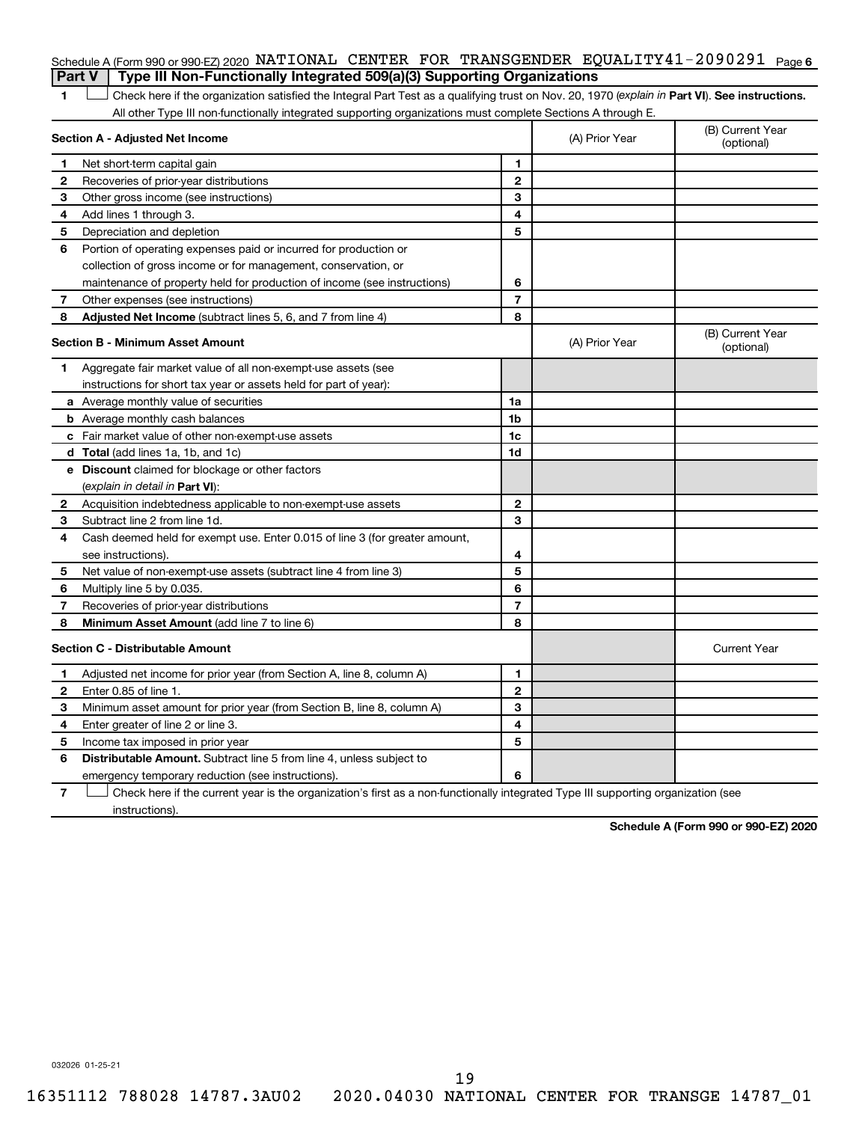#### Schedule A (Form 990 or 990-EZ) 2020 NATIONAL CENTER FOR TRANSGENDER EQUALITY41-2090291 <sub>Page 6</sub> **Part V Type III Non-Functionally Integrated 509(a)(3) Supporting Organizations**

1 **Letter See instructions.** Check here if the organization satisfied the Integral Part Test as a qualifying trust on Nov. 20, 1970 (*explain in* Part **VI**). See instructions. All other Type III non-functionally integrated supporting organizations must complete Sections A through E.

| Section A - Adjusted Net Income |                                                                             |                | (A) Prior Year | (B) Current Year<br>(optional) |
|---------------------------------|-----------------------------------------------------------------------------|----------------|----------------|--------------------------------|
| 1                               | Net short-term capital gain                                                 | 1              |                |                                |
| 2                               | Recoveries of prior-year distributions                                      | $\mathbf{2}$   |                |                                |
| З                               | Other gross income (see instructions)                                       | 3              |                |                                |
| 4                               | Add lines 1 through 3.                                                      | 4              |                |                                |
| 5                               | Depreciation and depletion                                                  | 5              |                |                                |
| 6                               | Portion of operating expenses paid or incurred for production or            |                |                |                                |
|                                 | collection of gross income or for management, conservation, or              |                |                |                                |
|                                 | maintenance of property held for production of income (see instructions)    | 6              |                |                                |
| 7                               | Other expenses (see instructions)                                           | $\overline{7}$ |                |                                |
| 8                               | Adjusted Net Income (subtract lines 5, 6, and 7 from line 4)                | 8              |                |                                |
|                                 | <b>Section B - Minimum Asset Amount</b>                                     |                | (A) Prior Year | (B) Current Year<br>(optional) |
| 1                               | Aggregate fair market value of all non-exempt-use assets (see               |                |                |                                |
|                                 | instructions for short tax year or assets held for part of year):           |                |                |                                |
|                                 | <b>a</b> Average monthly value of securities                                | 1a             |                |                                |
|                                 | <b>b</b> Average monthly cash balances                                      | 1b             |                |                                |
|                                 | c Fair market value of other non-exempt-use assets                          | 1c             |                |                                |
|                                 | d Total (add lines 1a, 1b, and 1c)                                          | 1 <sub>d</sub> |                |                                |
|                                 | e Discount claimed for blockage or other factors                            |                |                |                                |
|                                 | (explain in detail in Part VI):                                             |                |                |                                |
| $\mathbf{2}$                    | Acquisition indebtedness applicable to non-exempt-use assets                | $\mathbf{2}$   |                |                                |
| 3                               | Subtract line 2 from line 1d.                                               | 3              |                |                                |
| 4                               | Cash deemed held for exempt use. Enter 0.015 of line 3 (for greater amount, |                |                |                                |
|                                 | see instructions)                                                           | 4              |                |                                |
| 5                               | Net value of non-exempt-use assets (subtract line 4 from line 3)            | 5              |                |                                |
| 6                               | Multiply line 5 by 0.035.                                                   | 6              |                |                                |
| 7                               | Recoveries of prior-year distributions                                      | $\overline{7}$ |                |                                |
| 8                               | Minimum Asset Amount (add line 7 to line 6)                                 | 8              |                |                                |
|                                 | <b>Section C - Distributable Amount</b>                                     |                |                | <b>Current Year</b>            |
| 1                               | Adjusted net income for prior year (from Section A, line 8, column A)       | 1              |                |                                |
| 2                               | Enter 0.85 of line 1.                                                       | $\mathbf{2}$   |                |                                |
| З                               | Minimum asset amount for prior year (from Section B, line 8, column A)      | 3              |                |                                |
| 4                               | Enter greater of line 2 or line 3.                                          | 4              |                |                                |
| 5                               | Income tax imposed in prior year                                            | 5              |                |                                |
| 6                               | Distributable Amount. Subtract line 5 from line 4, unless subject to        |                |                |                                |
|                                 | emergency temporary reduction (see instructions).                           | 6              |                |                                |

**7** Let Check here if the current year is the organization's first as a non-functionally integrated Type III supporting organization (see instructions).

**Schedule A (Form 990 or 990-EZ) 2020**

032026 01-25-21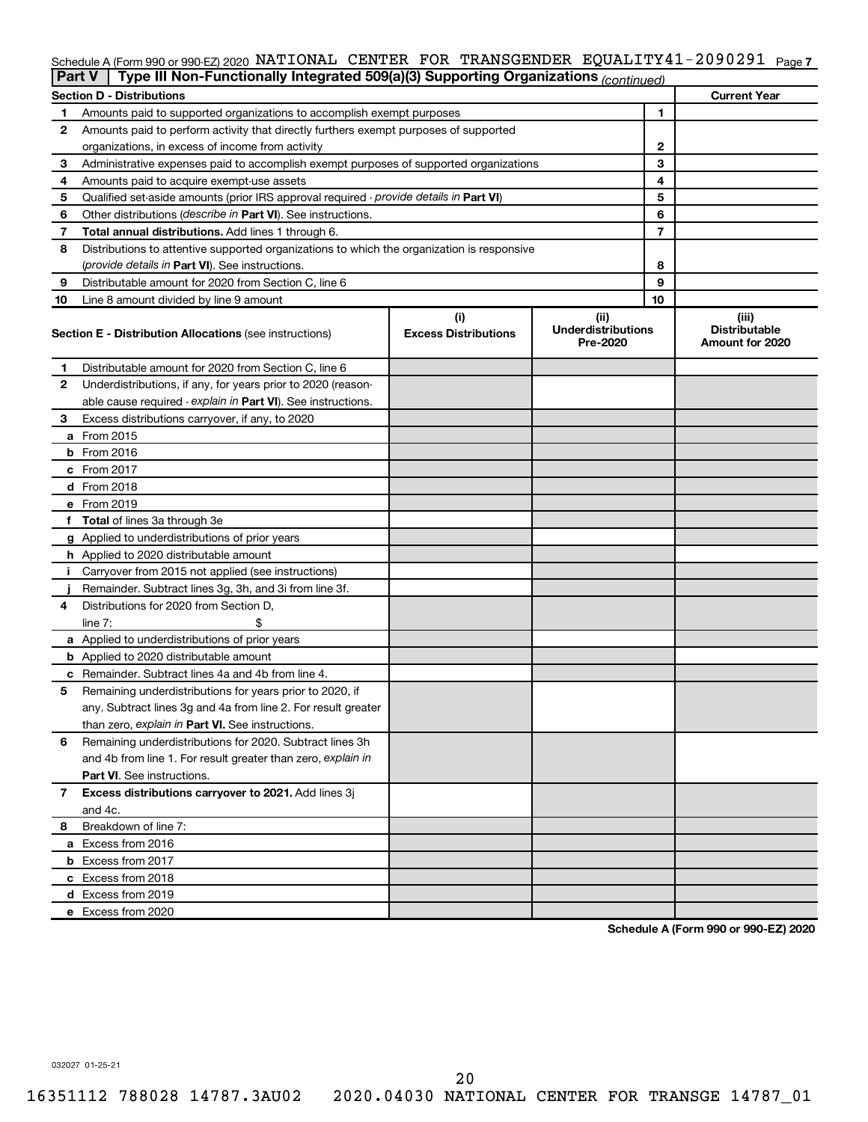#### Schedule A (Form 990 or 990-EZ) 2020 NATIONAL CENTER FOR TRANSGENDER EQUALITY41-2090291 <sub>Page 7</sub>

|    | Type III Non-Functionally Integrated 509(a)(3) Supporting Organizations (continued)<br>Part V                                                         |   |   |    |                                                  |  |  |
|----|-------------------------------------------------------------------------------------------------------------------------------------------------------|---|---|----|--------------------------------------------------|--|--|
|    | <b>Section D - Distributions</b>                                                                                                                      |   |   |    | <b>Current Year</b>                              |  |  |
| 1  | Amounts paid to supported organizations to accomplish exempt purposes                                                                                 |   | 1 |    |                                                  |  |  |
| 2  | Amounts paid to perform activity that directly furthers exempt purposes of supported                                                                  |   |   |    |                                                  |  |  |
|    | organizations, in excess of income from activity                                                                                                      |   |   | 2  |                                                  |  |  |
| 3  | Administrative expenses paid to accomplish exempt purposes of supported organizations                                                                 |   |   | 3  |                                                  |  |  |
| 4  | Amounts paid to acquire exempt-use assets                                                                                                             |   |   | 4  |                                                  |  |  |
| 5  | Qualified set-aside amounts (prior IRS approval required - provide details in Part VI)                                                                |   | 5 |    |                                                  |  |  |
| 6  | Other distributions (describe in Part VI). See instructions.                                                                                          |   | 6 |    |                                                  |  |  |
| 7  | Total annual distributions. Add lines 1 through 6.                                                                                                    | 7 |   |    |                                                  |  |  |
| 8  | Distributions to attentive supported organizations to which the organization is responsive                                                            |   |   |    |                                                  |  |  |
|    | ( <i>provide details in Part VI</i> ). See instructions.                                                                                              |   | 8 |    |                                                  |  |  |
| 9  | Distributable amount for 2020 from Section C, line 6                                                                                                  |   | 9 |    |                                                  |  |  |
| 10 | Line 8 amount divided by line 9 amount                                                                                                                |   |   | 10 |                                                  |  |  |
|    | (i)<br>(ii)<br><b>Underdistributions</b><br><b>Excess Distributions</b><br><b>Section E - Distribution Allocations (see instructions)</b><br>Pre-2020 |   |   |    | (iii)<br><b>Distributable</b><br>Amount for 2020 |  |  |
| 1  | Distributable amount for 2020 from Section C, line 6                                                                                                  |   |   |    |                                                  |  |  |
| 2  | Underdistributions, if any, for years prior to 2020 (reason-                                                                                          |   |   |    |                                                  |  |  |
|    | able cause required - explain in Part VI). See instructions.                                                                                          |   |   |    |                                                  |  |  |
| З  | Excess distributions carryover, if any, to 2020                                                                                                       |   |   |    |                                                  |  |  |
|    | a From 2015                                                                                                                                           |   |   |    |                                                  |  |  |
|    | $b$ From 2016                                                                                                                                         |   |   |    |                                                  |  |  |
|    | c From 2017                                                                                                                                           |   |   |    |                                                  |  |  |
|    | <b>d</b> From 2018                                                                                                                                    |   |   |    |                                                  |  |  |
|    | e From 2019                                                                                                                                           |   |   |    |                                                  |  |  |
|    | f Total of lines 3a through 3e                                                                                                                        |   |   |    |                                                  |  |  |
|    | g Applied to underdistributions of prior years                                                                                                        |   |   |    |                                                  |  |  |
|    | <b>h</b> Applied to 2020 distributable amount                                                                                                         |   |   |    |                                                  |  |  |
| Ť. | Carryover from 2015 not applied (see instructions)                                                                                                    |   |   |    |                                                  |  |  |
|    | Remainder. Subtract lines 3g, 3h, and 3i from line 3f.                                                                                                |   |   |    |                                                  |  |  |
| 4  | Distributions for 2020 from Section D,                                                                                                                |   |   |    |                                                  |  |  |
|    | line 7:                                                                                                                                               |   |   |    |                                                  |  |  |
|    | a Applied to underdistributions of prior years                                                                                                        |   |   |    |                                                  |  |  |
|    | <b>b</b> Applied to 2020 distributable amount                                                                                                         |   |   |    |                                                  |  |  |
|    | c Remainder. Subtract lines 4a and 4b from line 4.                                                                                                    |   |   |    |                                                  |  |  |
| 5  | Remaining underdistributions for years prior to 2020, if                                                                                              |   |   |    |                                                  |  |  |
|    | any. Subtract lines 3g and 4a from line 2. For result greater                                                                                         |   |   |    |                                                  |  |  |
|    | than zero, explain in Part VI. See instructions.                                                                                                      |   |   |    |                                                  |  |  |
| 6  | Remaining underdistributions for 2020. Subtract lines 3h                                                                                              |   |   |    |                                                  |  |  |
|    | and 4b from line 1. For result greater than zero, explain in                                                                                          |   |   |    |                                                  |  |  |
|    | <b>Part VI.</b> See instructions.                                                                                                                     |   |   |    |                                                  |  |  |
| 7  | Excess distributions carryover to 2021. Add lines 3j                                                                                                  |   |   |    |                                                  |  |  |
|    | and 4c.                                                                                                                                               |   |   |    |                                                  |  |  |
| 8  | Breakdown of line 7:                                                                                                                                  |   |   |    |                                                  |  |  |
|    | a Excess from 2016                                                                                                                                    |   |   |    |                                                  |  |  |
|    | <b>b</b> Excess from 2017                                                                                                                             |   |   |    |                                                  |  |  |
|    | c Excess from 2018                                                                                                                                    |   |   |    |                                                  |  |  |
|    | d Excess from 2019                                                                                                                                    |   |   |    |                                                  |  |  |
|    | e Excess from 2020                                                                                                                                    |   |   |    |                                                  |  |  |

**Schedule A (Form 990 or 990-EZ) 2020**

032027 01-25-21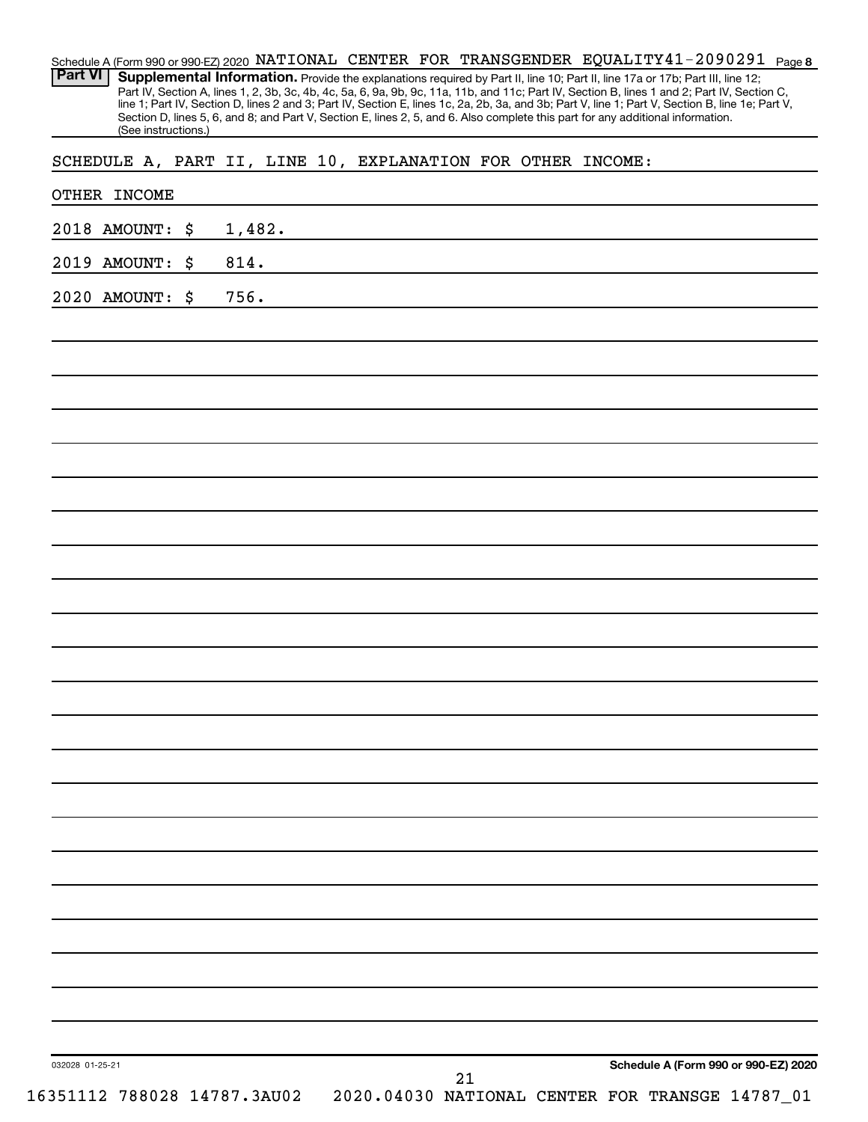| <b>Part VI</b><br>Supplemental Information. Provide the explanations required by Part II, line 10; Part II, line 17a or 17b; Part III, line 12;<br>Part IV, Section A, lines 1, 2, 3b, 3c, 4b, 4c, 5a, 6, 9a, 9b, 9c, 11a, 11b, and 11c; Part IV, Section B, lines 1 and 2; Part IV, Section C,<br>Section D, lines 5, 6, and 8; and Part V, Section E, lines 2, 5, and 6. Also complete this part for any additional information.<br>(See instructions.) |    | line 1; Part IV, Section D, lines 2 and 3; Part IV, Section E, lines 1c, 2a, 2b, 3a, and 3b; Part V, line 1; Part V, Section B, line 1e; Part V, |
|-----------------------------------------------------------------------------------------------------------------------------------------------------------------------------------------------------------------------------------------------------------------------------------------------------------------------------------------------------------------------------------------------------------------------------------------------------------|----|--------------------------------------------------------------------------------------------------------------------------------------------------|
| SCHEDULE A, PART II, LINE 10, EXPLANATION FOR OTHER INCOME:                                                                                                                                                                                                                                                                                                                                                                                               |    |                                                                                                                                                  |
| OTHER INCOME                                                                                                                                                                                                                                                                                                                                                                                                                                              |    |                                                                                                                                                  |
| 1,482.<br>2018 AMOUNT:<br>\$                                                                                                                                                                                                                                                                                                                                                                                                                              |    |                                                                                                                                                  |
| 814.<br>2019 AMOUNT:<br>\$                                                                                                                                                                                                                                                                                                                                                                                                                                |    |                                                                                                                                                  |
| 756.<br>2020 AMOUNT:<br>\$                                                                                                                                                                                                                                                                                                                                                                                                                                |    |                                                                                                                                                  |
|                                                                                                                                                                                                                                                                                                                                                                                                                                                           |    |                                                                                                                                                  |
|                                                                                                                                                                                                                                                                                                                                                                                                                                                           |    |                                                                                                                                                  |
|                                                                                                                                                                                                                                                                                                                                                                                                                                                           |    |                                                                                                                                                  |
|                                                                                                                                                                                                                                                                                                                                                                                                                                                           |    |                                                                                                                                                  |
|                                                                                                                                                                                                                                                                                                                                                                                                                                                           |    |                                                                                                                                                  |
|                                                                                                                                                                                                                                                                                                                                                                                                                                                           |    |                                                                                                                                                  |
|                                                                                                                                                                                                                                                                                                                                                                                                                                                           |    |                                                                                                                                                  |
|                                                                                                                                                                                                                                                                                                                                                                                                                                                           |    |                                                                                                                                                  |
|                                                                                                                                                                                                                                                                                                                                                                                                                                                           |    |                                                                                                                                                  |
|                                                                                                                                                                                                                                                                                                                                                                                                                                                           |    |                                                                                                                                                  |
|                                                                                                                                                                                                                                                                                                                                                                                                                                                           |    |                                                                                                                                                  |
|                                                                                                                                                                                                                                                                                                                                                                                                                                                           |    |                                                                                                                                                  |
|                                                                                                                                                                                                                                                                                                                                                                                                                                                           |    |                                                                                                                                                  |
|                                                                                                                                                                                                                                                                                                                                                                                                                                                           |    |                                                                                                                                                  |
|                                                                                                                                                                                                                                                                                                                                                                                                                                                           |    |                                                                                                                                                  |
|                                                                                                                                                                                                                                                                                                                                                                                                                                                           |    |                                                                                                                                                  |
|                                                                                                                                                                                                                                                                                                                                                                                                                                                           |    |                                                                                                                                                  |
|                                                                                                                                                                                                                                                                                                                                                                                                                                                           |    |                                                                                                                                                  |
|                                                                                                                                                                                                                                                                                                                                                                                                                                                           |    |                                                                                                                                                  |
|                                                                                                                                                                                                                                                                                                                                                                                                                                                           |    |                                                                                                                                                  |
|                                                                                                                                                                                                                                                                                                                                                                                                                                                           |    |                                                                                                                                                  |
|                                                                                                                                                                                                                                                                                                                                                                                                                                                           |    |                                                                                                                                                  |
|                                                                                                                                                                                                                                                                                                                                                                                                                                                           |    |                                                                                                                                                  |
| 032028 01-25-21                                                                                                                                                                                                                                                                                                                                                                                                                                           | 21 | Schedule A (Form 990 or 990-EZ) 2020                                                                                                             |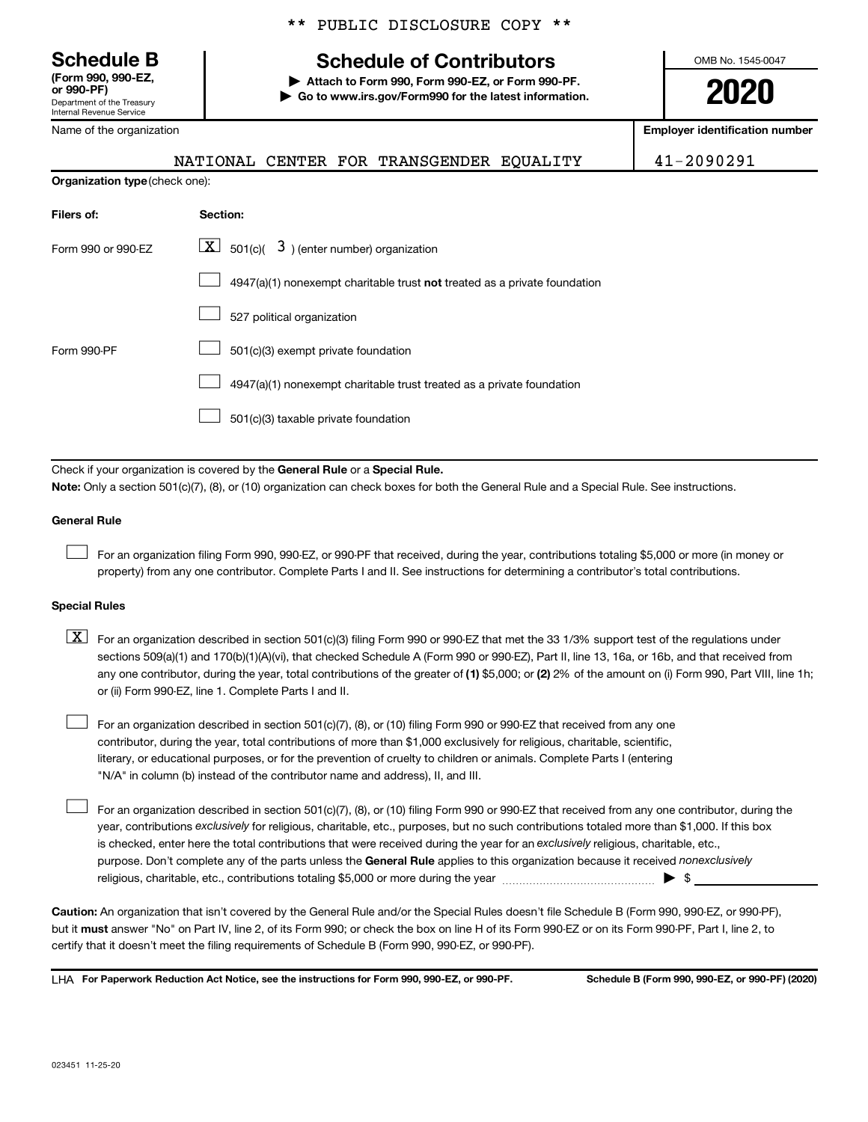**(Form 990, 990-EZ,**

Department of the Treasury Internal Revenue Service

**Organization** 

Name of the organization

# **Schedule B Schedule of Contributors**

**or 990-PF) | Attach to Form 990, Form 990-EZ, or Form 990-PF. | Go to www.irs.gov/Form990 for the latest information.** OMB No. 1545-0047

**2020**

**Employer identification number**

Y 11-2090291

|                          |  | NATIONAL CENTER FOR TRANSGENDER EQUALIT |  |
|--------------------------|--|-----------------------------------------|--|
| <b>type</b> (check one): |  |                                         |  |
|                          |  |                                         |  |

| Filers of:         | Section:                                                                  |
|--------------------|---------------------------------------------------------------------------|
| Form 990 or 990-EZ | $\boxed{\textbf{X}}$ 501(c)( 3) (enter number) organization               |
|                    | 4947(a)(1) nonexempt charitable trust not treated as a private foundation |
|                    | 527 political organization                                                |
| Form 990-PF        | 501(c)(3) exempt private foundation                                       |
|                    | 4947(a)(1) nonexempt charitable trust treated as a private foundation     |
|                    | 501(c)(3) taxable private foundation                                      |

Check if your organization is covered by the General Rule or a Special Rule.

**Note:**  Only a section 501(c)(7), (8), or (10) organization can check boxes for both the General Rule and a Special Rule. See instructions.

#### **General Rule**

 $\Box$ 

 $\Box$ 

For an organization filing Form 990, 990-EZ, or 990-PF that received, during the year, contributions totaling \$5,000 or more (in money or property) from any one contributor. Complete Parts I and II. See instructions for determining a contributor's total contributions.

#### **Special Rules**

any one contributor, during the year, total contributions of the greater of (1) \$5,000; or (2) 2% of the amount on (i) Form 990, Part VIII, line 1h;  $\boxed{\text{X}}$  For an organization described in section 501(c)(3) filing Form 990 or 990-EZ that met the 33 1/3% support test of the regulations under sections 509(a)(1) and 170(b)(1)(A)(vi), that checked Schedule A (Form 990 or 990-EZ), Part II, line 13, 16a, or 16b, and that received from or (ii) Form 990-EZ, line 1. Complete Parts I and II.

For an organization described in section 501(c)(7), (8), or (10) filing Form 990 or 990-EZ that received from any one contributor, during the year, total contributions of more than \$1,000 exclusively for religious, charitable, scientific, literary, or educational purposes, or for the prevention of cruelty to children or animals. Complete Parts I (entering "N/A" in column (b) instead of the contributor name and address), II, and III.  $\Box$ 

purpose. Don't complete any of the parts unless the General Rule applies to this organization because it received nonexclusively year, contributions exclusively for religious, charitable, etc., purposes, but no such contributions totaled more than \$1,000. If this box is checked, enter here the total contributions that were received during the year for an exclusively religious, charitable, etc., For an organization described in section 501(c)(7), (8), or (10) filing Form 990 or 990-EZ that received from any one contributor, during the religious, charitable, etc., contributions totaling \$5,000 or more during the year  $~\ldots\ldots\ldots\ldots\ldots\ldots\ldots\ldots\blacktriangleright~$ \$

**Caution:**  An organization that isn't covered by the General Rule and/or the Special Rules doesn't file Schedule B (Form 990, 990-EZ, or 990-PF),  **must** but it answer "No" on Part IV, line 2, of its Form 990; or check the box on line H of its Form 990-EZ or on its Form 990-PF, Part I, line 2, to certify that it doesn't meet the filing requirements of Schedule B (Form 990, 990-EZ, or 990-PF).

**For Paperwork Reduction Act Notice, see the instructions for Form 990, 990-EZ, or 990-PF. Schedule B (Form 990, 990-EZ, or 990-PF) (2020)** LHA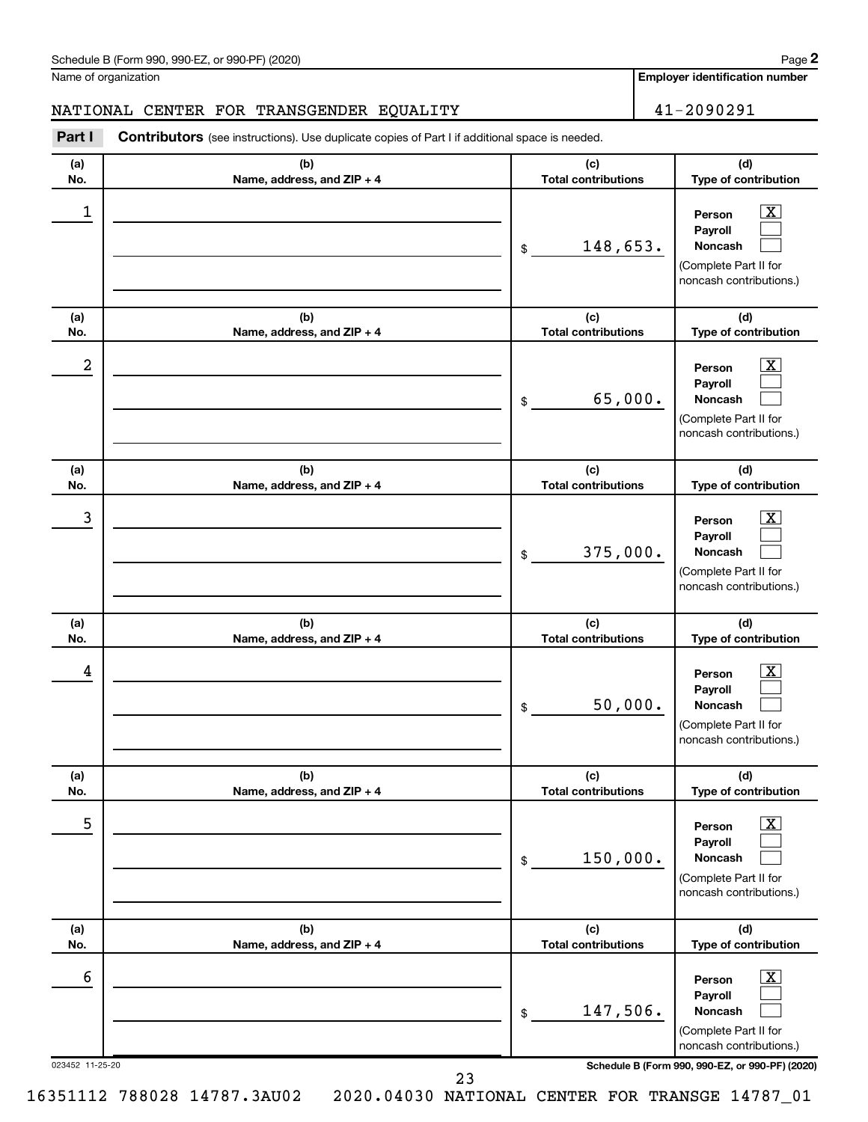| Schedule B (Form 990, 990-EZ, or 990-PF) (2020)<br>. The state of the state $\mathcal{L}$ is the state of the state of the state of the state of the state of the state of the state of the state of the state of the state of the state of the state of the state of the state of th | Page |
|---------------------------------------------------------------------------------------------------------------------------------------------------------------------------------------------------------------------------------------------------------------------------------------|------|
|---------------------------------------------------------------------------------------------------------------------------------------------------------------------------------------------------------------------------------------------------------------------------------------|------|

Name of organization

**Employer identification number**

**(a) No. (b) Name, address, and ZIP + 4 (c) Total contributions (d) Type of contribution Person Payroll Noncash (a) No. (b) Name, address, and ZIP + 4 (c) Total contributions (d) Type of contribution Person Payroll Noncash (a) No. (b) Name, address, and ZIP + 4 (c) Total contributions (d) Type of contribution Person Payroll Noncash (a) No. (b) Name, address, and ZIP + 4 (c) Total contributions (d) Type of contribution Person Payroll Noncash (a) No. (b) Name, address, and ZIP + 4 (c) Total contributions (d) Type of contribution Person Payroll Noncash (a) No. (b) Name, address, and ZIP + 4 (c) Total contributions (d) Type of contribution Person Payroll Noncash Part I** Contributors (see instructions). Use duplicate copies of Part I if additional space is needed. \$ (Complete Part II for noncash contributions.) \$ (Complete Part II for noncash contributions.) \$ (Complete Part II for noncash contributions.) \$ (Complete Part II for noncash contributions.) \$ (Complete Part II for noncash contributions.) \$ (Complete Part II for  $\boxed{\textbf{X}}$  $\Box$  $\Box$  $\overline{\mathbf{X}}$  $\Box$  $\Box$  $\boxed{\textbf{X}}$  $\Box$  $\Box$  $\boxed{\text{X}}$  $\Box$  $\Box$  $\boxed{\text{X}}$  $\Box$  $\Box$  $\boxed{\text{X}}$  $\Box$  $\Box$ NATIONAL CENTER FOR TRANSGENDER EQUALITY  $|$  41-2090291  $\begin{array}{|c|c|c|c|c|}\hline \ \text{1} & \text{Person} & \text{X} \ \hline \end{array}$ 148,653.  $2$  Person  $\overline{\text{X}}$ 65,000.  $\begin{array}{|c|c|c|c|c|c|}\hline \text{3} & \text{Person} & \text{X} \ \hline \end{array}$ 375,000.  $\begin{array}{|c|c|c|c|c|}\hline \text{4} & \text{Person} & \text{\textbf{X}}\ \hline \end{array}$ 50,000. 5 X 150,000.  $\overline{6}$  Person  $\overline{X}$ 147,506.

023452 11-25-20 **Schedule B (Form 990, 990-EZ, or 990-PF) (2020)**

noncash contributions.)

**2**

23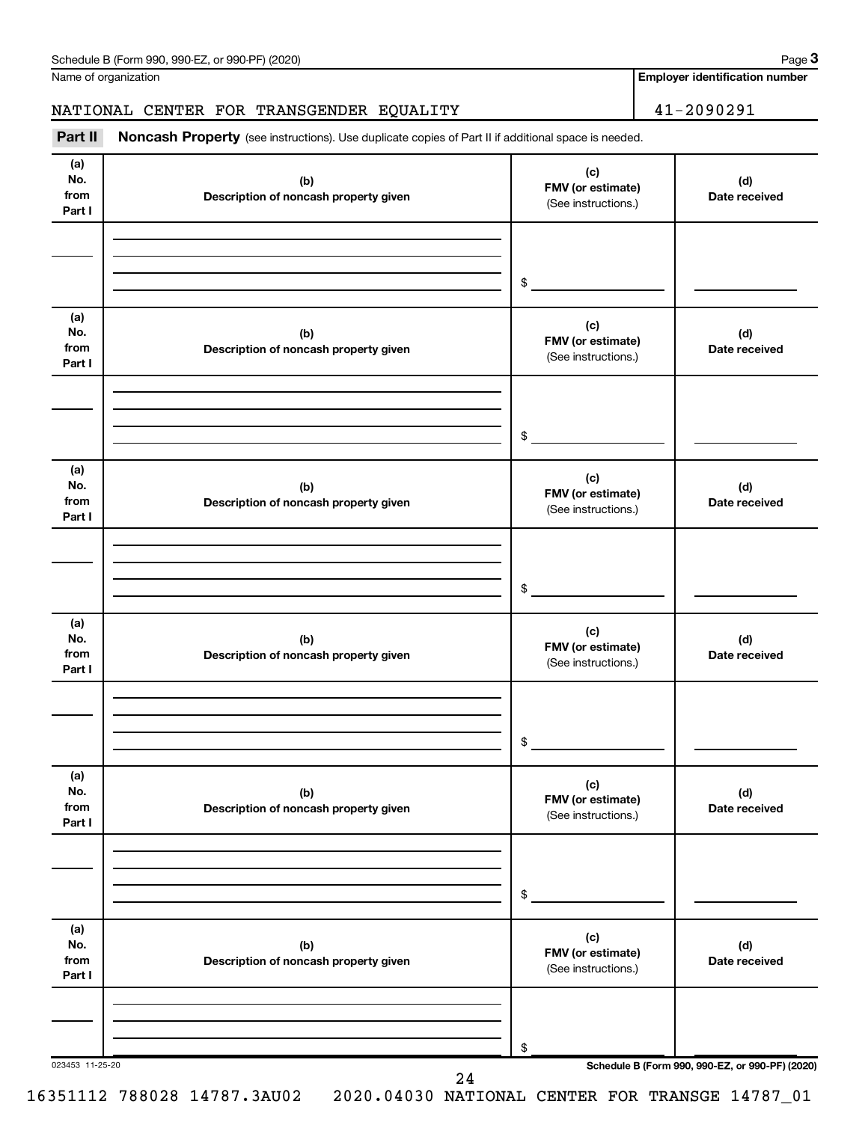Name of organization

#### NATIONAL CENTER FOR TRANSGENDER EQUALITY 41-2090291

Part II Noncash Property (see instructions). Use duplicate copies of Part II if additional space is needed.

| (a)<br>No.<br>from<br>Part I | (b)<br>Description of noncash property given | (c)<br>FMV (or estimate)<br>(See instructions.) | (d)<br>Date received                            |
|------------------------------|----------------------------------------------|-------------------------------------------------|-------------------------------------------------|
|                              |                                              | $\frac{1}{2}$                                   |                                                 |
| (a)<br>No.<br>from<br>Part I | (b)<br>Description of noncash property given | (c)<br>FMV (or estimate)<br>(See instructions.) | (d)<br>Date received                            |
|                              |                                              | $\frac{1}{2}$                                   |                                                 |
| (a)<br>No.<br>from<br>Part I | (b)<br>Description of noncash property given | (c)<br>FMV (or estimate)<br>(See instructions.) | (d)<br>Date received                            |
|                              |                                              | $\frac{1}{2}$                                   |                                                 |
| (a)<br>No.<br>from<br>Part I | (b)<br>Description of noncash property given | (c)<br>FMV (or estimate)<br>(See instructions.) | (d)<br>Date received                            |
|                              |                                              | $\frac{1}{2}$                                   |                                                 |
| (a)<br>No.<br>from<br>Part I | (b)<br>Description of noncash property given | (c)<br>FMV (or estimate)<br>(See instructions.) | (d)<br>Date received                            |
|                              |                                              | \$                                              |                                                 |
| (a)<br>No.<br>from<br>Part I | (b)<br>Description of noncash property given | (c)<br>FMV (or estimate)<br>(See instructions.) | (d)<br>Date received                            |
|                              |                                              | \$                                              |                                                 |
| 023453 11-25-20              | 24                                           |                                                 | Schedule B (Form 990, 990-EZ, or 990-PF) (2020) |

**Employer identification number**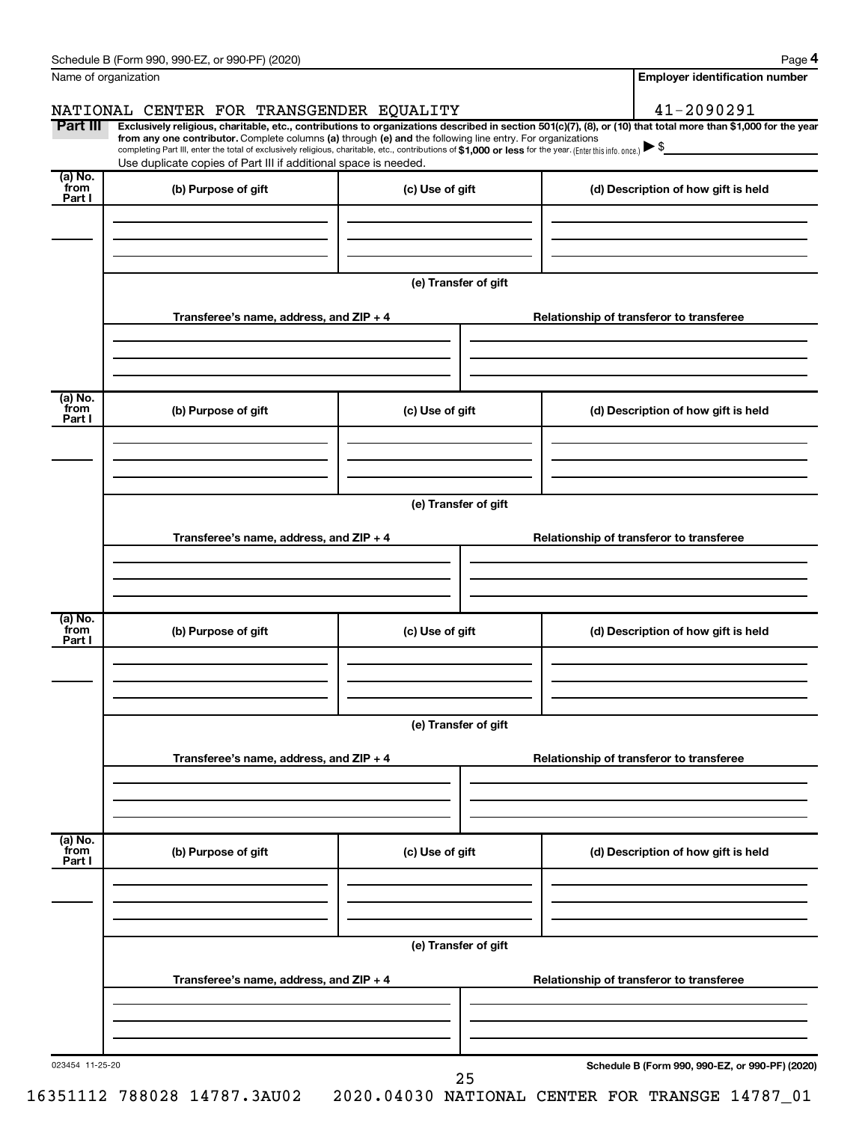|                           | Schedule B (Form 990, 990-EZ, or 990-PF) (2020)                                                                                                                                                                                                                                                                                           |                      | Page 4                                                                                                                                                         |  |  |  |  |
|---------------------------|-------------------------------------------------------------------------------------------------------------------------------------------------------------------------------------------------------------------------------------------------------------------------------------------------------------------------------------------|----------------------|----------------------------------------------------------------------------------------------------------------------------------------------------------------|--|--|--|--|
|                           | Name of organization                                                                                                                                                                                                                                                                                                                      |                      | <b>Employer identification number</b>                                                                                                                          |  |  |  |  |
|                           | NATIONAL CENTER FOR TRANSGENDER EQUALITY                                                                                                                                                                                                                                                                                                  |                      | 41-2090291                                                                                                                                                     |  |  |  |  |
| Part III                  | from any one contributor. Complete columns (a) through (e) and the following line entry. For organizations<br>completing Part III, enter the total of exclusively religious, charitable, etc., contributions of \$1,000 or less for the year. (Enter this info. once.)<br>Use duplicate copies of Part III if additional space is needed. |                      | Exclusively religious, charitable, etc., contributions to organizations described in section 501(c)(7), (8), or (10) that total more than \$1,000 for the year |  |  |  |  |
| (a) No.<br>from           | (b) Purpose of gift                                                                                                                                                                                                                                                                                                                       | (c) Use of gift      | (d) Description of how gift is held                                                                                                                            |  |  |  |  |
| Part I                    |                                                                                                                                                                                                                                                                                                                                           |                      |                                                                                                                                                                |  |  |  |  |
|                           |                                                                                                                                                                                                                                                                                                                                           | (e) Transfer of gift |                                                                                                                                                                |  |  |  |  |
|                           | Transferee's name, address, and ZIP + 4                                                                                                                                                                                                                                                                                                   |                      | Relationship of transferor to transferee                                                                                                                       |  |  |  |  |
| (a) No.<br>from<br>Part I | (b) Purpose of gift                                                                                                                                                                                                                                                                                                                       | (c) Use of gift      | (d) Description of how gift is held                                                                                                                            |  |  |  |  |
|                           |                                                                                                                                                                                                                                                                                                                                           |                      |                                                                                                                                                                |  |  |  |  |
|                           |                                                                                                                                                                                                                                                                                                                                           | (e) Transfer of gift |                                                                                                                                                                |  |  |  |  |
|                           | Transferee's name, address, and ZIP + 4                                                                                                                                                                                                                                                                                                   |                      | Relationship of transferor to transferee                                                                                                                       |  |  |  |  |
| (a) No.                   |                                                                                                                                                                                                                                                                                                                                           |                      |                                                                                                                                                                |  |  |  |  |
| from<br>Part I            | (b) Purpose of gift                                                                                                                                                                                                                                                                                                                       | (c) Use of gift      | (d) Description of how gift is held                                                                                                                            |  |  |  |  |
|                           |                                                                                                                                                                                                                                                                                                                                           |                      |                                                                                                                                                                |  |  |  |  |
|                           | (e) Transfer of gift                                                                                                                                                                                                                                                                                                                      |                      |                                                                                                                                                                |  |  |  |  |
|                           | Transferee's name, address, and ZIP + 4                                                                                                                                                                                                                                                                                                   |                      | Relationship of transferor to transferee                                                                                                                       |  |  |  |  |
|                           |                                                                                                                                                                                                                                                                                                                                           |                      |                                                                                                                                                                |  |  |  |  |
| (a) No.<br>from<br>Part I | (b) Purpose of gift                                                                                                                                                                                                                                                                                                                       | (c) Use of gift      | (d) Description of how gift is held                                                                                                                            |  |  |  |  |
|                           |                                                                                                                                                                                                                                                                                                                                           |                      |                                                                                                                                                                |  |  |  |  |
|                           |                                                                                                                                                                                                                                                                                                                                           | (e) Transfer of gift |                                                                                                                                                                |  |  |  |  |
|                           | Transferee's name, address, and ZIP + 4                                                                                                                                                                                                                                                                                                   |                      | Relationship of transferor to transferee                                                                                                                       |  |  |  |  |
|                           |                                                                                                                                                                                                                                                                                                                                           |                      |                                                                                                                                                                |  |  |  |  |
| 023454 11-25-20           |                                                                                                                                                                                                                                                                                                                                           | 25                   | Schedule B (Form 990, 990-EZ, or 990-PF) (2020)                                                                                                                |  |  |  |  |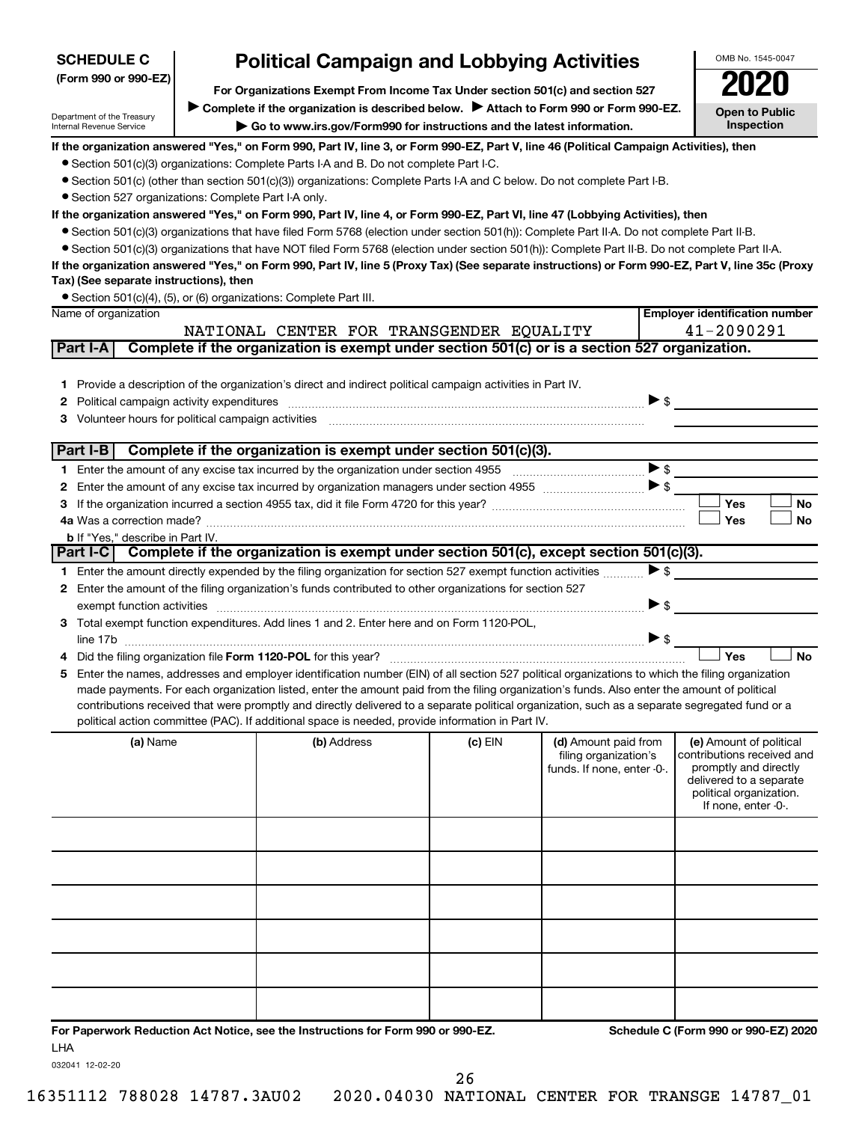| <b>SCHEDULE C</b>                                                                                                                                     | <b>Political Campaign and Lobbying Activities</b>                             |                                                                                                                                                                                                                               |           | OMB No. 1545-0047                             |                          |                                                       |
|-------------------------------------------------------------------------------------------------------------------------------------------------------|-------------------------------------------------------------------------------|-------------------------------------------------------------------------------------------------------------------------------------------------------------------------------------------------------------------------------|-----------|-----------------------------------------------|--------------------------|-------------------------------------------------------|
| (Form 990 or 990-EZ)                                                                                                                                  | For Organizations Exempt From Income Tax Under section 501(c) and section 527 |                                                                                                                                                                                                                               |           |                                               |                          |                                                       |
|                                                                                                                                                       |                                                                               |                                                                                                                                                                                                                               |           |                                               |                          |                                                       |
| Department of the Treasury                                                                                                                            |                                                                               | Complete if the organization is described below. Attach to Form 990 or Form 990-EZ.                                                                                                                                           |           |                                               |                          | <b>Open to Public</b><br>Inspection                   |
| Internal Revenue Service                                                                                                                              |                                                                               | Go to www.irs.gov/Form990 for instructions and the latest information.                                                                                                                                                        |           |                                               |                          |                                                       |
|                                                                                                                                                       |                                                                               | If the organization answered "Yes," on Form 990, Part IV, line 3, or Form 990-EZ, Part V, line 46 (Political Campaign Activities), then                                                                                       |           |                                               |                          |                                                       |
|                                                                                                                                                       |                                                                               | • Section 501(c)(3) organizations: Complete Parts I-A and B. Do not complete Part I-C.<br>• Section 501(c) (other than section 501(c)(3)) organizations: Complete Parts I-A and C below. Do not complete Part I-B.            |           |                                               |                          |                                                       |
| • Section 527 organizations: Complete Part I-A only.                                                                                                  |                                                                               |                                                                                                                                                                                                                               |           |                                               |                          |                                                       |
|                                                                                                                                                       |                                                                               | If the organization answered "Yes," on Form 990, Part IV, line 4, or Form 990-EZ, Part VI, line 47 (Lobbying Activities), then                                                                                                |           |                                               |                          |                                                       |
|                                                                                                                                                       |                                                                               | ● Section 501(c)(3) organizations that have filed Form 5768 (election under section 501(h)): Complete Part II-A. Do not complete Part II-B.                                                                                   |           |                                               |                          |                                                       |
|                                                                                                                                                       |                                                                               | • Section 501(c)(3) organizations that have NOT filed Form 5768 (election under section 501(h)): Complete Part II-B. Do not complete Part II-A.                                                                               |           |                                               |                          |                                                       |
|                                                                                                                                                       |                                                                               | If the organization answered "Yes," on Form 990, Part IV, line 5 (Proxy Tax) (See separate instructions) or Form 990-EZ, Part V, line 35c (Proxy                                                                              |           |                                               |                          |                                                       |
| Tax) (See separate instructions), then                                                                                                                |                                                                               |                                                                                                                                                                                                                               |           |                                               |                          |                                                       |
|                                                                                                                                                       |                                                                               | • Section 501(c)(4), (5), or (6) organizations: Complete Part III.                                                                                                                                                            |           |                                               |                          |                                                       |
| Name of organization                                                                                                                                  |                                                                               |                                                                                                                                                                                                                               |           |                                               |                          | <b>Employer identification number</b><br>41-2090291   |
| NATIONAL CENTER FOR TRANSGENDER EQUALITY<br>Complete if the organization is exempt under section 501(c) or is a section 527 organization.<br>Part I-A |                                                                               |                                                                                                                                                                                                                               |           |                                               |                          |                                                       |
|                                                                                                                                                       |                                                                               |                                                                                                                                                                                                                               |           |                                               |                          |                                                       |
|                                                                                                                                                       |                                                                               | 1 Provide a description of the organization's direct and indirect political campaign activities in Part IV.                                                                                                                   |           |                                               |                          |                                                       |
| 2                                                                                                                                                     |                                                                               |                                                                                                                                                                                                                               |           |                                               | $\triangleright$ \$      |                                                       |
| 3.                                                                                                                                                    |                                                                               | Volunteer hours for political campaign activities [11] with the content of the content of the content of the content of the content of the content of the content of the content of the content of the content of the content |           |                                               |                          |                                                       |
|                                                                                                                                                       |                                                                               |                                                                                                                                                                                                                               |           |                                               |                          |                                                       |
| Part $I-B$                                                                                                                                            |                                                                               | Complete if the organization is exempt under section 501(c)(3).                                                                                                                                                               |           |                                               |                          |                                                       |
|                                                                                                                                                       |                                                                               |                                                                                                                                                                                                                               |           |                                               | $\blacktriangleright$ \$ |                                                       |
| 2                                                                                                                                                     |                                                                               |                                                                                                                                                                                                                               |           |                                               |                          |                                                       |
| 3.                                                                                                                                                    |                                                                               |                                                                                                                                                                                                                               |           |                                               |                          | Yes<br>No                                             |
|                                                                                                                                                       |                                                                               |                                                                                                                                                                                                                               |           |                                               |                          | Yes<br><b>No</b>                                      |
| <b>b</b> If "Yes," describe in Part IV.                                                                                                               |                                                                               | Part I-C Complete if the organization is exempt under section 501(c), except section 501(c)(3).                                                                                                                               |           |                                               |                          |                                                       |
|                                                                                                                                                       |                                                                               | 1 Enter the amount directly expended by the filing organization for section 527 exempt function activities                                                                                                                    |           |                                               | $\blacktriangleright$ \$ |                                                       |
|                                                                                                                                                       |                                                                               | 2 Enter the amount of the filing organization's funds contributed to other organizations for section 527                                                                                                                      |           |                                               |                          |                                                       |
|                                                                                                                                                       |                                                                               |                                                                                                                                                                                                                               |           |                                               | $\triangleright$ \$      |                                                       |
|                                                                                                                                                       |                                                                               | 3 Total exempt function expenditures. Add lines 1 and 2. Enter here and on Form 1120-POL,                                                                                                                                     |           |                                               |                          |                                                       |
|                                                                                                                                                       |                                                                               |                                                                                                                                                                                                                               |           |                                               | $\triangleright$ \$      |                                                       |
|                                                                                                                                                       |                                                                               |                                                                                                                                                                                                                               |           |                                               |                          | Yes<br><b>No</b>                                      |
| 5                                                                                                                                                     |                                                                               | Enter the names, addresses and employer identification number (EIN) of all section 527 political organizations to which the filing organization                                                                               |           |                                               |                          |                                                       |
|                                                                                                                                                       |                                                                               | made payments. For each organization listed, enter the amount paid from the filing organization's funds. Also enter the amount of political                                                                                   |           |                                               |                          |                                                       |
|                                                                                                                                                       |                                                                               | contributions received that were promptly and directly delivered to a separate political organization, such as a separate segregated fund or a                                                                                |           |                                               |                          |                                                       |
|                                                                                                                                                       |                                                                               | political action committee (PAC). If additional space is needed, provide information in Part IV.                                                                                                                              |           |                                               |                          |                                                       |
| (a) Name                                                                                                                                              |                                                                               | (b) Address                                                                                                                                                                                                                   | $(c)$ EIN | (d) Amount paid from<br>filing organization's |                          | (e) Amount of political<br>contributions received and |
|                                                                                                                                                       |                                                                               |                                                                                                                                                                                                                               |           | funds. If none, enter -0-.                    |                          | promptly and directly                                 |
|                                                                                                                                                       |                                                                               |                                                                                                                                                                                                                               |           |                                               |                          | delivered to a separate<br>political organization.    |
|                                                                                                                                                       |                                                                               |                                                                                                                                                                                                                               |           |                                               |                          | If none, enter -0-.                                   |
|                                                                                                                                                       |                                                                               |                                                                                                                                                                                                                               |           |                                               |                          |                                                       |
|                                                                                                                                                       |                                                                               |                                                                                                                                                                                                                               |           |                                               |                          |                                                       |
|                                                                                                                                                       |                                                                               |                                                                                                                                                                                                                               |           |                                               |                          |                                                       |
|                                                                                                                                                       |                                                                               |                                                                                                                                                                                                                               |           |                                               |                          |                                                       |
|                                                                                                                                                       |                                                                               |                                                                                                                                                                                                                               |           |                                               |                          |                                                       |
|                                                                                                                                                       |                                                                               |                                                                                                                                                                                                                               |           |                                               |                          |                                                       |
|                                                                                                                                                       |                                                                               |                                                                                                                                                                                                                               |           |                                               |                          |                                                       |
|                                                                                                                                                       |                                                                               |                                                                                                                                                                                                                               |           |                                               |                          |                                                       |
|                                                                                                                                                       |                                                                               |                                                                                                                                                                                                                               |           |                                               |                          |                                                       |
|                                                                                                                                                       |                                                                               |                                                                                                                                                                                                                               |           |                                               |                          |                                                       |
|                                                                                                                                                       |                                                                               |                                                                                                                                                                                                                               |           |                                               |                          |                                                       |
|                                                                                                                                                       |                                                                               | For Paperwork Reduction Act Notice, see the Instructions for Form 990 or 990-EZ.                                                                                                                                              |           |                                               |                          | Schedule C (Form 990 or 990-EZ) 2020                  |

LHA

032041 12-02-20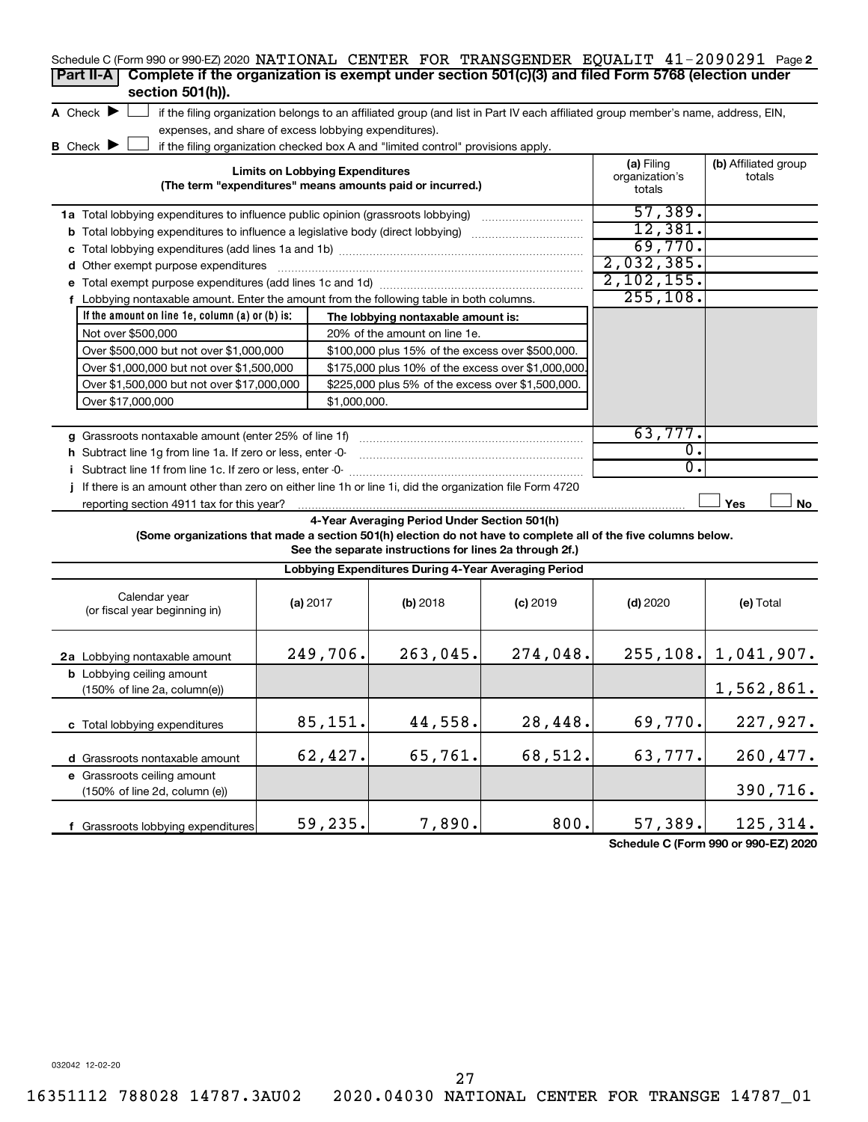| Schedule C (Form 990 or 990-EZ) 2020 NATIONAL CENTER FOR TRANSGENDER EQUALIT 41-2090291 Page 2                  |                                                       |                                                                                                                                   |            |                                        |                                |
|-----------------------------------------------------------------------------------------------------------------|-------------------------------------------------------|-----------------------------------------------------------------------------------------------------------------------------------|------------|----------------------------------------|--------------------------------|
| Complete if the organization is exempt under section 501(c)(3) and filed Form 5768 (election under<br>Part II-A |                                                       |                                                                                                                                   |            |                                        |                                |
| section 501(h)).                                                                                                |                                                       |                                                                                                                                   |            |                                        |                                |
| A Check $\blacktriangleright$                                                                                   |                                                       | if the filing organization belongs to an affiliated group (and list in Part IV each affiliated group member's name, address, EIN, |            |                                        |                                |
|                                                                                                                 | expenses, and share of excess lobbying expenditures). |                                                                                                                                   |            |                                        |                                |
| <b>B</b> Check $\blacktriangleright$                                                                            |                                                       | if the filing organization checked box A and "limited control" provisions apply.                                                  |            |                                        |                                |
|                                                                                                                 | <b>Limits on Lobbying Expenditures</b>                | (The term "expenditures" means amounts paid or incurred.)                                                                         |            | (a) Filing<br>organization's<br>totals | (b) Affiliated group<br>totals |
| 1a Total lobbying expenditures to influence public opinion (grassroots lobbying)                                |                                                       |                                                                                                                                   |            | 57,389.                                |                                |
| <b>b</b> Total lobbying expenditures to influence a legislative body (direct lobbying)                          | 12,381.                                               |                                                                                                                                   |            |                                        |                                |
|                                                                                                                 |                                                       |                                                                                                                                   |            | 69,770.                                |                                |
| d Other exempt purpose expenditures                                                                             |                                                       |                                                                                                                                   |            | 2,032,385.                             |                                |
|                                                                                                                 |                                                       |                                                                                                                                   |            | 2, 102, 155.                           |                                |
| f Lobbying nontaxable amount. Enter the amount from the following table in both columns.                        |                                                       |                                                                                                                                   |            | 255, 108.                              |                                |
| If the amount on line $1e$ , column $(a)$ or $(b)$ is:                                                          |                                                       | The lobbying nontaxable amount is:                                                                                                |            |                                        |                                |
| Not over \$500,000                                                                                              |                                                       | 20% of the amount on line 1e.                                                                                                     |            |                                        |                                |
| Over \$500,000 but not over \$1,000,000                                                                         |                                                       | \$100,000 plus 15% of the excess over \$500,000.                                                                                  |            |                                        |                                |
| Over \$1,000,000 but not over \$1,500,000                                                                       | \$175,000 plus 10% of the excess over \$1,000,000     |                                                                                                                                   |            |                                        |                                |
| Over \$1,500,000 but not over \$17,000,000                                                                      |                                                       |                                                                                                                                   |            |                                        |                                |
| Over \$17,000,000                                                                                               |                                                       |                                                                                                                                   |            |                                        |                                |
|                                                                                                                 |                                                       |                                                                                                                                   |            |                                        |                                |
| g Grassroots nontaxable amount (enter 25% of line 1f)                                                           |                                                       |                                                                                                                                   |            | 63,777.                                |                                |
| h Subtract line 1g from line 1a. If zero or less, enter -0-                                                     |                                                       |                                                                                                                                   |            | $\overline{0}$ .                       |                                |
| i Subtract line 1f from line 1c. If zero or less, enter -0-                                                     |                                                       |                                                                                                                                   |            | 0.                                     |                                |
| If there is an amount other than zero on either line 1h or line 1i, did the organization file Form 4720         |                                                       |                                                                                                                                   |            |                                        |                                |
| reporting section 4911 tax for this year?                                                                       |                                                       |                                                                                                                                   |            |                                        | Yes<br>No                      |
|                                                                                                                 |                                                       | 4-Year Averaging Period Under Section 501(h)                                                                                      |            |                                        |                                |
| (Some organizations that made a section 501(h) election do not have to complete all of the five columns below.  |                                                       |                                                                                                                                   |            |                                        |                                |
|                                                                                                                 |                                                       | See the separate instructions for lines 2a through 2f.)                                                                           |            |                                        |                                |
|                                                                                                                 |                                                       | Lobbying Expenditures During 4-Year Averaging Period                                                                              |            |                                        |                                |
| Calendar year<br>(or fiscal year beginning in)                                                                  | (a) $2017$                                            | (b) 2018                                                                                                                          | $(c)$ 2019 | $(d)$ 2020                             | (e) Total                      |
| 2a Lobbying nontaxable amount                                                                                   | 249,706.                                              | 263,045.                                                                                                                          | 274,048.   |                                        | $255, 108.$ 1, 041, 907.       |
| <b>b</b> Lobbying ceiling amount<br>(150% of line 2a, column(e))                                                |                                                       |                                                                                                                                   |            |                                        | 1,562,861.                     |
| c Total lobbying expenditures                                                                                   | 85,151.                                               | 44,558.                                                                                                                           | 28,448.    | 69,770.                                | 227,927.                       |
| d Grassroots nontaxable amount                                                                                  | 62,427.                                               | 65,761.                                                                                                                           | 68,512.    | 63,777.                                | 260, 477.                      |
| e Grassroots ceiling amount<br>(150% of line 2d, column (e))                                                    |                                                       |                                                                                                                                   |            |                                        | 390,716.                       |
| f Grassroots lobbying expenditures                                                                              | 59,235.                                               | 7,890.                                                                                                                            | 800.       | 57,389.                                | 125,314.                       |

**Schedule C (Form 990 or 990-EZ) 2020**

032042 12-02-20

27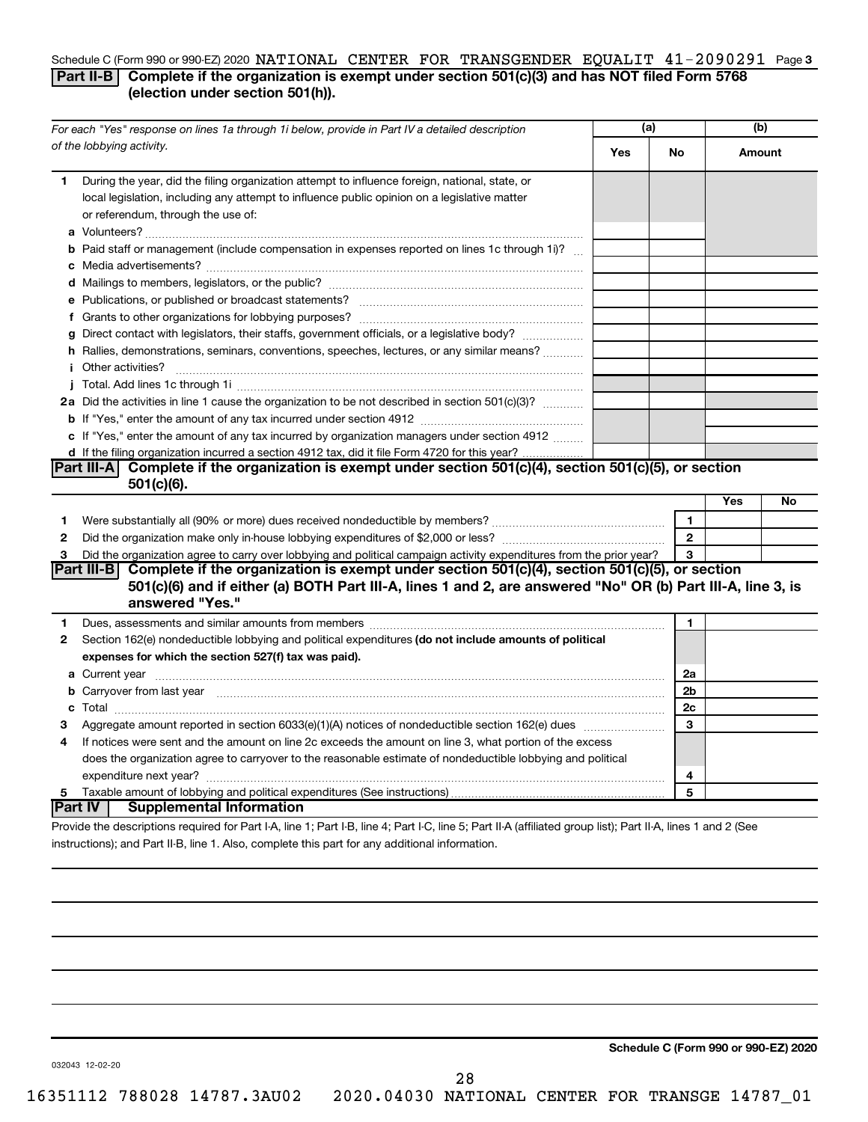#### Schedule C (Form 990 or 990-EZ) 2020 NATIONAL CENTER FOR TRANSGENDER EQUALIT  $41$  -  $2090291\;$  Page 3 **Part II-B Complete if the organization is exempt under section 501(c)(3) and has NOT filed Form 5768 (election under section 501(h)).**

|                                                                                                | For each "Yes" response on lines 1a through 1i below, provide in Part IV a detailed description                                                                                                                                                  | (a) |                | (b)    |    |
|------------------------------------------------------------------------------------------------|--------------------------------------------------------------------------------------------------------------------------------------------------------------------------------------------------------------------------------------------------|-----|----------------|--------|----|
|                                                                                                | of the lobbying activity.                                                                                                                                                                                                                        | Yes | No             | Amount |    |
| 1                                                                                              | During the year, did the filing organization attempt to influence foreign, national, state, or<br>local legislation, including any attempt to influence public opinion on a legislative matter<br>or referendum, through the use of:             |     |                |        |    |
|                                                                                                | <b>b</b> Paid staff or management (include compensation in expenses reported on lines 1c through 1i)?                                                                                                                                            |     |                |        |    |
|                                                                                                |                                                                                                                                                                                                                                                  |     |                |        |    |
|                                                                                                |                                                                                                                                                                                                                                                  |     |                |        |    |
|                                                                                                |                                                                                                                                                                                                                                                  |     |                |        |    |
|                                                                                                | g Direct contact with legislators, their staffs, government officials, or a legislative body?                                                                                                                                                    |     |                |        |    |
|                                                                                                | h Rallies, demonstrations, seminars, conventions, speeches, lectures, or any similar means?                                                                                                                                                      |     |                |        |    |
|                                                                                                | <i>i</i> Other activities?                                                                                                                                                                                                                       |     |                |        |    |
|                                                                                                |                                                                                                                                                                                                                                                  |     |                |        |    |
|                                                                                                | 2a Did the activities in line 1 cause the organization to be not described in section 501(c)(3)?                                                                                                                                                 |     |                |        |    |
|                                                                                                |                                                                                                                                                                                                                                                  |     |                |        |    |
|                                                                                                | c If "Yes," enter the amount of any tax incurred by organization managers under section 4912                                                                                                                                                     |     |                |        |    |
| d If the filing organization incurred a section 4912 tax, did it file Form 4720 for this year? |                                                                                                                                                                                                                                                  |     |                |        |    |
|                                                                                                | Part III-A Complete if the organization is exempt under section $501(c)(4)$ , section $501(c)(5)$ , or section                                                                                                                                   |     |                |        |    |
|                                                                                                | $501(c)(6)$ .                                                                                                                                                                                                                                    |     |                |        |    |
|                                                                                                |                                                                                                                                                                                                                                                  |     |                | Yes    | No |
| 1                                                                                              |                                                                                                                                                                                                                                                  |     | $\mathbf{1}$   |        |    |
| $\mathbf{2}$                                                                                   |                                                                                                                                                                                                                                                  |     | $\mathbf{2}$   |        |    |
| 3                                                                                              | Did the organization agree to carry over lobbying and political campaign activity expenditures from the prior year?                                                                                                                              |     | 3              |        |    |
|                                                                                                | Part III-B Complete if the organization is exempt under section $501(c)(4)$ , section $501(c)(5)$ , or section<br>501(c)(6) and if either (a) BOTH Part III-A, lines 1 and 2, are answered "No" OR (b) Part III-A, line 3, is<br>answered "Yes." |     |                |        |    |
| 1.                                                                                             | Dues, assessments and similar amounts from members [111] www.communicallyness.communicallyness.communicallyness.com                                                                                                                              |     | 1              |        |    |
| 2                                                                                              | Section 162(e) nondeductible lobbying and political expenditures (do not include amounts of political                                                                                                                                            |     |                |        |    |
|                                                                                                | expenses for which the section 527(f) tax was paid).                                                                                                                                                                                             |     |                |        |    |
|                                                                                                |                                                                                                                                                                                                                                                  |     | 2a             |        |    |
|                                                                                                | b Carryover from last year manufactured and content to content the content of the content of the content of the content of the content of the content of the content of the content of the content of the content of the conte                   |     | 2 <sub>b</sub> |        |    |
|                                                                                                |                                                                                                                                                                                                                                                  |     | 2c             |        |    |
| З                                                                                              |                                                                                                                                                                                                                                                  |     | 3              |        |    |
| 4                                                                                              | If notices were sent and the amount on line 2c exceeds the amount on line 3, what portion of the excess                                                                                                                                          |     |                |        |    |
|                                                                                                | does the organization agree to carryover to the reasonable estimate of nondeductible lobbying and political                                                                                                                                      |     |                |        |    |
|                                                                                                |                                                                                                                                                                                                                                                  |     | 4              |        |    |
| 5                                                                                              |                                                                                                                                                                                                                                                  |     | 5              |        |    |
|                                                                                                | ∣Part IV ∣<br><b>Supplemental Information</b>                                                                                                                                                                                                    |     |                |        |    |
|                                                                                                | Provide the descriptions required for Part I-A, line 1; Part I-B, line 4; Part I-C, line 5; Part II-A (affiliated group list); Part II-A, lines 1 and 2 (See                                                                                     |     |                |        |    |

instructions); and Part II-B, line 1. Also, complete this part for any additional information.

**Schedule C (Form 990 or 990-EZ) 2020**

032043 12-02-20

28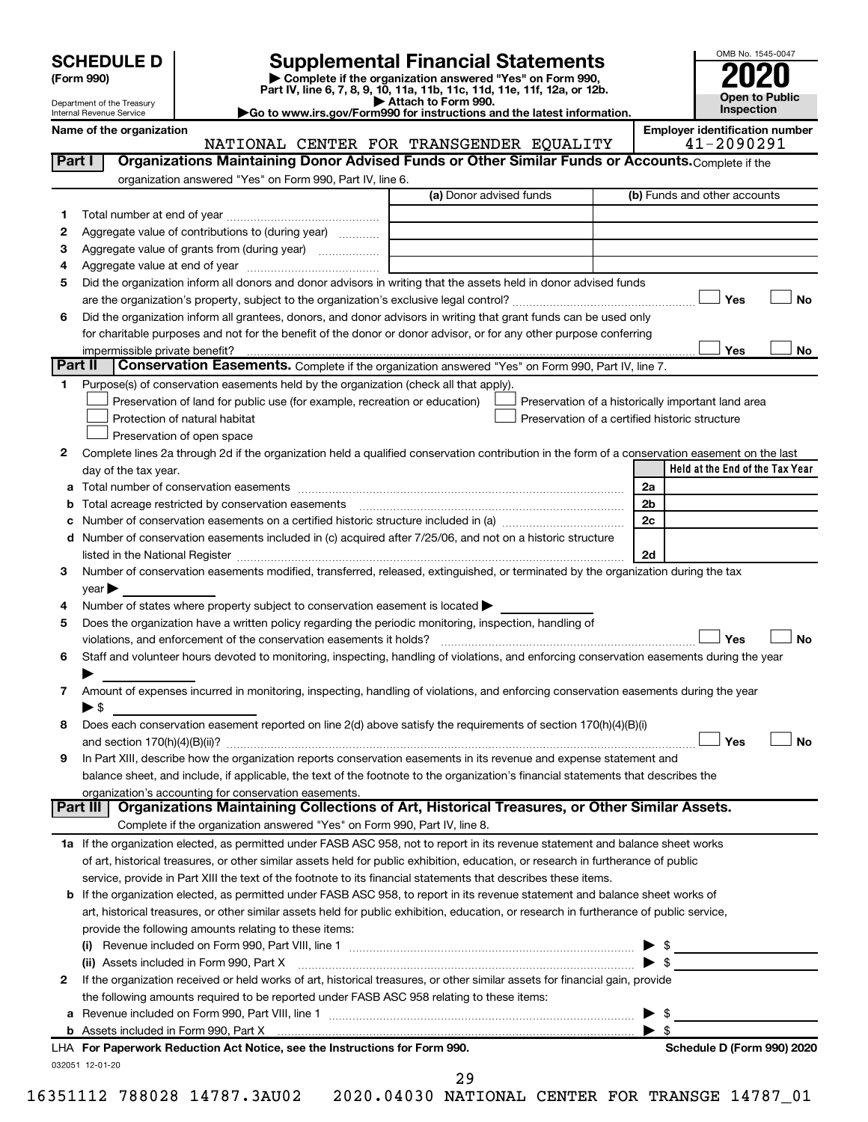| (Form 990) |  |
|------------|--|
|------------|--|

# **SCHEDULE D Supplemental Financial Statements**<br> **Form 990 2020**<br> **Part IV** line 6.7.8.9.10, 11a, 11b, 11d, 11d, 11d, 11d, 11d, 12a, 0r, 12b

**(Form 990) | Complete if the organization answered "Yes" on Form 990, Part IV, line 6, 7, 8, 9, 10, 11a, 11b, 11c, 11d, 11e, 11f, 12a, or 12b.**

**| Attach to Form 990. |Go to www.irs.gov/Form990 for instructions and the latest information.**



Department of the Treasury Internal Revenue Service

Name of the organization<br>**NATIONAL CENTER FOR TRANSGENDER EQUALITY** | **Employer identification number** NATIONAL CENTER FOR TRANSGENDER EQUALITY

| Part I  | Organizations Maintaining Donor Advised Funds or Other Similar Funds or Accounts. Complete if the                                                                 |                         |                                                |                                                    |
|---------|-------------------------------------------------------------------------------------------------------------------------------------------------------------------|-------------------------|------------------------------------------------|----------------------------------------------------|
|         | organization answered "Yes" on Form 990, Part IV, line 6.                                                                                                         |                         |                                                |                                                    |
|         |                                                                                                                                                                   | (a) Donor advised funds |                                                | (b) Funds and other accounts                       |
| 1.      |                                                                                                                                                                   |                         |                                                |                                                    |
| 2       | Aggregate value of contributions to (during year)                                                                                                                 |                         |                                                |                                                    |
| з       |                                                                                                                                                                   |                         |                                                |                                                    |
| 4       |                                                                                                                                                                   |                         |                                                |                                                    |
| 5       | Did the organization inform all donors and donor advisors in writing that the assets held in donor advised funds                                                  |                         |                                                |                                                    |
|         |                                                                                                                                                                   |                         |                                                | Yes<br>No                                          |
| 6       | Did the organization inform all grantees, donors, and donor advisors in writing that grant funds can be used only                                                 |                         |                                                |                                                    |
|         | for charitable purposes and not for the benefit of the donor or donor advisor, or for any other purpose conferring                                                |                         |                                                |                                                    |
|         | impermissible private benefit?                                                                                                                                    |                         |                                                | Yes<br>No                                          |
| Part II | <b>Conservation Easements.</b> Complete if the organization answered "Yes" on Form 990, Part IV, line 7.                                                          |                         |                                                |                                                    |
|         | Purpose(s) of conservation easements held by the organization (check all that apply).                                                                             |                         |                                                |                                                    |
|         | Preservation of land for public use (for example, recreation or education)                                                                                        |                         |                                                | Preservation of a historically important land area |
|         | Protection of natural habitat                                                                                                                                     |                         | Preservation of a certified historic structure |                                                    |
|         | Preservation of open space                                                                                                                                        |                         |                                                |                                                    |
| 2       | Complete lines 2a through 2d if the organization held a qualified conservation contribution in the form of a conservation easement on the last                    |                         |                                                |                                                    |
|         | day of the tax year.                                                                                                                                              |                         |                                                | Held at the End of the Tax Year                    |
| а       |                                                                                                                                                                   |                         |                                                | 2a                                                 |
|         | Total acreage restricted by conservation easements [11] [11] Total acreage restricted by conservation easements                                                   |                         |                                                | 2 <sub>b</sub>                                     |
|         |                                                                                                                                                                   |                         |                                                | 2c                                                 |
| d       | Number of conservation easements included in (c) acquired after 7/25/06, and not on a historic structure                                                          |                         |                                                |                                                    |
|         |                                                                                                                                                                   |                         |                                                | 2d                                                 |
| 3       | Number of conservation easements modified, transferred, released, extinguished, or terminated by the organization during the tax                                  |                         |                                                |                                                    |
|         | year                                                                                                                                                              |                         |                                                |                                                    |
| 4       | Number of states where property subject to conservation easement is located >                                                                                     |                         |                                                |                                                    |
| 5       | Does the organization have a written policy regarding the periodic monitoring, inspection, handling of                                                            |                         |                                                |                                                    |
|         | violations, and enforcement of the conservation easements it holds?                                                                                               |                         |                                                | Yes<br>No                                          |
| 6       | Staff and volunteer hours devoted to monitoring, inspecting, handling of violations, and enforcing conservation easements during the year                         |                         |                                                |                                                    |
|         |                                                                                                                                                                   |                         |                                                |                                                    |
| 7       | Amount of expenses incurred in monitoring, inspecting, handling of violations, and enforcing conservation easements during the year                               |                         |                                                |                                                    |
|         | $\blacktriangleright$ \$                                                                                                                                          |                         |                                                |                                                    |
| 8       | Does each conservation easement reported on line 2(d) above satisfy the requirements of section 170(h)(4)(B)(i)                                                   |                         |                                                |                                                    |
|         |                                                                                                                                                                   |                         |                                                | Yes<br>No                                          |
| 9       | In Part XIII, describe how the organization reports conservation easements in its revenue and expense statement and                                               |                         |                                                |                                                    |
|         | balance sheet, and include, if applicable, the text of the footnote to the organization's financial statements that describes the                                 |                         |                                                |                                                    |
|         | organization's accounting for conservation easements.<br>Organizations Maintaining Collections of Art, Historical Treasures, or Other Similar Assets.<br>Part III |                         |                                                |                                                    |
|         | Complete if the organization answered "Yes" on Form 990, Part IV, line 8.                                                                                         |                         |                                                |                                                    |
|         | 1a If the organization elected, as permitted under FASB ASC 958, not to report in its revenue statement and balance sheet works                                   |                         |                                                |                                                    |
|         | of art, historical treasures, or other similar assets held for public exhibition, education, or research in furtherance of public                                 |                         |                                                |                                                    |
|         | service, provide in Part XIII the text of the footnote to its financial statements that describes these items.                                                    |                         |                                                |                                                    |
|         | <b>b</b> If the organization elected, as permitted under FASB ASC 958, to report in its revenue statement and balance sheet works of                              |                         |                                                |                                                    |
|         | art, historical treasures, or other similar assets held for public exhibition, education, or research in furtherance of public service,                           |                         |                                                |                                                    |
|         | provide the following amounts relating to these items:                                                                                                            |                         |                                                |                                                    |
|         |                                                                                                                                                                   |                         |                                                | ▶                                                  |
|         | (ii) Assets included in Form 990, Part X                                                                                                                          |                         |                                                | $\frac{1}{2}$<br>$\triangleright$ \$               |
| 2       | If the organization received or held works of art, historical treasures, or other similar assets for financial gain, provide                                      |                         |                                                |                                                    |
|         | the following amounts required to be reported under FASB ASC 958 relating to these items:                                                                         |                         |                                                |                                                    |
| а       |                                                                                                                                                                   |                         |                                                | \$<br>▶                                            |
|         |                                                                                                                                                                   |                         |                                                | $\blacktriangleright$ s                            |
|         | LHA For Paperwork Reduction Act Notice, see the Instructions for Form 990.                                                                                        |                         |                                                | Schedule D (Form 990) 2020                         |
|         | 032051 12-01-20                                                                                                                                                   |                         |                                                |                                                    |
|         |                                                                                                                                                                   | 29                      |                                                |                                                    |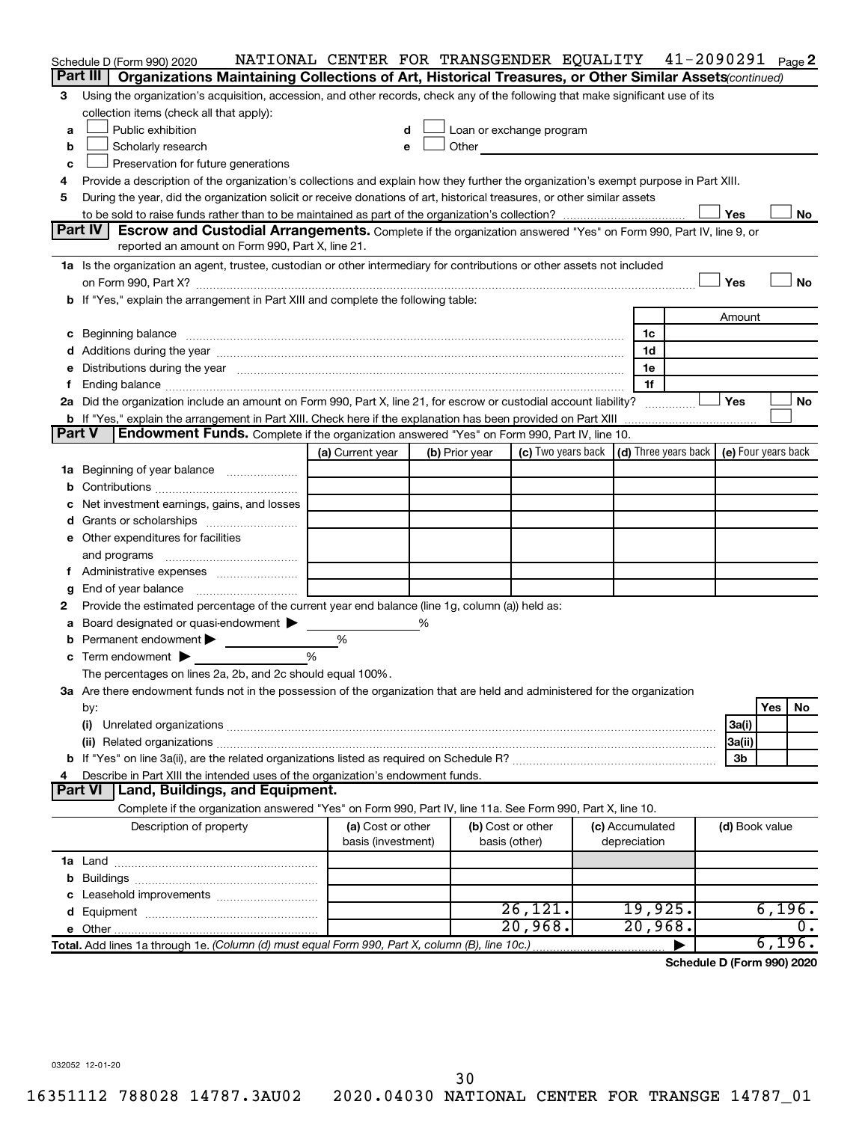| Part III<br>Organizations Maintaining Collections of Art, Historical Treasures, or Other Similar Assets (continued)<br>Using the organization's acquisition, accession, and other records, check any of the following that make significant use of its<br>3<br>collection items (check all that apply):<br>Public exhibition<br>Loan or exchange program<br>a<br>d<br>Scholarly research<br>Other and the control of the control of the control of the control of the control of the control of the control of the control of the control of the control of the control of the control of the control of the control of th<br>b<br>е<br>Preservation for future generations<br>c<br>Provide a description of the organization's collections and explain how they further the organization's exempt purpose in Part XIII.<br>4<br>During the year, did the organization solicit or receive donations of art, historical treasures, or other similar assets<br>5<br>Yes<br>No<br>Part IV<br>Escrow and Custodial Arrangements. Complete if the organization answered "Yes" on Form 990, Part IV, line 9, or<br>reported an amount on Form 990, Part X, line 21.<br>1a Is the organization an agent, trustee, custodian or other intermediary for contributions or other assets not included<br>Yes<br><b>No</b><br>b If "Yes," explain the arrangement in Part XIII and complete the following table:<br>Amount<br>1c<br>c Beginning balance measurements and the contract of the contract of the contract of the contract of the contract of the contract of the contract of the contract of the contract of the contract of the contract of the contr<br>1d<br>1e<br>e Distributions during the year manufactured and an account of the year manufactured and account of the year manufactured and account of the USA of the USA of the USA of the USA of the USA of the USA of the USA of the USA<br>1f<br>Yes<br>2a Did the organization include an amount on Form 990, Part X, line 21, for escrow or custodial account liability?<br><b>No</b><br><b>b</b> If "Yes," explain the arrangement in Part XIII. Check here if the explanation has been provided on Part XIII<br>Part V<br><b>Endowment Funds.</b> Complete if the organization answered "Yes" on Form 990, Part IV, line 10.<br>(c) Two years back $\vert$ (d) Three years back $\vert$ (e) Four years back<br>(a) Current year<br>(b) Prior year<br>1a Beginning of year balance<br>Net investment earnings, gains, and losses<br>e Other expenditures for facilities<br>and programs<br>End of year balance<br>g<br>Provide the estimated percentage of the current year end balance (line 1g, column (a)) held as:<br>2<br>Board designated or quasi-endowment ><br>%<br>а<br><b>b</b> Permanent endowment $\blacktriangleright$<br>%<br>%<br>c Term endowment $\blacktriangleright$<br>The percentages on lines 2a, 2b, and 2c should equal 100%.<br>3a Are there endowment funds not in the possession of the organization that are held and administered for the organization<br>Yes<br>No<br>by:<br>3a(i)<br>(i)<br>3a(ii)<br>3 <sub>b</sub><br>Describe in Part XIII the intended uses of the organization's endowment funds.<br>4<br><b>Part VI</b><br>Land, Buildings, and Equipment.<br>Complete if the organization answered "Yes" on Form 990, Part IV, line 11a. See Form 990, Part X, line 10.<br>Description of property<br>(a) Cost or other<br>(b) Cost or other<br>(c) Accumulated<br>(d) Book value<br>basis (investment)<br>basis (other)<br>depreciation<br>26, 121.<br>19,925.<br>6,196.<br>20,968.<br>20,968.<br>ο.<br>6,196.<br>Total. Add lines 1a through 1e. (Column (d) must equal Form 990, Part X, column (B), line 10c.) | Schedule D (Form 990) 2020 | NATIONAL CENTER FOR TRANSGENDER EQUALITY 41-2090291 Page2 |  |  |  |  |  |
|-------------------------------------------------------------------------------------------------------------------------------------------------------------------------------------------------------------------------------------------------------------------------------------------------------------------------------------------------------------------------------------------------------------------------------------------------------------------------------------------------------------------------------------------------------------------------------------------------------------------------------------------------------------------------------------------------------------------------------------------------------------------------------------------------------------------------------------------------------------------------------------------------------------------------------------------------------------------------------------------------------------------------------------------------------------------------------------------------------------------------------------------------------------------------------------------------------------------------------------------------------------------------------------------------------------------------------------------------------------------------------------------------------------------------------------------------------------------------------------------------------------------------------------------------------------------------------------------------------------------------------------------------------------------------------------------------------------------------------------------------------------------------------------------------------------------------------------------------------------------------------------------------------------------------------------------------------------------------------------------------------------------------------------------------------------------------------------------------------------------------------------------------------------------------------------------------------------------------------------------------------------------------------------------------------------------------------------------------------------------------------------------------------------------------------------------------------------------------------------------------------------------------------------------------------------------------------------------------------------------------------------------------------------------------------------------------------------------------------------------------------------------------------------------------------------------------------------------------------------------------------------------------------------------------------------------------------------------------------------------------------------------------------------------------------------------------------------------------------------------------------------------------------------------------------------------------------------------------------------------------------------------------------------------------------------------------------------------------------------------------------------------------------------------------------------------------------------------------------------------------------------------------------------------------------------------------------------------------------------------------------------------------------------------------------------------------------------------------|----------------------------|-----------------------------------------------------------|--|--|--|--|--|
|                                                                                                                                                                                                                                                                                                                                                                                                                                                                                                                                                                                                                                                                                                                                                                                                                                                                                                                                                                                                                                                                                                                                                                                                                                                                                                                                                                                                                                                                                                                                                                                                                                                                                                                                                                                                                                                                                                                                                                                                                                                                                                                                                                                                                                                                                                                                                                                                                                                                                                                                                                                                                                                                                                                                                                                                                                                                                                                                                                                                                                                                                                                                                                                                                                                                                                                                                                                                                                                                                                                                                                                                                                                                                                                         |                            |                                                           |  |  |  |  |  |
|                                                                                                                                                                                                                                                                                                                                                                                                                                                                                                                                                                                                                                                                                                                                                                                                                                                                                                                                                                                                                                                                                                                                                                                                                                                                                                                                                                                                                                                                                                                                                                                                                                                                                                                                                                                                                                                                                                                                                                                                                                                                                                                                                                                                                                                                                                                                                                                                                                                                                                                                                                                                                                                                                                                                                                                                                                                                                                                                                                                                                                                                                                                                                                                                                                                                                                                                                                                                                                                                                                                                                                                                                                                                                                                         |                            |                                                           |  |  |  |  |  |
|                                                                                                                                                                                                                                                                                                                                                                                                                                                                                                                                                                                                                                                                                                                                                                                                                                                                                                                                                                                                                                                                                                                                                                                                                                                                                                                                                                                                                                                                                                                                                                                                                                                                                                                                                                                                                                                                                                                                                                                                                                                                                                                                                                                                                                                                                                                                                                                                                                                                                                                                                                                                                                                                                                                                                                                                                                                                                                                                                                                                                                                                                                                                                                                                                                                                                                                                                                                                                                                                                                                                                                                                                                                                                                                         |                            |                                                           |  |  |  |  |  |
|                                                                                                                                                                                                                                                                                                                                                                                                                                                                                                                                                                                                                                                                                                                                                                                                                                                                                                                                                                                                                                                                                                                                                                                                                                                                                                                                                                                                                                                                                                                                                                                                                                                                                                                                                                                                                                                                                                                                                                                                                                                                                                                                                                                                                                                                                                                                                                                                                                                                                                                                                                                                                                                                                                                                                                                                                                                                                                                                                                                                                                                                                                                                                                                                                                                                                                                                                                                                                                                                                                                                                                                                                                                                                                                         |                            |                                                           |  |  |  |  |  |
|                                                                                                                                                                                                                                                                                                                                                                                                                                                                                                                                                                                                                                                                                                                                                                                                                                                                                                                                                                                                                                                                                                                                                                                                                                                                                                                                                                                                                                                                                                                                                                                                                                                                                                                                                                                                                                                                                                                                                                                                                                                                                                                                                                                                                                                                                                                                                                                                                                                                                                                                                                                                                                                                                                                                                                                                                                                                                                                                                                                                                                                                                                                                                                                                                                                                                                                                                                                                                                                                                                                                                                                                                                                                                                                         |                            |                                                           |  |  |  |  |  |
|                                                                                                                                                                                                                                                                                                                                                                                                                                                                                                                                                                                                                                                                                                                                                                                                                                                                                                                                                                                                                                                                                                                                                                                                                                                                                                                                                                                                                                                                                                                                                                                                                                                                                                                                                                                                                                                                                                                                                                                                                                                                                                                                                                                                                                                                                                                                                                                                                                                                                                                                                                                                                                                                                                                                                                                                                                                                                                                                                                                                                                                                                                                                                                                                                                                                                                                                                                                                                                                                                                                                                                                                                                                                                                                         |                            |                                                           |  |  |  |  |  |
|                                                                                                                                                                                                                                                                                                                                                                                                                                                                                                                                                                                                                                                                                                                                                                                                                                                                                                                                                                                                                                                                                                                                                                                                                                                                                                                                                                                                                                                                                                                                                                                                                                                                                                                                                                                                                                                                                                                                                                                                                                                                                                                                                                                                                                                                                                                                                                                                                                                                                                                                                                                                                                                                                                                                                                                                                                                                                                                                                                                                                                                                                                                                                                                                                                                                                                                                                                                                                                                                                                                                                                                                                                                                                                                         |                            |                                                           |  |  |  |  |  |
|                                                                                                                                                                                                                                                                                                                                                                                                                                                                                                                                                                                                                                                                                                                                                                                                                                                                                                                                                                                                                                                                                                                                                                                                                                                                                                                                                                                                                                                                                                                                                                                                                                                                                                                                                                                                                                                                                                                                                                                                                                                                                                                                                                                                                                                                                                                                                                                                                                                                                                                                                                                                                                                                                                                                                                                                                                                                                                                                                                                                                                                                                                                                                                                                                                                                                                                                                                                                                                                                                                                                                                                                                                                                                                                         |                            |                                                           |  |  |  |  |  |
|                                                                                                                                                                                                                                                                                                                                                                                                                                                                                                                                                                                                                                                                                                                                                                                                                                                                                                                                                                                                                                                                                                                                                                                                                                                                                                                                                                                                                                                                                                                                                                                                                                                                                                                                                                                                                                                                                                                                                                                                                                                                                                                                                                                                                                                                                                                                                                                                                                                                                                                                                                                                                                                                                                                                                                                                                                                                                                                                                                                                                                                                                                                                                                                                                                                                                                                                                                                                                                                                                                                                                                                                                                                                                                                         |                            |                                                           |  |  |  |  |  |
|                                                                                                                                                                                                                                                                                                                                                                                                                                                                                                                                                                                                                                                                                                                                                                                                                                                                                                                                                                                                                                                                                                                                                                                                                                                                                                                                                                                                                                                                                                                                                                                                                                                                                                                                                                                                                                                                                                                                                                                                                                                                                                                                                                                                                                                                                                                                                                                                                                                                                                                                                                                                                                                                                                                                                                                                                                                                                                                                                                                                                                                                                                                                                                                                                                                                                                                                                                                                                                                                                                                                                                                                                                                                                                                         |                            |                                                           |  |  |  |  |  |
|                                                                                                                                                                                                                                                                                                                                                                                                                                                                                                                                                                                                                                                                                                                                                                                                                                                                                                                                                                                                                                                                                                                                                                                                                                                                                                                                                                                                                                                                                                                                                                                                                                                                                                                                                                                                                                                                                                                                                                                                                                                                                                                                                                                                                                                                                                                                                                                                                                                                                                                                                                                                                                                                                                                                                                                                                                                                                                                                                                                                                                                                                                                                                                                                                                                                                                                                                                                                                                                                                                                                                                                                                                                                                                                         |                            |                                                           |  |  |  |  |  |
|                                                                                                                                                                                                                                                                                                                                                                                                                                                                                                                                                                                                                                                                                                                                                                                                                                                                                                                                                                                                                                                                                                                                                                                                                                                                                                                                                                                                                                                                                                                                                                                                                                                                                                                                                                                                                                                                                                                                                                                                                                                                                                                                                                                                                                                                                                                                                                                                                                                                                                                                                                                                                                                                                                                                                                                                                                                                                                                                                                                                                                                                                                                                                                                                                                                                                                                                                                                                                                                                                                                                                                                                                                                                                                                         |                            |                                                           |  |  |  |  |  |
|                                                                                                                                                                                                                                                                                                                                                                                                                                                                                                                                                                                                                                                                                                                                                                                                                                                                                                                                                                                                                                                                                                                                                                                                                                                                                                                                                                                                                                                                                                                                                                                                                                                                                                                                                                                                                                                                                                                                                                                                                                                                                                                                                                                                                                                                                                                                                                                                                                                                                                                                                                                                                                                                                                                                                                                                                                                                                                                                                                                                                                                                                                                                                                                                                                                                                                                                                                                                                                                                                                                                                                                                                                                                                                                         |                            |                                                           |  |  |  |  |  |
|                                                                                                                                                                                                                                                                                                                                                                                                                                                                                                                                                                                                                                                                                                                                                                                                                                                                                                                                                                                                                                                                                                                                                                                                                                                                                                                                                                                                                                                                                                                                                                                                                                                                                                                                                                                                                                                                                                                                                                                                                                                                                                                                                                                                                                                                                                                                                                                                                                                                                                                                                                                                                                                                                                                                                                                                                                                                                                                                                                                                                                                                                                                                                                                                                                                                                                                                                                                                                                                                                                                                                                                                                                                                                                                         |                            |                                                           |  |  |  |  |  |
|                                                                                                                                                                                                                                                                                                                                                                                                                                                                                                                                                                                                                                                                                                                                                                                                                                                                                                                                                                                                                                                                                                                                                                                                                                                                                                                                                                                                                                                                                                                                                                                                                                                                                                                                                                                                                                                                                                                                                                                                                                                                                                                                                                                                                                                                                                                                                                                                                                                                                                                                                                                                                                                                                                                                                                                                                                                                                                                                                                                                                                                                                                                                                                                                                                                                                                                                                                                                                                                                                                                                                                                                                                                                                                                         |                            |                                                           |  |  |  |  |  |
|                                                                                                                                                                                                                                                                                                                                                                                                                                                                                                                                                                                                                                                                                                                                                                                                                                                                                                                                                                                                                                                                                                                                                                                                                                                                                                                                                                                                                                                                                                                                                                                                                                                                                                                                                                                                                                                                                                                                                                                                                                                                                                                                                                                                                                                                                                                                                                                                                                                                                                                                                                                                                                                                                                                                                                                                                                                                                                                                                                                                                                                                                                                                                                                                                                                                                                                                                                                                                                                                                                                                                                                                                                                                                                                         |                            |                                                           |  |  |  |  |  |
|                                                                                                                                                                                                                                                                                                                                                                                                                                                                                                                                                                                                                                                                                                                                                                                                                                                                                                                                                                                                                                                                                                                                                                                                                                                                                                                                                                                                                                                                                                                                                                                                                                                                                                                                                                                                                                                                                                                                                                                                                                                                                                                                                                                                                                                                                                                                                                                                                                                                                                                                                                                                                                                                                                                                                                                                                                                                                                                                                                                                                                                                                                                                                                                                                                                                                                                                                                                                                                                                                                                                                                                                                                                                                                                         |                            |                                                           |  |  |  |  |  |
|                                                                                                                                                                                                                                                                                                                                                                                                                                                                                                                                                                                                                                                                                                                                                                                                                                                                                                                                                                                                                                                                                                                                                                                                                                                                                                                                                                                                                                                                                                                                                                                                                                                                                                                                                                                                                                                                                                                                                                                                                                                                                                                                                                                                                                                                                                                                                                                                                                                                                                                                                                                                                                                                                                                                                                                                                                                                                                                                                                                                                                                                                                                                                                                                                                                                                                                                                                                                                                                                                                                                                                                                                                                                                                                         |                            |                                                           |  |  |  |  |  |
|                                                                                                                                                                                                                                                                                                                                                                                                                                                                                                                                                                                                                                                                                                                                                                                                                                                                                                                                                                                                                                                                                                                                                                                                                                                                                                                                                                                                                                                                                                                                                                                                                                                                                                                                                                                                                                                                                                                                                                                                                                                                                                                                                                                                                                                                                                                                                                                                                                                                                                                                                                                                                                                                                                                                                                                                                                                                                                                                                                                                                                                                                                                                                                                                                                                                                                                                                                                                                                                                                                                                                                                                                                                                                                                         |                            |                                                           |  |  |  |  |  |
|                                                                                                                                                                                                                                                                                                                                                                                                                                                                                                                                                                                                                                                                                                                                                                                                                                                                                                                                                                                                                                                                                                                                                                                                                                                                                                                                                                                                                                                                                                                                                                                                                                                                                                                                                                                                                                                                                                                                                                                                                                                                                                                                                                                                                                                                                                                                                                                                                                                                                                                                                                                                                                                                                                                                                                                                                                                                                                                                                                                                                                                                                                                                                                                                                                                                                                                                                                                                                                                                                                                                                                                                                                                                                                                         |                            |                                                           |  |  |  |  |  |
|                                                                                                                                                                                                                                                                                                                                                                                                                                                                                                                                                                                                                                                                                                                                                                                                                                                                                                                                                                                                                                                                                                                                                                                                                                                                                                                                                                                                                                                                                                                                                                                                                                                                                                                                                                                                                                                                                                                                                                                                                                                                                                                                                                                                                                                                                                                                                                                                                                                                                                                                                                                                                                                                                                                                                                                                                                                                                                                                                                                                                                                                                                                                                                                                                                                                                                                                                                                                                                                                                                                                                                                                                                                                                                                         |                            |                                                           |  |  |  |  |  |
|                                                                                                                                                                                                                                                                                                                                                                                                                                                                                                                                                                                                                                                                                                                                                                                                                                                                                                                                                                                                                                                                                                                                                                                                                                                                                                                                                                                                                                                                                                                                                                                                                                                                                                                                                                                                                                                                                                                                                                                                                                                                                                                                                                                                                                                                                                                                                                                                                                                                                                                                                                                                                                                                                                                                                                                                                                                                                                                                                                                                                                                                                                                                                                                                                                                                                                                                                                                                                                                                                                                                                                                                                                                                                                                         |                            |                                                           |  |  |  |  |  |
|                                                                                                                                                                                                                                                                                                                                                                                                                                                                                                                                                                                                                                                                                                                                                                                                                                                                                                                                                                                                                                                                                                                                                                                                                                                                                                                                                                                                                                                                                                                                                                                                                                                                                                                                                                                                                                                                                                                                                                                                                                                                                                                                                                                                                                                                                                                                                                                                                                                                                                                                                                                                                                                                                                                                                                                                                                                                                                                                                                                                                                                                                                                                                                                                                                                                                                                                                                                                                                                                                                                                                                                                                                                                                                                         |                            |                                                           |  |  |  |  |  |
|                                                                                                                                                                                                                                                                                                                                                                                                                                                                                                                                                                                                                                                                                                                                                                                                                                                                                                                                                                                                                                                                                                                                                                                                                                                                                                                                                                                                                                                                                                                                                                                                                                                                                                                                                                                                                                                                                                                                                                                                                                                                                                                                                                                                                                                                                                                                                                                                                                                                                                                                                                                                                                                                                                                                                                                                                                                                                                                                                                                                                                                                                                                                                                                                                                                                                                                                                                                                                                                                                                                                                                                                                                                                                                                         |                            |                                                           |  |  |  |  |  |
|                                                                                                                                                                                                                                                                                                                                                                                                                                                                                                                                                                                                                                                                                                                                                                                                                                                                                                                                                                                                                                                                                                                                                                                                                                                                                                                                                                                                                                                                                                                                                                                                                                                                                                                                                                                                                                                                                                                                                                                                                                                                                                                                                                                                                                                                                                                                                                                                                                                                                                                                                                                                                                                                                                                                                                                                                                                                                                                                                                                                                                                                                                                                                                                                                                                                                                                                                                                                                                                                                                                                                                                                                                                                                                                         |                            |                                                           |  |  |  |  |  |
|                                                                                                                                                                                                                                                                                                                                                                                                                                                                                                                                                                                                                                                                                                                                                                                                                                                                                                                                                                                                                                                                                                                                                                                                                                                                                                                                                                                                                                                                                                                                                                                                                                                                                                                                                                                                                                                                                                                                                                                                                                                                                                                                                                                                                                                                                                                                                                                                                                                                                                                                                                                                                                                                                                                                                                                                                                                                                                                                                                                                                                                                                                                                                                                                                                                                                                                                                                                                                                                                                                                                                                                                                                                                                                                         |                            |                                                           |  |  |  |  |  |
|                                                                                                                                                                                                                                                                                                                                                                                                                                                                                                                                                                                                                                                                                                                                                                                                                                                                                                                                                                                                                                                                                                                                                                                                                                                                                                                                                                                                                                                                                                                                                                                                                                                                                                                                                                                                                                                                                                                                                                                                                                                                                                                                                                                                                                                                                                                                                                                                                                                                                                                                                                                                                                                                                                                                                                                                                                                                                                                                                                                                                                                                                                                                                                                                                                                                                                                                                                                                                                                                                                                                                                                                                                                                                                                         |                            |                                                           |  |  |  |  |  |
|                                                                                                                                                                                                                                                                                                                                                                                                                                                                                                                                                                                                                                                                                                                                                                                                                                                                                                                                                                                                                                                                                                                                                                                                                                                                                                                                                                                                                                                                                                                                                                                                                                                                                                                                                                                                                                                                                                                                                                                                                                                                                                                                                                                                                                                                                                                                                                                                                                                                                                                                                                                                                                                                                                                                                                                                                                                                                                                                                                                                                                                                                                                                                                                                                                                                                                                                                                                                                                                                                                                                                                                                                                                                                                                         |                            |                                                           |  |  |  |  |  |
|                                                                                                                                                                                                                                                                                                                                                                                                                                                                                                                                                                                                                                                                                                                                                                                                                                                                                                                                                                                                                                                                                                                                                                                                                                                                                                                                                                                                                                                                                                                                                                                                                                                                                                                                                                                                                                                                                                                                                                                                                                                                                                                                                                                                                                                                                                                                                                                                                                                                                                                                                                                                                                                                                                                                                                                                                                                                                                                                                                                                                                                                                                                                                                                                                                                                                                                                                                                                                                                                                                                                                                                                                                                                                                                         |                            |                                                           |  |  |  |  |  |
|                                                                                                                                                                                                                                                                                                                                                                                                                                                                                                                                                                                                                                                                                                                                                                                                                                                                                                                                                                                                                                                                                                                                                                                                                                                                                                                                                                                                                                                                                                                                                                                                                                                                                                                                                                                                                                                                                                                                                                                                                                                                                                                                                                                                                                                                                                                                                                                                                                                                                                                                                                                                                                                                                                                                                                                                                                                                                                                                                                                                                                                                                                                                                                                                                                                                                                                                                                                                                                                                                                                                                                                                                                                                                                                         |                            |                                                           |  |  |  |  |  |
|                                                                                                                                                                                                                                                                                                                                                                                                                                                                                                                                                                                                                                                                                                                                                                                                                                                                                                                                                                                                                                                                                                                                                                                                                                                                                                                                                                                                                                                                                                                                                                                                                                                                                                                                                                                                                                                                                                                                                                                                                                                                                                                                                                                                                                                                                                                                                                                                                                                                                                                                                                                                                                                                                                                                                                                                                                                                                                                                                                                                                                                                                                                                                                                                                                                                                                                                                                                                                                                                                                                                                                                                                                                                                                                         |                            |                                                           |  |  |  |  |  |
|                                                                                                                                                                                                                                                                                                                                                                                                                                                                                                                                                                                                                                                                                                                                                                                                                                                                                                                                                                                                                                                                                                                                                                                                                                                                                                                                                                                                                                                                                                                                                                                                                                                                                                                                                                                                                                                                                                                                                                                                                                                                                                                                                                                                                                                                                                                                                                                                                                                                                                                                                                                                                                                                                                                                                                                                                                                                                                                                                                                                                                                                                                                                                                                                                                                                                                                                                                                                                                                                                                                                                                                                                                                                                                                         |                            |                                                           |  |  |  |  |  |
|                                                                                                                                                                                                                                                                                                                                                                                                                                                                                                                                                                                                                                                                                                                                                                                                                                                                                                                                                                                                                                                                                                                                                                                                                                                                                                                                                                                                                                                                                                                                                                                                                                                                                                                                                                                                                                                                                                                                                                                                                                                                                                                                                                                                                                                                                                                                                                                                                                                                                                                                                                                                                                                                                                                                                                                                                                                                                                                                                                                                                                                                                                                                                                                                                                                                                                                                                                                                                                                                                                                                                                                                                                                                                                                         |                            |                                                           |  |  |  |  |  |
|                                                                                                                                                                                                                                                                                                                                                                                                                                                                                                                                                                                                                                                                                                                                                                                                                                                                                                                                                                                                                                                                                                                                                                                                                                                                                                                                                                                                                                                                                                                                                                                                                                                                                                                                                                                                                                                                                                                                                                                                                                                                                                                                                                                                                                                                                                                                                                                                                                                                                                                                                                                                                                                                                                                                                                                                                                                                                                                                                                                                                                                                                                                                                                                                                                                                                                                                                                                                                                                                                                                                                                                                                                                                                                                         |                            |                                                           |  |  |  |  |  |
|                                                                                                                                                                                                                                                                                                                                                                                                                                                                                                                                                                                                                                                                                                                                                                                                                                                                                                                                                                                                                                                                                                                                                                                                                                                                                                                                                                                                                                                                                                                                                                                                                                                                                                                                                                                                                                                                                                                                                                                                                                                                                                                                                                                                                                                                                                                                                                                                                                                                                                                                                                                                                                                                                                                                                                                                                                                                                                                                                                                                                                                                                                                                                                                                                                                                                                                                                                                                                                                                                                                                                                                                                                                                                                                         |                            |                                                           |  |  |  |  |  |
|                                                                                                                                                                                                                                                                                                                                                                                                                                                                                                                                                                                                                                                                                                                                                                                                                                                                                                                                                                                                                                                                                                                                                                                                                                                                                                                                                                                                                                                                                                                                                                                                                                                                                                                                                                                                                                                                                                                                                                                                                                                                                                                                                                                                                                                                                                                                                                                                                                                                                                                                                                                                                                                                                                                                                                                                                                                                                                                                                                                                                                                                                                                                                                                                                                                                                                                                                                                                                                                                                                                                                                                                                                                                                                                         |                            |                                                           |  |  |  |  |  |
|                                                                                                                                                                                                                                                                                                                                                                                                                                                                                                                                                                                                                                                                                                                                                                                                                                                                                                                                                                                                                                                                                                                                                                                                                                                                                                                                                                                                                                                                                                                                                                                                                                                                                                                                                                                                                                                                                                                                                                                                                                                                                                                                                                                                                                                                                                                                                                                                                                                                                                                                                                                                                                                                                                                                                                                                                                                                                                                                                                                                                                                                                                                                                                                                                                                                                                                                                                                                                                                                                                                                                                                                                                                                                                                         |                            |                                                           |  |  |  |  |  |
|                                                                                                                                                                                                                                                                                                                                                                                                                                                                                                                                                                                                                                                                                                                                                                                                                                                                                                                                                                                                                                                                                                                                                                                                                                                                                                                                                                                                                                                                                                                                                                                                                                                                                                                                                                                                                                                                                                                                                                                                                                                                                                                                                                                                                                                                                                                                                                                                                                                                                                                                                                                                                                                                                                                                                                                                                                                                                                                                                                                                                                                                                                                                                                                                                                                                                                                                                                                                                                                                                                                                                                                                                                                                                                                         |                            |                                                           |  |  |  |  |  |
|                                                                                                                                                                                                                                                                                                                                                                                                                                                                                                                                                                                                                                                                                                                                                                                                                                                                                                                                                                                                                                                                                                                                                                                                                                                                                                                                                                                                                                                                                                                                                                                                                                                                                                                                                                                                                                                                                                                                                                                                                                                                                                                                                                                                                                                                                                                                                                                                                                                                                                                                                                                                                                                                                                                                                                                                                                                                                                                                                                                                                                                                                                                                                                                                                                                                                                                                                                                                                                                                                                                                                                                                                                                                                                                         |                            |                                                           |  |  |  |  |  |
|                                                                                                                                                                                                                                                                                                                                                                                                                                                                                                                                                                                                                                                                                                                                                                                                                                                                                                                                                                                                                                                                                                                                                                                                                                                                                                                                                                                                                                                                                                                                                                                                                                                                                                                                                                                                                                                                                                                                                                                                                                                                                                                                                                                                                                                                                                                                                                                                                                                                                                                                                                                                                                                                                                                                                                                                                                                                                                                                                                                                                                                                                                                                                                                                                                                                                                                                                                                                                                                                                                                                                                                                                                                                                                                         |                            |                                                           |  |  |  |  |  |
|                                                                                                                                                                                                                                                                                                                                                                                                                                                                                                                                                                                                                                                                                                                                                                                                                                                                                                                                                                                                                                                                                                                                                                                                                                                                                                                                                                                                                                                                                                                                                                                                                                                                                                                                                                                                                                                                                                                                                                                                                                                                                                                                                                                                                                                                                                                                                                                                                                                                                                                                                                                                                                                                                                                                                                                                                                                                                                                                                                                                                                                                                                                                                                                                                                                                                                                                                                                                                                                                                                                                                                                                                                                                                                                         |                            |                                                           |  |  |  |  |  |
|                                                                                                                                                                                                                                                                                                                                                                                                                                                                                                                                                                                                                                                                                                                                                                                                                                                                                                                                                                                                                                                                                                                                                                                                                                                                                                                                                                                                                                                                                                                                                                                                                                                                                                                                                                                                                                                                                                                                                                                                                                                                                                                                                                                                                                                                                                                                                                                                                                                                                                                                                                                                                                                                                                                                                                                                                                                                                                                                                                                                                                                                                                                                                                                                                                                                                                                                                                                                                                                                                                                                                                                                                                                                                                                         |                            |                                                           |  |  |  |  |  |
|                                                                                                                                                                                                                                                                                                                                                                                                                                                                                                                                                                                                                                                                                                                                                                                                                                                                                                                                                                                                                                                                                                                                                                                                                                                                                                                                                                                                                                                                                                                                                                                                                                                                                                                                                                                                                                                                                                                                                                                                                                                                                                                                                                                                                                                                                                                                                                                                                                                                                                                                                                                                                                                                                                                                                                                                                                                                                                                                                                                                                                                                                                                                                                                                                                                                                                                                                                                                                                                                                                                                                                                                                                                                                                                         |                            |                                                           |  |  |  |  |  |
|                                                                                                                                                                                                                                                                                                                                                                                                                                                                                                                                                                                                                                                                                                                                                                                                                                                                                                                                                                                                                                                                                                                                                                                                                                                                                                                                                                                                                                                                                                                                                                                                                                                                                                                                                                                                                                                                                                                                                                                                                                                                                                                                                                                                                                                                                                                                                                                                                                                                                                                                                                                                                                                                                                                                                                                                                                                                                                                                                                                                                                                                                                                                                                                                                                                                                                                                                                                                                                                                                                                                                                                                                                                                                                                         |                            |                                                           |  |  |  |  |  |
|                                                                                                                                                                                                                                                                                                                                                                                                                                                                                                                                                                                                                                                                                                                                                                                                                                                                                                                                                                                                                                                                                                                                                                                                                                                                                                                                                                                                                                                                                                                                                                                                                                                                                                                                                                                                                                                                                                                                                                                                                                                                                                                                                                                                                                                                                                                                                                                                                                                                                                                                                                                                                                                                                                                                                                                                                                                                                                                                                                                                                                                                                                                                                                                                                                                                                                                                                                                                                                                                                                                                                                                                                                                                                                                         |                            |                                                           |  |  |  |  |  |
|                                                                                                                                                                                                                                                                                                                                                                                                                                                                                                                                                                                                                                                                                                                                                                                                                                                                                                                                                                                                                                                                                                                                                                                                                                                                                                                                                                                                                                                                                                                                                                                                                                                                                                                                                                                                                                                                                                                                                                                                                                                                                                                                                                                                                                                                                                                                                                                                                                                                                                                                                                                                                                                                                                                                                                                                                                                                                                                                                                                                                                                                                                                                                                                                                                                                                                                                                                                                                                                                                                                                                                                                                                                                                                                         |                            |                                                           |  |  |  |  |  |
|                                                                                                                                                                                                                                                                                                                                                                                                                                                                                                                                                                                                                                                                                                                                                                                                                                                                                                                                                                                                                                                                                                                                                                                                                                                                                                                                                                                                                                                                                                                                                                                                                                                                                                                                                                                                                                                                                                                                                                                                                                                                                                                                                                                                                                                                                                                                                                                                                                                                                                                                                                                                                                                                                                                                                                                                                                                                                                                                                                                                                                                                                                                                                                                                                                                                                                                                                                                                                                                                                                                                                                                                                                                                                                                         |                            |                                                           |  |  |  |  |  |
|                                                                                                                                                                                                                                                                                                                                                                                                                                                                                                                                                                                                                                                                                                                                                                                                                                                                                                                                                                                                                                                                                                                                                                                                                                                                                                                                                                                                                                                                                                                                                                                                                                                                                                                                                                                                                                                                                                                                                                                                                                                                                                                                                                                                                                                                                                                                                                                                                                                                                                                                                                                                                                                                                                                                                                                                                                                                                                                                                                                                                                                                                                                                                                                                                                                                                                                                                                                                                                                                                                                                                                                                                                                                                                                         |                            |                                                           |  |  |  |  |  |
|                                                                                                                                                                                                                                                                                                                                                                                                                                                                                                                                                                                                                                                                                                                                                                                                                                                                                                                                                                                                                                                                                                                                                                                                                                                                                                                                                                                                                                                                                                                                                                                                                                                                                                                                                                                                                                                                                                                                                                                                                                                                                                                                                                                                                                                                                                                                                                                                                                                                                                                                                                                                                                                                                                                                                                                                                                                                                                                                                                                                                                                                                                                                                                                                                                                                                                                                                                                                                                                                                                                                                                                                                                                                                                                         |                            |                                                           |  |  |  |  |  |
|                                                                                                                                                                                                                                                                                                                                                                                                                                                                                                                                                                                                                                                                                                                                                                                                                                                                                                                                                                                                                                                                                                                                                                                                                                                                                                                                                                                                                                                                                                                                                                                                                                                                                                                                                                                                                                                                                                                                                                                                                                                                                                                                                                                                                                                                                                                                                                                                                                                                                                                                                                                                                                                                                                                                                                                                                                                                                                                                                                                                                                                                                                                                                                                                                                                                                                                                                                                                                                                                                                                                                                                                                                                                                                                         |                            |                                                           |  |  |  |  |  |

**Schedule D (Form 990) 2020**

032052 12-01-20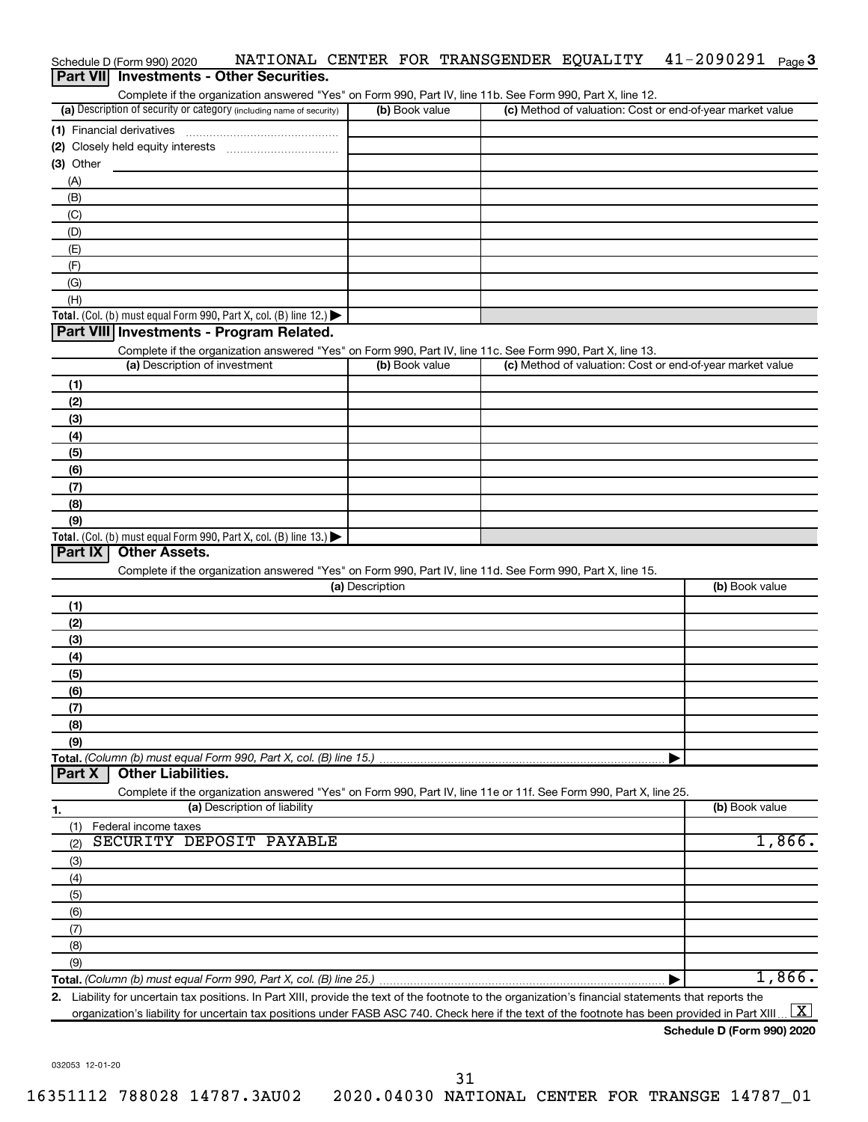|           | Schedule D (Form 990) 2020                                                                                        | NATIONAL CENTER FOR TRANSGENDER EQUALITY |  | $41 - 2090291$ Page 3                                     |        |
|-----------|-------------------------------------------------------------------------------------------------------------------|------------------------------------------|--|-----------------------------------------------------------|--------|
|           | Part VII Investments - Other Securities.                                                                          |                                          |  |                                                           |        |
|           | Complete if the organization answered "Yes" on Form 990, Part IV, line 11b. See Form 990, Part X, line 12.        |                                          |  |                                                           |        |
|           | (a) Description of security or category (including name of security)                                              | (b) Book value                           |  | (c) Method of valuation: Cost or end-of-year market value |        |
|           | (1) Financial derivatives                                                                                         |                                          |  |                                                           |        |
|           |                                                                                                                   |                                          |  |                                                           |        |
| (3) Other |                                                                                                                   |                                          |  |                                                           |        |
| (A)       |                                                                                                                   |                                          |  |                                                           |        |
| (B)       |                                                                                                                   |                                          |  |                                                           |        |
| (C)       |                                                                                                                   |                                          |  |                                                           |        |
| (D)       |                                                                                                                   |                                          |  |                                                           |        |
| (E)       |                                                                                                                   |                                          |  |                                                           |        |
| (F)       |                                                                                                                   |                                          |  |                                                           |        |
| (G)       |                                                                                                                   |                                          |  |                                                           |        |
| (H)       |                                                                                                                   |                                          |  |                                                           |        |
|           | Total. (Col. (b) must equal Form 990, Part X, col. (B) line 12.)                                                  |                                          |  |                                                           |        |
|           | Part VIII Investments - Program Related.                                                                          |                                          |  |                                                           |        |
|           | Complete if the organization answered "Yes" on Form 990, Part IV, line 11c. See Form 990, Part X, line 13.        |                                          |  |                                                           |        |
|           | (a) Description of investment                                                                                     | (b) Book value                           |  | (c) Method of valuation: Cost or end-of-year market value |        |
| (1)       |                                                                                                                   |                                          |  |                                                           |        |
| (2)       |                                                                                                                   |                                          |  |                                                           |        |
| (3)       |                                                                                                                   |                                          |  |                                                           |        |
| (4)       |                                                                                                                   |                                          |  |                                                           |        |
|           |                                                                                                                   |                                          |  |                                                           |        |
| (5)       |                                                                                                                   |                                          |  |                                                           |        |
| (6)       |                                                                                                                   |                                          |  |                                                           |        |
| (7)       |                                                                                                                   |                                          |  |                                                           |        |
| (8)       |                                                                                                                   |                                          |  |                                                           |        |
| (9)       |                                                                                                                   |                                          |  |                                                           |        |
| Part IX   | Total. (Col. (b) must equal Form 990, Part X, col. (B) line 13.) $\blacktriangleright$<br><b>Other Assets.</b>    |                                          |  |                                                           |        |
|           |                                                                                                                   |                                          |  |                                                           |        |
|           | Complete if the organization answered "Yes" on Form 990, Part IV, line 11d. See Form 990, Part X, line 15.        | (a) Description                          |  | (b) Book value                                            |        |
|           |                                                                                                                   |                                          |  |                                                           |        |
| (1)       |                                                                                                                   |                                          |  |                                                           |        |
| (2)       |                                                                                                                   |                                          |  |                                                           |        |
| (3)       |                                                                                                                   |                                          |  |                                                           |        |
| (4)       |                                                                                                                   |                                          |  |                                                           |        |
| (5)       |                                                                                                                   |                                          |  |                                                           |        |
| (6)       |                                                                                                                   |                                          |  |                                                           |        |
| (7)       |                                                                                                                   |                                          |  |                                                           |        |
| (8)       |                                                                                                                   |                                          |  |                                                           |        |
| (9)       |                                                                                                                   |                                          |  |                                                           |        |
|           | Total. (Column (b) must equal Form 990, Part X, col. (B) line 15.)                                                |                                          |  | ▶                                                         |        |
| Part X    | <b>Other Liabilities.</b>                                                                                         |                                          |  |                                                           |        |
|           | Complete if the organization answered "Yes" on Form 990, Part IV, line 11e or 11f. See Form 990, Part X, line 25. |                                          |  |                                                           |        |
| 1.        | (a) Description of liability                                                                                      |                                          |  | (b) Book value                                            |        |
| (1)       | Federal income taxes                                                                                              |                                          |  |                                                           |        |
| (2)       | SECURITY DEPOSIT PAYABLE                                                                                          |                                          |  |                                                           | 1,866. |
| (3)       |                                                                                                                   |                                          |  |                                                           |        |
| (4)       |                                                                                                                   |                                          |  |                                                           |        |
| (5)       |                                                                                                                   |                                          |  |                                                           |        |
| (6)       |                                                                                                                   |                                          |  |                                                           |        |
| (7)       |                                                                                                                   |                                          |  |                                                           |        |
| (8)       |                                                                                                                   |                                          |  |                                                           |        |
| (9)       |                                                                                                                   |                                          |  |                                                           |        |
|           |                                                                                                                   |                                          |  |                                                           | 1,866. |
|           |                                                                                                                   |                                          |  | ▶                                                         |        |

**2.** Liability for uncertain tax positions. In Part XIII, provide the text of the footnote to the organization's financial statements that reports the organization's liability for uncertain tax positions under FASB ASC 740. Check here if the text of the footnote has been provided in Part XIII ...  $\fbox{\bf X}$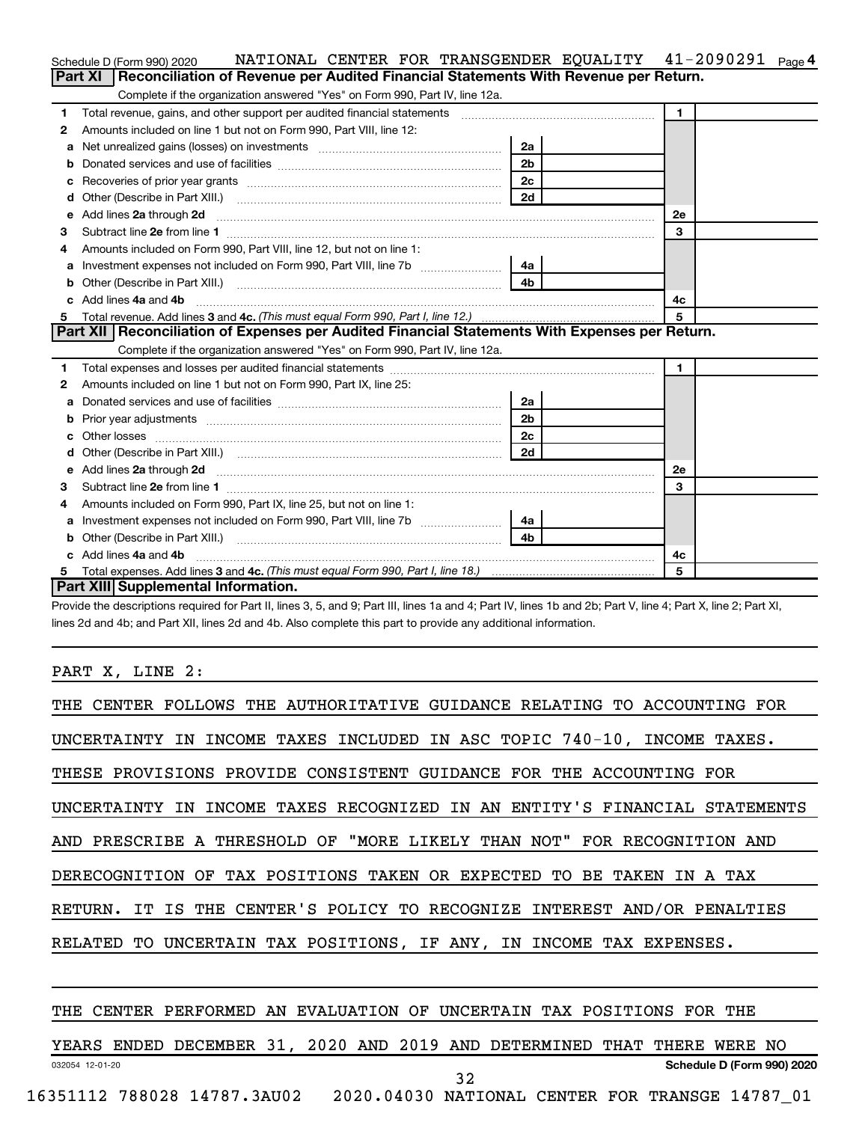|    | NATIONAL CENTER FOR TRANSGENDER EQUALITY 41-2090291<br>Schedule D (Form 990) 2020                                                                                                                                                  |                |                | Page 4 |
|----|------------------------------------------------------------------------------------------------------------------------------------------------------------------------------------------------------------------------------------|----------------|----------------|--------|
|    | Reconciliation of Revenue per Audited Financial Statements With Revenue per Return.<br>Part XI                                                                                                                                     |                |                |        |
|    | Complete if the organization answered "Yes" on Form 990, Part IV, line 12a.                                                                                                                                                        |                |                |        |
| 1  | Total revenue, gains, and other support per audited financial statements [[[[[[[[[[[[[[[[[[[[[[[[]]]]]]]]]]]]                                                                                                                      |                | $\blacksquare$ |        |
| 2  | Amounts included on line 1 but not on Form 990, Part VIII, line 12:                                                                                                                                                                |                |                |        |
| a  |                                                                                                                                                                                                                                    | 2a             |                |        |
|    |                                                                                                                                                                                                                                    | 2 <sub>b</sub> |                |        |
| с  |                                                                                                                                                                                                                                    | 2 <sub>c</sub> |                |        |
| d  |                                                                                                                                                                                                                                    | 2d             |                |        |
| е  | Add lines 2a through 2d                                                                                                                                                                                                            |                | 2е             |        |
| 3  |                                                                                                                                                                                                                                    |                | 3              |        |
| 4  | Amounts included on Form 990, Part VIII, line 12, but not on line 1:                                                                                                                                                               |                |                |        |
|    |                                                                                                                                                                                                                                    | 4a l           |                |        |
| b  |                                                                                                                                                                                                                                    | 4 <sub>b</sub> |                |        |
| c. | Add lines 4a and 4b                                                                                                                                                                                                                |                | 4с             |        |
| 5. |                                                                                                                                                                                                                                    |                | 5              |        |
|    | Part XII   Reconciliation of Expenses per Audited Financial Statements With Expenses per Return.                                                                                                                                   |                |                |        |
|    | Complete if the organization answered "Yes" on Form 990, Part IV, line 12a.                                                                                                                                                        |                |                |        |
| 1  |                                                                                                                                                                                                                                    |                | $\blacksquare$ |        |
| 2  | Amounts included on line 1 but not on Form 990, Part IX, line 25:                                                                                                                                                                  |                |                |        |
| a  |                                                                                                                                                                                                                                    | 2a l           |                |        |
| b  |                                                                                                                                                                                                                                    | 2 <sub>b</sub> |                |        |
| c  |                                                                                                                                                                                                                                    | 2 <sub>c</sub> |                |        |
|    |                                                                                                                                                                                                                                    | 2d             |                |        |
| е  | Add lines 2a through 2d <b>contained a contained a contained a</b> contained a contact the contained and contained a contact the contact of the contact of the contact of the contact of the contact of the contact of the contact |                | 2e             |        |
| 3  |                                                                                                                                                                                                                                    |                | 3              |        |
| 4  | Amounts included on Form 990, Part IX, line 25, but not on line 1:                                                                                                                                                                 |                |                |        |
| а  |                                                                                                                                                                                                                                    | 4a l           |                |        |
| b  |                                                                                                                                                                                                                                    | 4b             |                |        |
|    | Add lines 4a and 4b                                                                                                                                                                                                                |                | 4c             |        |
| 5  |                                                                                                                                                                                                                                    |                | 5              |        |
|    | Part XIII Supplemental Information.                                                                                                                                                                                                |                |                |        |

Provide the descriptions required for Part II, lines 3, 5, and 9; Part III, lines 1a and 4; Part IV, lines 1b and 2b; Part V, line 4; Part X, line 2; Part XI, lines 2d and 4b; and Part XII, lines 2d and 4b. Also complete this part to provide any additional information.

PART X, LINE 2:

| THE CENTER FOLLOWS THE AUTHORITATIVE GUIDANCE RELATING TO ACCOUNTING FOR   |
|----------------------------------------------------------------------------|
| UNCERTAINTY IN INCOME TAXES INCLUDED IN ASC TOPIC 740-10, INCOME TAXES.    |
| THESE PROVISIONS PROVIDE CONSISTENT GUIDANCE FOR THE ACCOUNTING FOR        |
| UNCERTAINTY IN INCOME TAXES RECOGNIZED IN AN ENTITY'S FINANCIAL STATEMENTS |
| AND PRESCRIBE A THRESHOLD OF "MORE LIKELY THAN NOT" FOR RECOGNITION AND    |
| DERECOGNITION OF TAX POSITIONS TAKEN OR EXPECTED TO BE TAKEN IN A TAX      |
| RETURN. IT IS THE CENTER'S POLICY TO RECOGNIZE INTEREST AND/OR PENALTIES   |
| RELATED TO UNCERTAIN TAX POSITIONS, IF ANY, IN INCOME TAX EXPENSES.        |
|                                                                            |
|                                                                            |

#### THE CENTER PERFORMED AN EVALUATION OF UNCERTAIN TAX POSITIONS FOR THE

032054 12-01-20 **Schedule D (Form 990) 2020** YEARS ENDED DECEMBER 31, 2020 AND 2019 AND DETERMINED THAT THERE WERE NO 32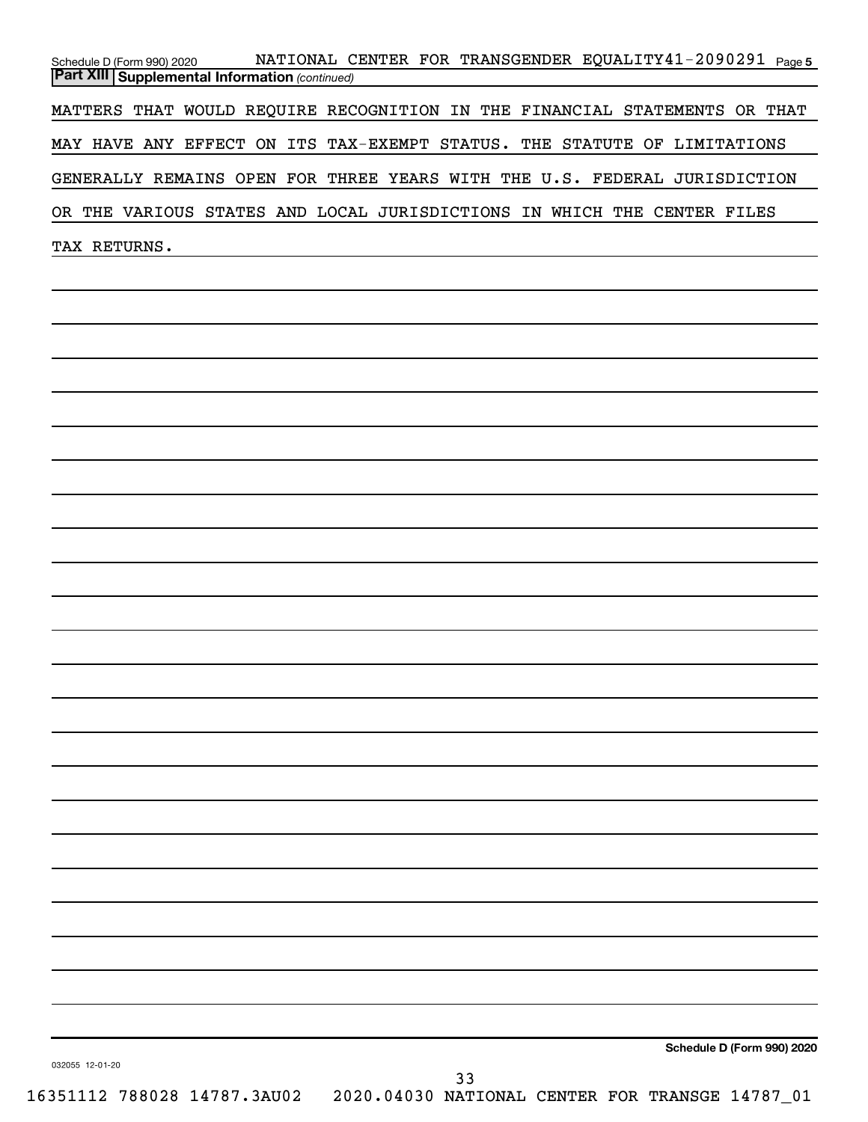| Schedule D (Form 990) 2020                              | NATIONAL CENTER FOR TRANSGENDER EQUALITY41-2090291 Page5                   |  |
|---------------------------------------------------------|----------------------------------------------------------------------------|--|
| <b>Part XIII   Supplemental Information (continued)</b> |                                                                            |  |
|                                                         | MATTERS THAT WOULD REQUIRE RECOGNITION IN THE FINANCIAL STATEMENTS OR THAT |  |
|                                                         | MAY HAVE ANY EFFECT ON ITS TAX-EXEMPT STATUS. THE STATUTE OF LIMITATIONS   |  |
|                                                         | GENERALLY REMAINS OPEN FOR THREE YEARS WITH THE U.S. FEDERAL JURISDICTION  |  |
|                                                         | OR THE VARIOUS STATES AND LOCAL JURISDICTIONS IN WHICH THE CENTER FILES    |  |
| TAX RETURNS.                                            |                                                                            |  |
|                                                         |                                                                            |  |

**Schedule D (Form 990) 2020**

032055 12-01-20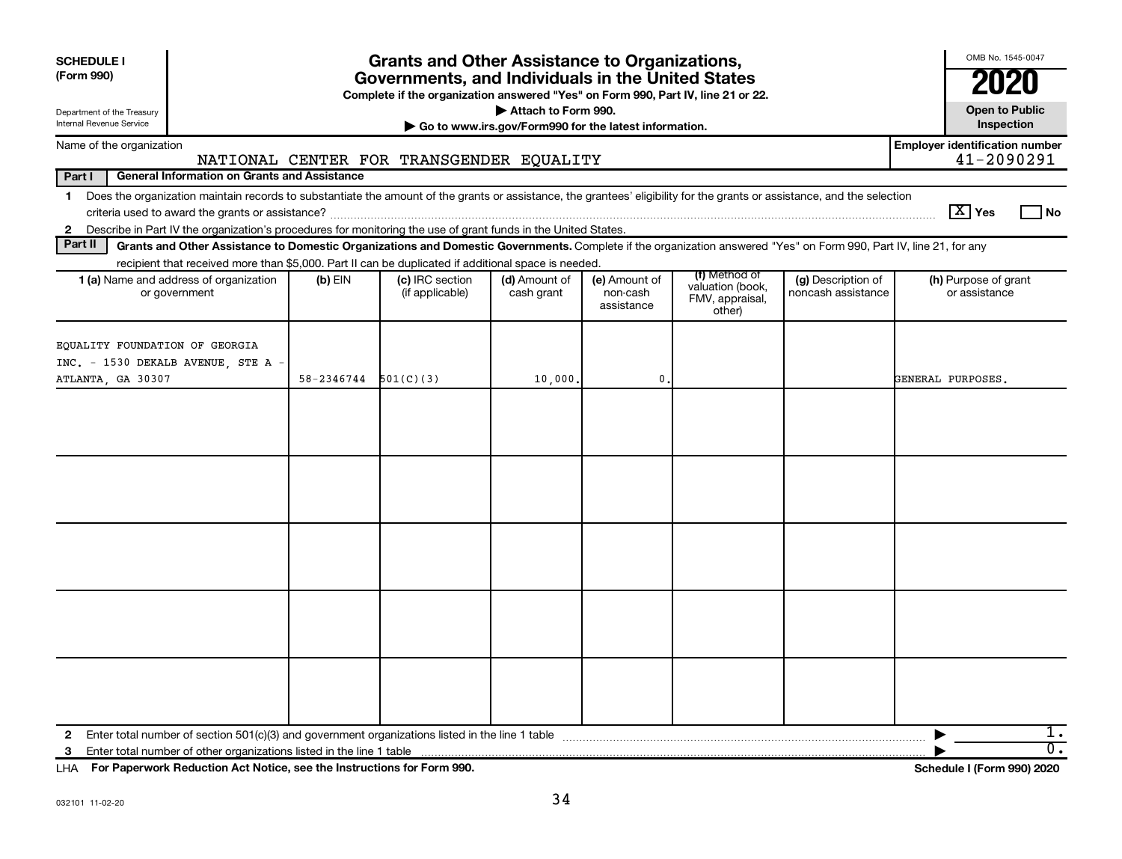| <b>SCHEDULE I</b><br>(Form 990)<br>Department of the Treasury<br><b>Internal Revenue Service</b>                                                                                                                                                                                                                         |            | <b>Grants and Other Assistance to Organizations,</b><br>Governments, and Individuals in the United States<br>Complete if the organization answered "Yes" on Form 990, Part IV, line 21 or 22. | Attach to Form 990.<br>Go to www.irs.gov/Form990 for the latest information. |                                         |                                                                |                                          | OMB No. 1545-0047<br><b>Open to Public</b><br>Inspection |
|--------------------------------------------------------------------------------------------------------------------------------------------------------------------------------------------------------------------------------------------------------------------------------------------------------------------------|------------|-----------------------------------------------------------------------------------------------------------------------------------------------------------------------------------------------|------------------------------------------------------------------------------|-----------------------------------------|----------------------------------------------------------------|------------------------------------------|----------------------------------------------------------|
| Name of the organization                                                                                                                                                                                                                                                                                                 |            |                                                                                                                                                                                               |                                                                              |                                         |                                                                |                                          | <b>Employer identification number</b>                    |
| Part I<br><b>General Information on Grants and Assistance</b>                                                                                                                                                                                                                                                            |            | NATIONAL CENTER FOR TRANSGENDER EQUALITY                                                                                                                                                      |                                                                              |                                         |                                                                |                                          | 41-2090291                                               |
| Does the organization maintain records to substantiate the amount of the grants or assistance, the grantees' eligibility for the grants or assistance, and the selection<br>$\mathbf 1$<br>Describe in Part IV the organization's procedures for monitoring the use of grant funds in the United States.<br>$\mathbf{2}$ |            |                                                                                                                                                                                               |                                                                              |                                         |                                                                |                                          | $\boxed{\text{X}}$ Yes<br>l No                           |
| Part II<br>Grants and Other Assistance to Domestic Organizations and Domestic Governments. Complete if the organization answered "Yes" on Form 990, Part IV, line 21, for any                                                                                                                                            |            |                                                                                                                                                                                               |                                                                              |                                         |                                                                |                                          |                                                          |
| recipient that received more than \$5,000. Part II can be duplicated if additional space is needed.<br>1 (a) Name and address of organization<br>or government                                                                                                                                                           | $(b)$ EIN  | (c) IRC section<br>(if applicable)                                                                                                                                                            | (d) Amount of<br>cash grant                                                  | (e) Amount of<br>non-cash<br>assistance | (f) Method of<br>valuation (book,<br>FMV, appraisal,<br>other) | (g) Description of<br>noncash assistance | (h) Purpose of grant<br>or assistance                    |
| EQUALITY FOUNDATION OF GEORGIA<br>INC. - 1530 DEKALB AVENUE, STE A -<br>ATLANTA, GA 30307                                                                                                                                                                                                                                | 58-2346744 | 501(C)(3)                                                                                                                                                                                     | 10,000.                                                                      | $\mathbf{0}$                            |                                                                |                                          | GENERAL PURPOSES.                                        |
|                                                                                                                                                                                                                                                                                                                          |            |                                                                                                                                                                                               |                                                                              |                                         |                                                                |                                          |                                                          |
|                                                                                                                                                                                                                                                                                                                          |            |                                                                                                                                                                                               |                                                                              |                                         |                                                                |                                          |                                                          |
|                                                                                                                                                                                                                                                                                                                          |            |                                                                                                                                                                                               |                                                                              |                                         |                                                                |                                          |                                                          |
|                                                                                                                                                                                                                                                                                                                          |            |                                                                                                                                                                                               |                                                                              |                                         |                                                                |                                          |                                                          |
|                                                                                                                                                                                                                                                                                                                          |            |                                                                                                                                                                                               |                                                                              |                                         |                                                                |                                          |                                                          |
| 2<br>3                                                                                                                                                                                                                                                                                                                   |            |                                                                                                                                                                                               |                                                                              |                                         |                                                                |                                          | ı.<br>$\overline{0}$ .                                   |

**For Paperwork Reduction Act Notice, see the Instructions for Form 990. Schedule I (Form 990) 2020** LHA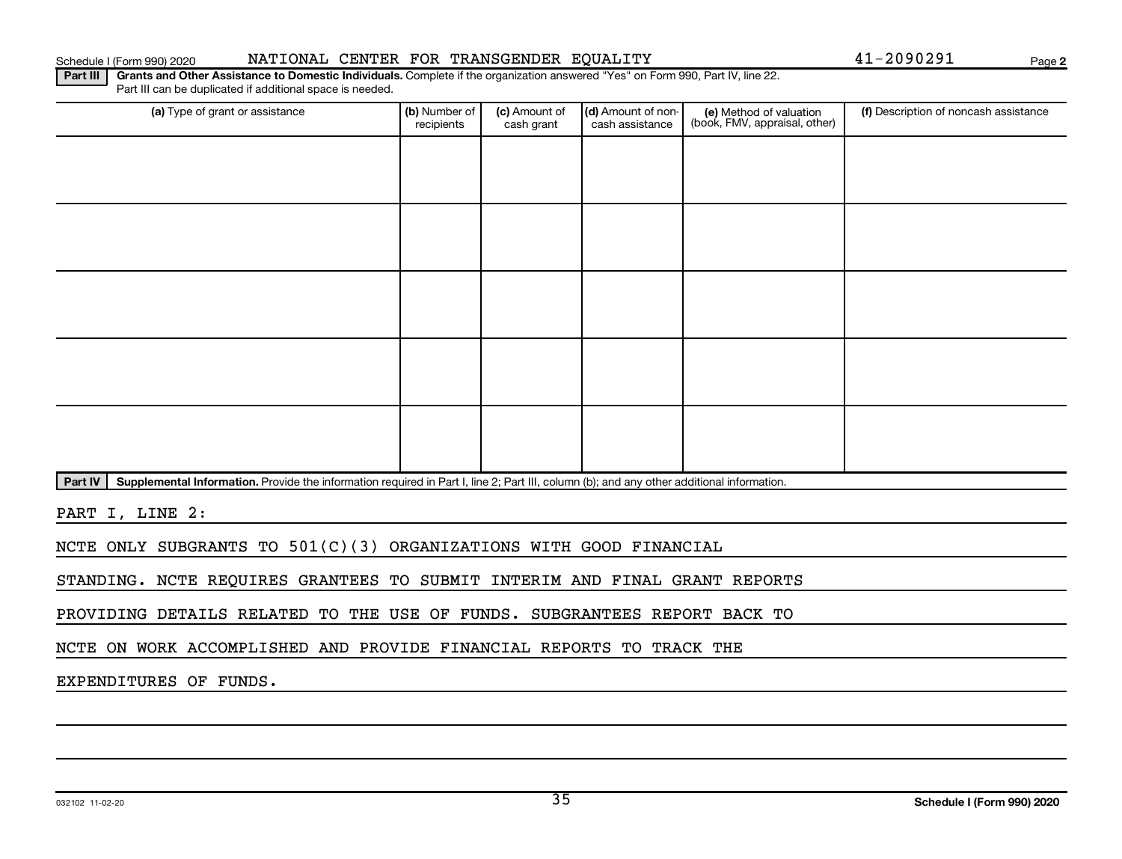Part IV | Supplemental Information. Provide the information required in Part I, line 2; Part III, column (b); and any other additional information.

Part III | Grants and Other Assistance to Domestic Individuals. Complete if the organization answered "Yes" on Form 990, Part IV, line 22.

recipients

Part III can be duplicated if additional space is needed.

(a) Type of grant or assistance **(b)** Number of  $|$  **(c)** Amount of  $|$  **(d)** Amount of non- $|$  **(e)** Method of valuation  $|$  **(f)** 

(c) Amount of cash grant

Schedule I (Form 990) 2020 Page NATIONAL CENTER FOR TRANSGENDER EQUALITY 41-2090291

(d) Amount of noncash assistance

(e) Method of valuation (book, FMV, appraisal, other)

PART I, LINE 2:

NCTE ONLY SUBGRANTS TO 501(C)(3) ORGANIZATIONS WITH GOOD FINANCIAL

STANDING. NCTE REQUIRES GRANTEES TO SUBMIT INTERIM AND FINAL GRANT REPORTS

PROVIDING DETAILS RELATED TO THE USE OF FUNDS. SUBGRANTEES REPORT BACK TO

NCTE ON WORK ACCOMPLISHED AND PROVIDE FINANCIAL REPORTS TO TRACK THE

EXPENDITURES OF FUNDS.

**2**

(f) Description of noncash assistance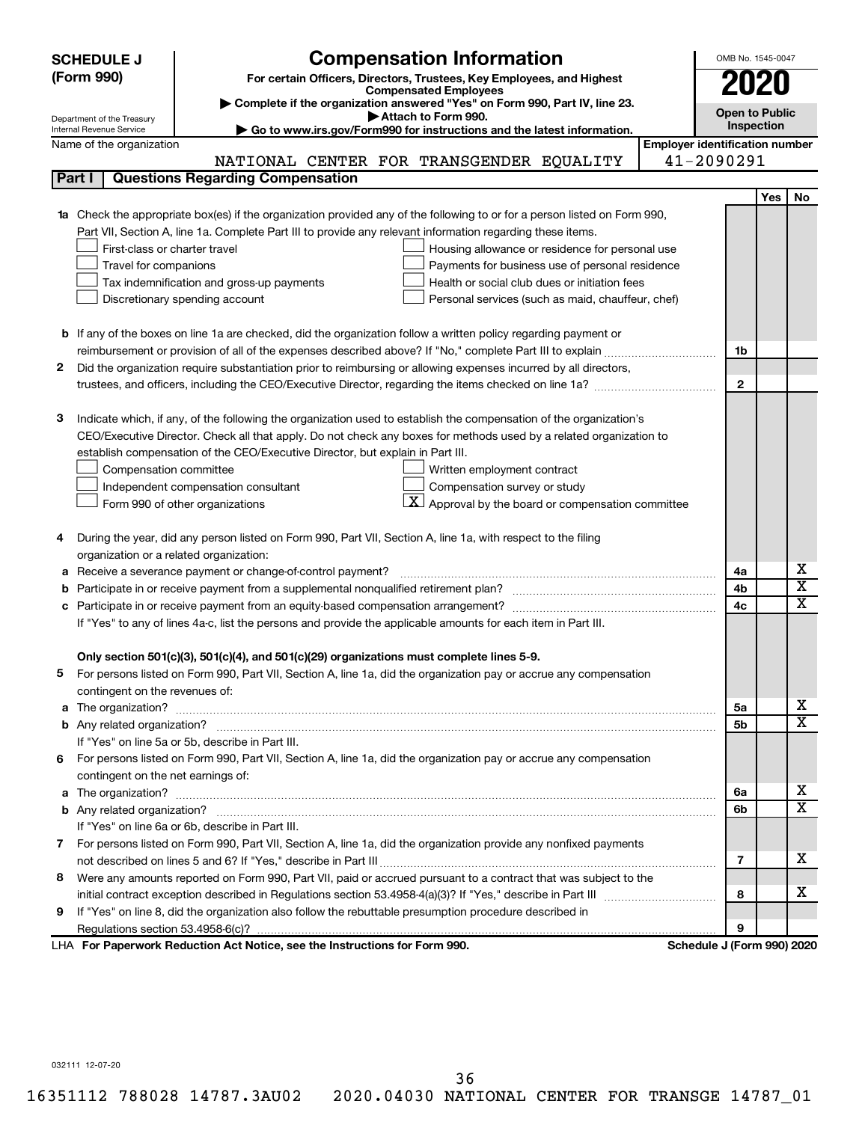|   | <b>Compensation Information</b><br><b>SCHEDULE J</b>                                                                                                                                                          |                                       | OMB No. 1545-0047     |                              |
|---|---------------------------------------------------------------------------------------------------------------------------------------------------------------------------------------------------------------|---------------------------------------|-----------------------|------------------------------|
|   | (Form 990)<br>For certain Officers, Directors, Trustees, Key Employees, and Highest                                                                                                                           |                                       |                       |                              |
|   | <b>Compensated Employees</b>                                                                                                                                                                                  |                                       | 2020                  |                              |
|   | Complete if the organization answered "Yes" on Form 990, Part IV, line 23.<br>Attach to Form 990.                                                                                                             |                                       | <b>Open to Public</b> |                              |
|   | Department of the Treasury<br>Go to www.irs.gov/Form990 for instructions and the latest information.<br>Internal Revenue Service                                                                              |                                       | Inspection            |                              |
|   | Name of the organization                                                                                                                                                                                      | <b>Employer identification number</b> |                       |                              |
|   | NATIONAL CENTER FOR TRANSGENDER EQUALITY                                                                                                                                                                      | 41-2090291                            |                       |                              |
|   | <b>Questions Regarding Compensation</b><br>Part I                                                                                                                                                             |                                       |                       |                              |
|   |                                                                                                                                                                                                               |                                       | Yes                   | No                           |
|   | Check the appropriate box(es) if the organization provided any of the following to or for a person listed on Form 990,                                                                                        |                                       |                       |                              |
|   | Part VII, Section A, line 1a. Complete Part III to provide any relevant information regarding these items.                                                                                                    |                                       |                       |                              |
|   | First-class or charter travel<br>Housing allowance or residence for personal use                                                                                                                              |                                       |                       |                              |
|   | Travel for companions<br>Payments for business use of personal residence                                                                                                                                      |                                       |                       |                              |
|   | Tax indemnification and gross-up payments<br>Health or social club dues or initiation fees                                                                                                                    |                                       |                       |                              |
|   | Discretionary spending account<br>Personal services (such as maid, chauffeur, chef)                                                                                                                           |                                       |                       |                              |
|   |                                                                                                                                                                                                               |                                       |                       |                              |
|   | <b>b</b> If any of the boxes on line 1a are checked, did the organization follow a written policy regarding payment or                                                                                        |                                       |                       |                              |
|   |                                                                                                                                                                                                               | 1b                                    |                       |                              |
| 2 | Did the organization require substantiation prior to reimbursing or allowing expenses incurred by all directors,                                                                                              |                                       |                       |                              |
|   |                                                                                                                                                                                                               | $\mathbf{2}$                          |                       |                              |
|   |                                                                                                                                                                                                               |                                       |                       |                              |
| З | Indicate which, if any, of the following the organization used to establish the compensation of the organization's                                                                                            |                                       |                       |                              |
|   | CEO/Executive Director. Check all that apply. Do not check any boxes for methods used by a related organization to                                                                                            |                                       |                       |                              |
|   | establish compensation of the CEO/Executive Director, but explain in Part III.                                                                                                                                |                                       |                       |                              |
|   | Compensation committee<br>Written employment contract                                                                                                                                                         |                                       |                       |                              |
|   | Compensation survey or study<br>Independent compensation consultant                                                                                                                                           |                                       |                       |                              |
|   | Approval by the board or compensation committee<br>Form 990 of other organizations                                                                                                                            |                                       |                       |                              |
|   |                                                                                                                                                                                                               |                                       |                       |                              |
| 4 | During the year, did any person listed on Form 990, Part VII, Section A, line 1a, with respect to the filing                                                                                                  |                                       |                       |                              |
|   | organization or a related organization:                                                                                                                                                                       |                                       |                       |                              |
| а | Receive a severance payment or change-of-control payment?                                                                                                                                                     | 4a                                    |                       | х<br>$\overline{\textbf{x}}$ |
|   |                                                                                                                                                                                                               | 4b                                    |                       | $\overline{\text{x}}$        |
| c |                                                                                                                                                                                                               | 4c                                    |                       |                              |
|   | If "Yes" to any of lines 4a-c, list the persons and provide the applicable amounts for each item in Part III.                                                                                                 |                                       |                       |                              |
|   |                                                                                                                                                                                                               |                                       |                       |                              |
|   | Only section 501(c)(3), 501(c)(4), and 501(c)(29) organizations must complete lines 5-9.<br>For persons listed on Form 990, Part VII, Section A, line 1a, did the organization pay or accrue any compensation |                                       |                       |                              |
|   |                                                                                                                                                                                                               |                                       |                       |                              |
|   | contingent on the revenues of:                                                                                                                                                                                | 5a                                    |                       | х                            |
|   |                                                                                                                                                                                                               | 5b                                    |                       | $\overline{\texttt{x}}$      |
|   | If "Yes" on line 5a or 5b, describe in Part III.                                                                                                                                                              |                                       |                       |                              |
|   | 6 For persons listed on Form 990, Part VII, Section A, line 1a, did the organization pay or accrue any compensation                                                                                           |                                       |                       |                              |
|   | contingent on the net earnings of:                                                                                                                                                                            |                                       |                       |                              |
| a | The organization? <b>William Commission Commission Commission</b> Commission Commission Commission Commission Commission                                                                                      | 6a                                    |                       | х                            |
|   |                                                                                                                                                                                                               | 6b                                    |                       | $\overline{\texttt{x}}$      |
|   | If "Yes" on line 6a or 6b, describe in Part III.                                                                                                                                                              |                                       |                       |                              |
|   | 7 For persons listed on Form 990, Part VII, Section A, line 1a, did the organization provide any nonfixed payments                                                                                            |                                       |                       |                              |
|   |                                                                                                                                                                                                               | 7                                     |                       | х                            |
| 8 | Were any amounts reported on Form 990, Part VII, paid or accrued pursuant to a contract that was subject to the                                                                                               |                                       |                       |                              |
|   |                                                                                                                                                                                                               | 8                                     |                       | х                            |
| 9 | If "Yes" on line 8, did the organization also follow the rebuttable presumption procedure described in                                                                                                        |                                       |                       |                              |
|   |                                                                                                                                                                                                               | 9                                     |                       |                              |
|   | LHA For Paperwork Reduction Act Notice, see the Instructions for Form 990.                                                                                                                                    | Schedule J (Form 990) 2020            |                       |                              |

36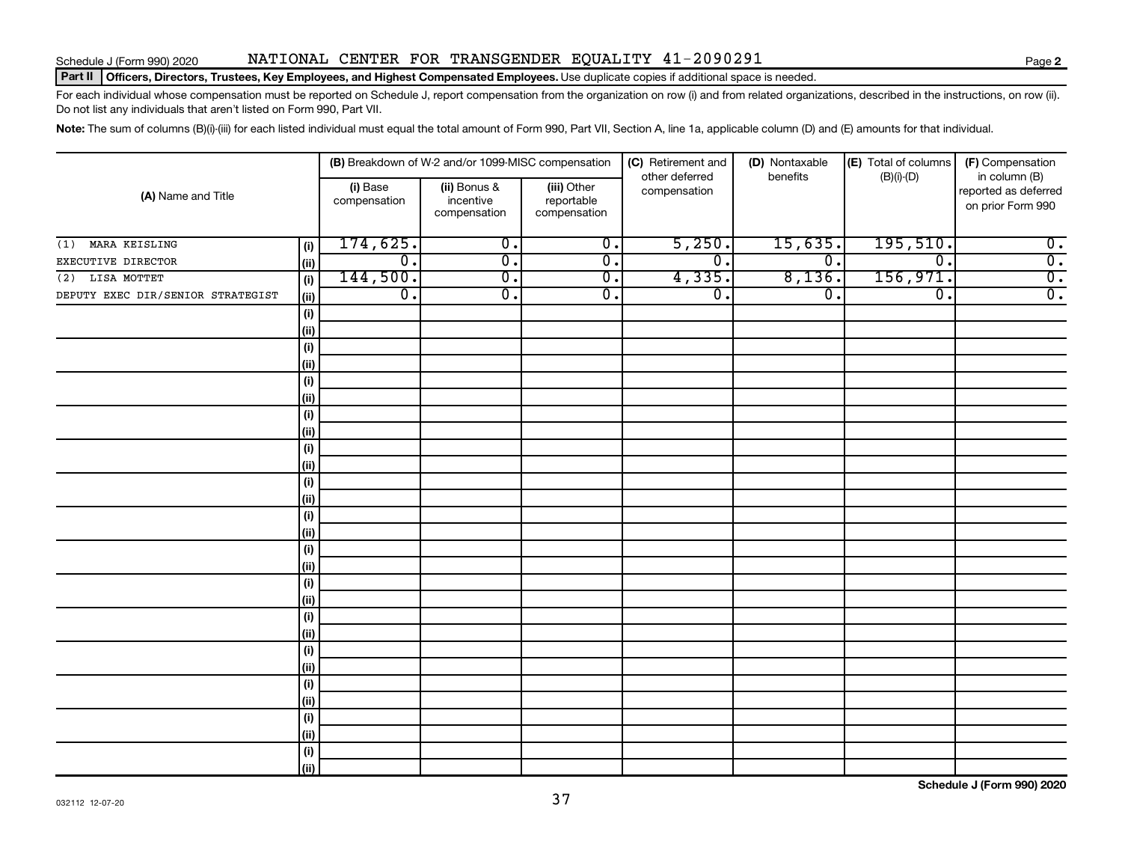#### Part II | Officers, Directors, Trustees, Key Employees, and Highest Compensated Employees. Use duplicate copies if additional space is needed.

For each individual whose compensation must be reported on Schedule J, report compensation from the organization on row (i) and from related organizations, described in the instructions, on row (ii). Do not list any individuals that aren't listed on Form 990, Part VII.

Note: The sum of columns (B)(i)-(iii) for each listed individual must equal the total amount of Form 990, Part VII, Section A, line 1a, applicable column (D) and (E) amounts for that individual.

|                                           |                             | (B) Breakdown of W-2 and/or 1099-MISC compensation |                                           | (C) Retirement and<br>other deferred | (D) Nontaxable<br>benefits | (E) Total of columns        | (F) Compensation                                           |
|-------------------------------------------|-----------------------------|----------------------------------------------------|-------------------------------------------|--------------------------------------|----------------------------|-----------------------------|------------------------------------------------------------|
| (A) Name and Title                        | (i) Base<br>compensation    | (ii) Bonus &<br>incentive<br>compensation          | (iii) Other<br>reportable<br>compensation | compensation                         |                            | $(B)(i)-(D)$                | in column (B)<br>reported as deferred<br>on prior Form 990 |
| MARA KEISLING<br>(i)<br>(1)               | 174,625.                    | $\overline{0}$ .                                   | $\overline{0}$ .                          | 5,250.                               | 15,635.                    | 195,510.                    | $\overline{0}$ .                                           |
| EXECUTIVE DIRECTOR<br>(ii)                | $\overline{\mathfrak{o}}$ . | $\overline{0}$ .                                   | $\overline{0}$ .                          | $\overline{\mathfrak{o}}$ .          | $\overline{0}$ .           | $\overline{\mathfrak{o}}$ . | $\overline{0}$ .                                           |
| (2) LISA MOTTET<br>(i)                    | 144,500.                    | $\overline{0}$ .                                   | $\overline{\mathfrak{o}}$ .               | 4,335.                               | 8,136.                     | 156,971.                    | $\overline{0}$ .                                           |
| DEPUTY EXEC DIR/SENIOR STRATEGIST<br>(ii) | $\overline{0}$ .            | $\overline{0}$ .                                   | $\overline{0}$ .                          | $\overline{\mathfrak{o}}$ .          | $\overline{0}$ .           | $\overline{0}$ .            | $\overline{0}$ .                                           |
| (i)                                       |                             |                                                    |                                           |                                      |                            |                             |                                                            |
| (ii)                                      |                             |                                                    |                                           |                                      |                            |                             |                                                            |
| (i)                                       |                             |                                                    |                                           |                                      |                            |                             |                                                            |
| (ii)                                      |                             |                                                    |                                           |                                      |                            |                             |                                                            |
| (i)                                       |                             |                                                    |                                           |                                      |                            |                             |                                                            |
| (ii)                                      |                             |                                                    |                                           |                                      |                            |                             |                                                            |
| $(\sf{i})$                                |                             |                                                    |                                           |                                      |                            |                             |                                                            |
| (ii)                                      |                             |                                                    |                                           |                                      |                            |                             |                                                            |
| $\qquad \qquad \textbf{(i)}$              |                             |                                                    |                                           |                                      |                            |                             |                                                            |
| (i)                                       |                             |                                                    |                                           |                                      |                            |                             |                                                            |
| (i)                                       |                             |                                                    |                                           |                                      |                            |                             |                                                            |
| (i)                                       |                             |                                                    |                                           |                                      |                            |                             |                                                            |
| $(\sf{i})$                                |                             |                                                    |                                           |                                      |                            |                             |                                                            |
| (i)                                       |                             |                                                    |                                           |                                      |                            |                             |                                                            |
| $(\sf{i})$                                |                             |                                                    |                                           |                                      |                            |                             |                                                            |
| (ii)                                      |                             |                                                    |                                           |                                      |                            |                             |                                                            |
| $\qquad \qquad \textbf{(i)}$              |                             |                                                    |                                           |                                      |                            |                             |                                                            |
| (ii)                                      |                             |                                                    |                                           |                                      |                            |                             |                                                            |
| $(\sf{i})$                                |                             |                                                    |                                           |                                      |                            |                             |                                                            |
| (ii)                                      |                             |                                                    |                                           |                                      |                            |                             |                                                            |
| $(\sf{i})$<br>(ii)                        |                             |                                                    |                                           |                                      |                            |                             |                                                            |
| $\qquad \qquad \textbf{(i)}$              |                             |                                                    |                                           |                                      |                            |                             |                                                            |
| (ii)                                      |                             |                                                    |                                           |                                      |                            |                             |                                                            |
| $\qquad \qquad \textbf{(i)}$              |                             |                                                    |                                           |                                      |                            |                             |                                                            |
| (ii)                                      |                             |                                                    |                                           |                                      |                            |                             |                                                            |
| $(\sf{i})$                                |                             |                                                    |                                           |                                      |                            |                             |                                                            |
| (ii)                                      |                             |                                                    |                                           |                                      |                            |                             |                                                            |

**Schedule J (Form 990) 2020**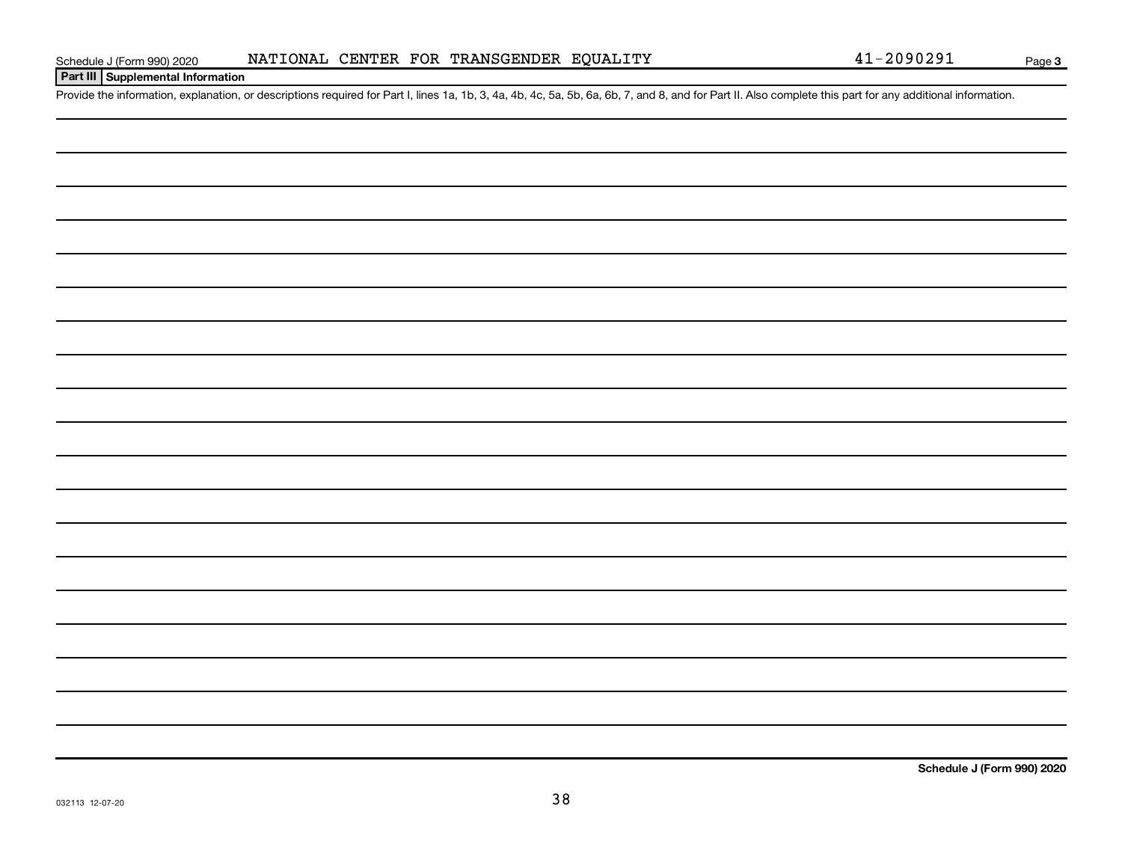#### **Part III Supplemental Information**

Provide the information, explanation, or descriptions required for Part I, lines 1a, 1b, 3, 4a, 4b, 4c, 5a, 5b, 6a, 6b, 7, and 8, and for Part II. Also complete this part for any additional information.

**Schedule J (Form 990) 2020**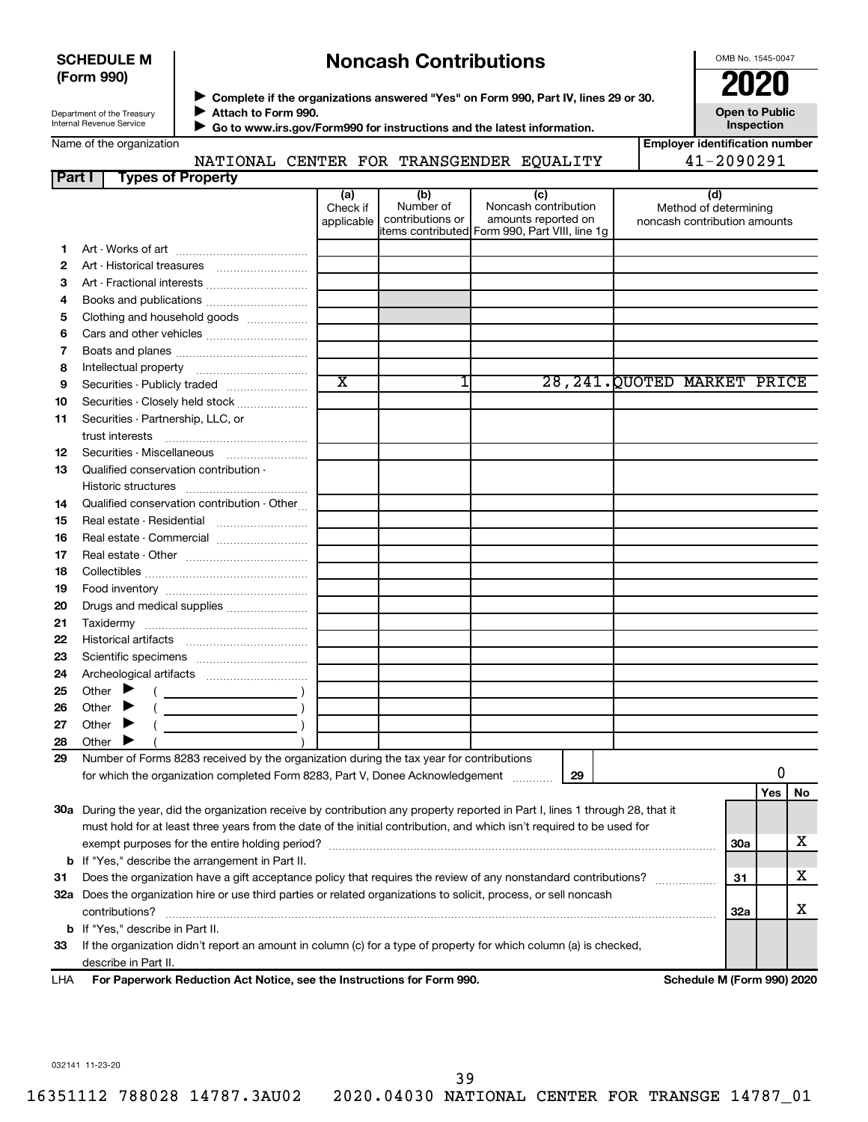#### **SCHEDULE M (Form 990)**

## **Noncash Contributions**

OMB No. 1545-0047

| Department of the Treasury |  |
|----------------------------|--|
| Internal Revenue Service   |  |

◆ Complete if the organizations answered "Yes" on Form 990, Part IV, lines 29 or 30.<br>● Complete if the organizations answered "Yes" on Form 990, Part IV, lines 29 or 30. **Attach to Form 990.**  $\blacktriangleright$ 

**Open to Public Inspection**

| Name of the organization |  |  |  |  |
|--------------------------|--|--|--|--|
|--------------------------|--|--|--|--|

 **Go to www.irs.gov/Form990 for instructions and the latest information.** J

**Employer identification number** NATIONAL CENTER FOR TRANSGENDER EQUALITY 41-2090291

| Part I | <b>Types of Property</b>                                                                                                       |                               |                                      |                                                                                                      |                                                              |            |     |    |
|--------|--------------------------------------------------------------------------------------------------------------------------------|-------------------------------|--------------------------------------|------------------------------------------------------------------------------------------------------|--------------------------------------------------------------|------------|-----|----|
|        |                                                                                                                                | (a)<br>Check if<br>applicable | (b)<br>Number of<br>contributions or | (c)<br>Noncash contribution<br>amounts reported on<br>items contributed Form 990, Part VIII, line 1g | (d)<br>Method of determining<br>noncash contribution amounts |            |     |    |
| 1.     |                                                                                                                                |                               |                                      |                                                                                                      |                                                              |            |     |    |
| 2      |                                                                                                                                |                               |                                      |                                                                                                      |                                                              |            |     |    |
| З      |                                                                                                                                |                               |                                      |                                                                                                      |                                                              |            |     |    |
| 4      | Books and publications                                                                                                         |                               |                                      |                                                                                                      |                                                              |            |     |    |
| 5      | Clothing and household goods                                                                                                   |                               |                                      |                                                                                                      |                                                              |            |     |    |
| 6      | Cars and other vehicles                                                                                                        |                               |                                      |                                                                                                      |                                                              |            |     |    |
| 7      |                                                                                                                                |                               |                                      |                                                                                                      |                                                              |            |     |    |
| 8      |                                                                                                                                |                               |                                      |                                                                                                      |                                                              |            |     |    |
| 9      | Securities - Publicly traded                                                                                                   | $\overline{\text{x}}$         | 1                                    |                                                                                                      | 28, 241. QUOTED MARKET PRICE                                 |            |     |    |
| 10     | Securities - Closely held stock                                                                                                |                               |                                      |                                                                                                      |                                                              |            |     |    |
| 11     | Securities - Partnership, LLC, or<br>trust interests                                                                           |                               |                                      |                                                                                                      |                                                              |            |     |    |
| 12     |                                                                                                                                |                               |                                      |                                                                                                      |                                                              |            |     |    |
| 13     | Qualified conservation contribution -                                                                                          |                               |                                      |                                                                                                      |                                                              |            |     |    |
| 14     | Qualified conservation contribution - Other                                                                                    |                               |                                      |                                                                                                      |                                                              |            |     |    |
| 15     | Real estate - Residential                                                                                                      |                               |                                      |                                                                                                      |                                                              |            |     |    |
| 16     | Real estate - Commercial                                                                                                       |                               |                                      |                                                                                                      |                                                              |            |     |    |
| 17     |                                                                                                                                |                               |                                      |                                                                                                      |                                                              |            |     |    |
| 18     |                                                                                                                                |                               |                                      |                                                                                                      |                                                              |            |     |    |
| 19     |                                                                                                                                |                               |                                      |                                                                                                      |                                                              |            |     |    |
| 20     | Drugs and medical supplies                                                                                                     |                               |                                      |                                                                                                      |                                                              |            |     |    |
| 21     |                                                                                                                                |                               |                                      |                                                                                                      |                                                              |            |     |    |
| 22     |                                                                                                                                |                               |                                      |                                                                                                      |                                                              |            |     |    |
| 23     |                                                                                                                                |                               |                                      |                                                                                                      |                                                              |            |     |    |
| 24     |                                                                                                                                |                               |                                      |                                                                                                      |                                                              |            |     |    |
| 25     | Other $\blacktriangleright$                                                                                                    |                               |                                      |                                                                                                      |                                                              |            |     |    |
| 26     | Other $\blacktriangleright$                                                                                                    |                               |                                      |                                                                                                      |                                                              |            |     |    |
| 27     | Other $\blacktriangleright$                                                                                                    |                               |                                      |                                                                                                      |                                                              |            |     |    |
| 28     | Other $\blacktriangleright$                                                                                                    |                               |                                      |                                                                                                      |                                                              |            |     |    |
| 29     | Number of Forms 8283 received by the organization during the tax year for contributions                                        |                               |                                      |                                                                                                      |                                                              |            |     |    |
|        | for which the organization completed Form 8283, Part V, Donee Acknowledgement                                                  |                               |                                      | 29                                                                                                   |                                                              |            | 0   |    |
|        |                                                                                                                                |                               |                                      |                                                                                                      |                                                              |            | Yes | No |
|        | 30a During the year, did the organization receive by contribution any property reported in Part I, lines 1 through 28, that it |                               |                                      |                                                                                                      |                                                              |            |     |    |
|        | must hold for at least three years from the date of the initial contribution, and which isn't required to be used for          |                               |                                      |                                                                                                      |                                                              |            |     |    |
|        |                                                                                                                                |                               |                                      |                                                                                                      |                                                              | 30a        |     | x  |
|        | <b>b</b> If "Yes," describe the arrangement in Part II.                                                                        |                               |                                      |                                                                                                      |                                                              |            |     |    |
| 31     | Does the organization have a gift acceptance policy that requires the review of any nonstandard contributions?                 |                               |                                      |                                                                                                      |                                                              | 31         |     | х  |
|        | 32a Does the organization hire or use third parties or related organizations to solicit, process, or sell noncash              |                               |                                      |                                                                                                      |                                                              |            |     |    |
|        | contributions?                                                                                                                 |                               |                                      |                                                                                                      |                                                              | <b>32a</b> |     | х  |
|        | <b>b</b> If "Yes," describe in Part II.                                                                                        |                               |                                      |                                                                                                      |                                                              |            |     |    |
| 33     | If the organization didn't report an amount in column (c) for a type of property for which column (a) is checked,              |                               |                                      |                                                                                                      |                                                              |            |     |    |
|        | describe in Part II.<br>escribe in Part II.<br>For Denomuark Doduction Act Notice, ass the Instructions for Form 000.          |                               |                                      |                                                                                                      | Calcedule M (Fause 000) 0000                                 |            |     |    |

**For Paperwork Reduction Act Notice, see the Instructions for Form 990. Schedule M (Form 990) 2020** LHA

032141 11-23-20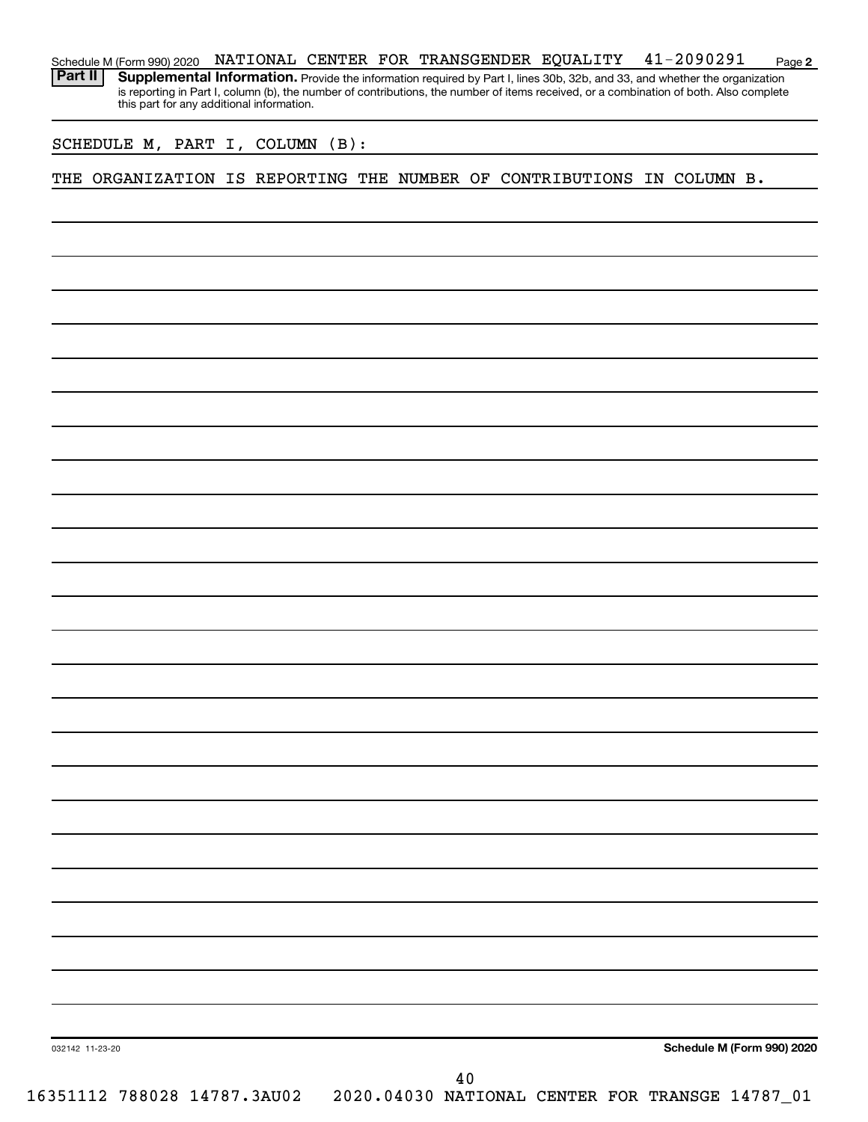**2** Schedule M (Form 990) 2020 NATIONAL CENTER FOR TRANSGENDER EQUALITY 41-2090291 Page Part II | Supplemental Information. Provide the information required by Part I, lines 30b, 32b, and 33, and whether the organization is reporting in Part I, column (b), the number of contributions, the number of items received, or a combination of both. Also complete this part for any additional information.

SCHEDULE M, PART I, COLUMN (B):

THE ORGANIZATION IS REPORTING THE NUMBER OF CONTRIBUTIONS IN COLUMN B.

**Schedule M (Form 990) 2020**

032142 11-23-20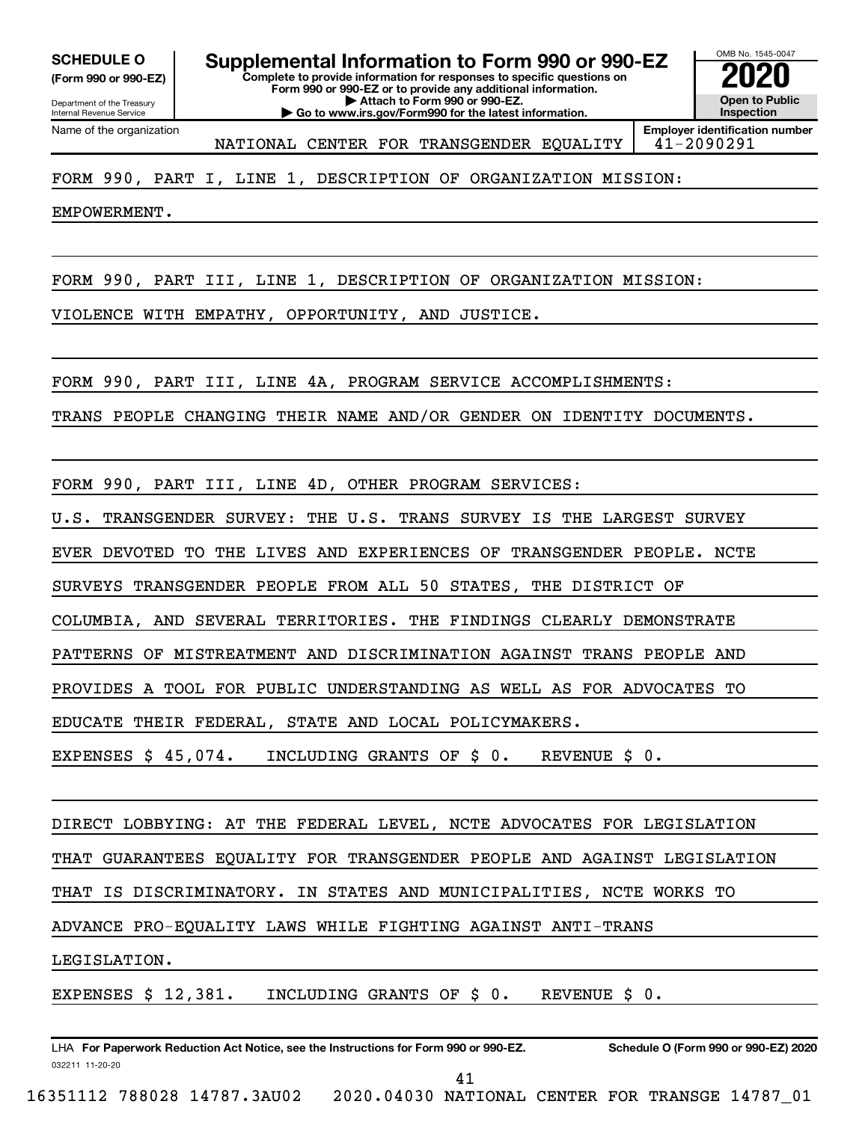**(Form 990 or 990-EZ)**

Department of the Treasury Internal Revenue Service

Name of the organization

**Complete to provide information for responses to specific questions on Form 990 or 990-EZ or to provide any additional information. | Attach to Form 990 or 990-EZ. | Go to www.irs.gov/Form990 for the latest information. SCHEDULE O Supplemental Information to Form 990 or 990-EZ 2020**<br>(Form 990 or 990-EZ) Complete to provide information for responses to specific questions on

OMB No. 1545-0047 **Open to Public Inspection**

NATIONAL CENTER FOR TRANSGENDER EQUALITY 41-2090291

**Employer identification number**

#### FORM 990, PART I, LINE 1, DESCRIPTION OF ORGANIZATION MISSION:

EMPOWERMENT.

FORM 990, PART III, LINE 1, DESCRIPTION OF ORGANIZATION MISSION:

VIOLENCE WITH EMPATHY, OPPORTUNITY, AND JUSTICE.

FORM 990, PART III, LINE 4A, PROGRAM SERVICE ACCOMPLISHMENTS:

TRANS PEOPLE CHANGING THEIR NAME AND/OR GENDER ON IDENTITY DOCUMENTS.

FORM 990, PART III, LINE 4D, OTHER PROGRAM SERVICES:

U.S. TRANSGENDER SURVEY: THE U.S. TRANS SURVEY IS THE LARGEST SURVEY

EVER DEVOTED TO THE LIVES AND EXPERIENCES OF TRANSGENDER PEOPLE. NCTE

SURVEYS TRANSGENDER PEOPLE FROM ALL 50 STATES, THE DISTRICT OF

COLUMBIA, AND SEVERAL TERRITORIES. THE FINDINGS CLEARLY DEMONSTRATE

PATTERNS OF MISTREATMENT AND DISCRIMINATION AGAINST TRANS PEOPLE AND

PROVIDES A TOOL FOR PUBLIC UNDERSTANDING AS WELL AS FOR ADVOCATES TO

EDUCATE THEIR FEDERAL, STATE AND LOCAL POLICYMAKERS.

EXPENSES \$ 45,074. INCLUDING GRANTS OF \$ 0. REVENUE \$ 0.

DIRECT LOBBYING: AT THE FEDERAL LEVEL, NCTE ADVOCATES FOR LEGISLATION

THAT GUARANTEES EQUALITY FOR TRANSGENDER PEOPLE AND AGAINST LEGISLATION

THAT IS DISCRIMINATORY. IN STATES AND MUNICIPALITIES, NCTE WORKS TO

ADVANCE PRO-EQUALITY LAWS WHILE FIGHTING AGAINST ANTI-TRANS

LEGISLATION.

EXPENSES \$ 12,381. INCLUDING GRANTS OF \$ 0. REVENUE \$ 0.

032211 11-20-20 **For Paperwork Reduction Act Notice, see the Instructions for Form 990 or 990-EZ. Schedule O (Form 990 or 990-EZ) 2020** LHA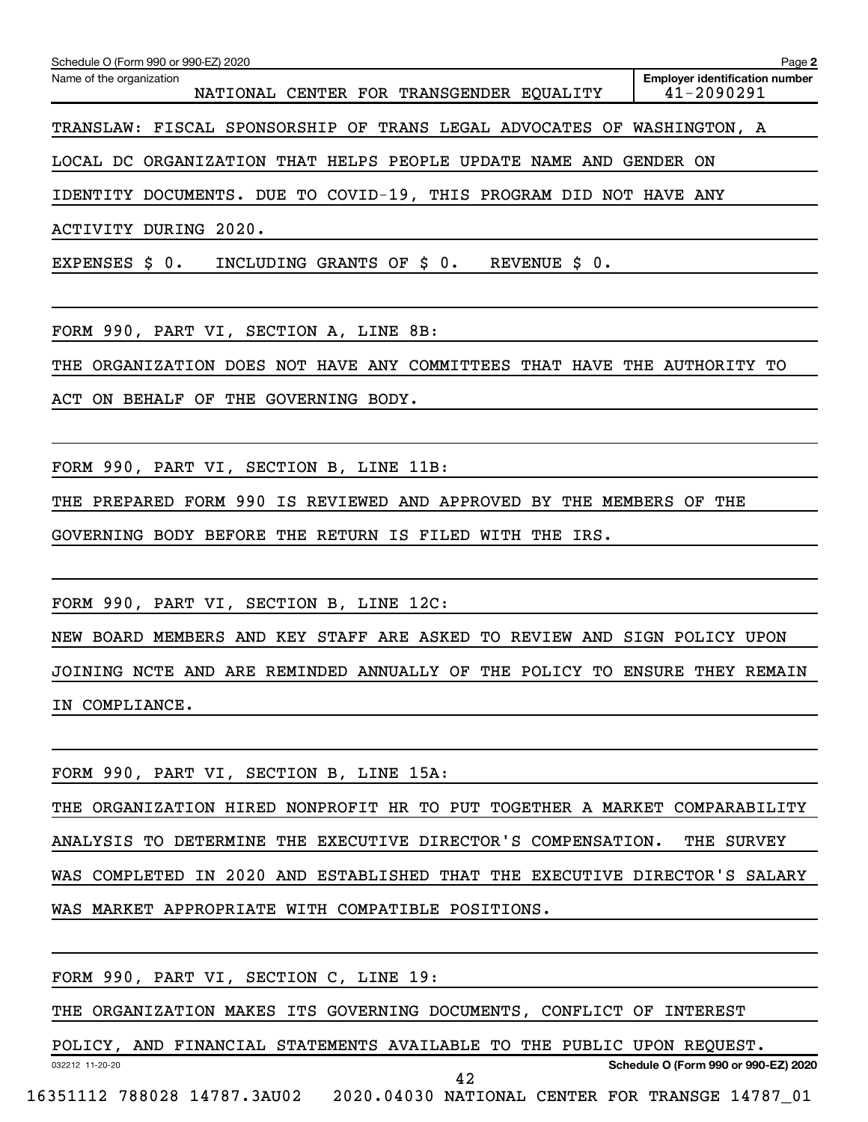| Schedule O (Form 990 or 990-EZ) 2020                                        | Page 2                                              |
|-----------------------------------------------------------------------------|-----------------------------------------------------|
| Name of the organization<br>NATIONAL CENTER FOR TRANSGENDER EQUALITY        | <b>Employer identification number</b><br>41-2090291 |
| TRANSLAW: FISCAL SPONSORSHIP OF TRANS LEGAL ADVOCATES OF WASHINGTON, A      |                                                     |
| LOCAL DC ORGANIZATION THAT HELPS PEOPLE UPDATE NAME AND                     | GENDER ON                                           |
| IDENTITY DOCUMENTS. DUE TO COVID-19, THIS PROGRAM DID NOT HAVE ANY          |                                                     |
| <b>ACTIVITY DURING 2020.</b>                                                |                                                     |
| EXPENSES \$ 0.<br>INCLUDING GRANTS OF \$0.<br>REVENUE \$ 0.                 |                                                     |
| FORM 990, PART VI, SECTION A, LINE 8B:                                      |                                                     |
| ORGANIZATION DOES NOT HAVE ANY COMMITTEES THAT HAVE THE AUTHORITY TO<br>THE |                                                     |
| ACT<br>ON BEHALF OF THE GOVERNING BODY.                                     |                                                     |
|                                                                             |                                                     |
| FORM 990, PART VI, SECTION B, LINE 11B:                                     |                                                     |
| THE PREPARED FORM 990 IS REVIEWED AND APPROVED BY THE MEMBERS OF THE        |                                                     |
| GOVERNING BODY BEFORE THE RETURN IS FILED WITH THE IRS.                     |                                                     |
|                                                                             |                                                     |
| FORM 990, PART VI, SECTION B, LINE 12C:                                     |                                                     |
| NEW BOARD MEMBERS AND KEY STAFF ARE ASKED TO REVIEW AND SIGN POLICY UPON    |                                                     |
| JOINING NCTE AND ARE REMINDED ANNUALLY OF THE POLICY TO ENSURE THEY REMAIN  |                                                     |
| IN COMPLIANCE.                                                              |                                                     |
|                                                                             |                                                     |
| FORM 990, PART VI, SECTION B, LINE 15A:                                     |                                                     |
| THE ORGANIZATION HIRED NONPROFIT HR TO PUT TOGETHER A MARKET COMPARABILITY  |                                                     |
| ANALYSIS TO DETERMINE THE EXECUTIVE DIRECTOR'S COMPENSATION.                | THE SURVEY                                          |
| WAS COMPLETED IN 2020 AND ESTABLISHED THAT THE EXECUTIVE DIRECTOR'S SALARY  |                                                     |
| WAS MARKET APPROPRIATE WITH COMPATIBLE POSITIONS.                           |                                                     |
|                                                                             |                                                     |
| FORM 990, PART VI, SECTION C, LINE 19:                                      |                                                     |

THE ORGANIZATION MAKES ITS GOVERNING DOCUMENTS, CONFLICT OF INTEREST

032212 11-20-20 **Schedule O (Form 990 or 990-EZ) 2020** POLICY, AND FINANCIAL STATEMENTS AVAILABLE TO THE PUBLIC UPON REQUEST. 16351112 788028 14787.3AU02 2020.04030 NATIONAL CENTER FOR TRANSGE 14787\_01 42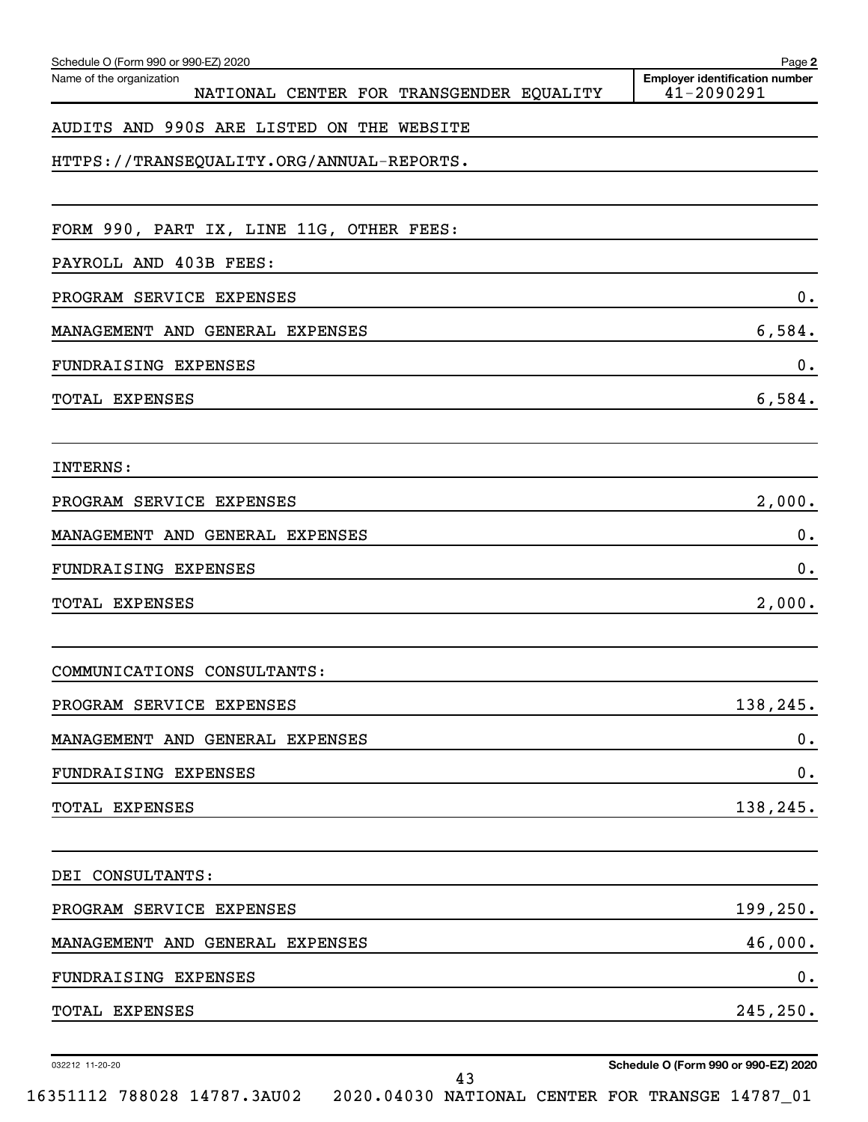| Schedule O (Form 990 or 990-EZ) 2020                                 | Page 2                                              |
|----------------------------------------------------------------------|-----------------------------------------------------|
| Name of the organization<br>NATIONAL CENTER FOR TRANSGENDER EQUALITY | <b>Employer identification number</b><br>41-2090291 |
| AUDITS AND 990S ARE LISTED ON THE WEBSITE                            |                                                     |
| HTTPS://TRANSEQUALITY.ORG/ANNUAL-REPORTS.                            |                                                     |
|                                                                      |                                                     |
| FORM 990, PART IX, LINE 11G, OTHER FEES:                             |                                                     |
| PAYROLL AND 403B FEES:                                               |                                                     |
| PROGRAM SERVICE EXPENSES                                             | 0.                                                  |
| MANAGEMENT AND GENERAL EXPENSES                                      | 6,584.                                              |
| FUNDRAISING EXPENSES                                                 | $0$ .                                               |
| TOTAL EXPENSES                                                       | 6,584.                                              |
| INTERNS:                                                             |                                                     |
| PROGRAM SERVICE EXPENSES                                             | 2,000.                                              |
| MANAGEMENT AND GENERAL EXPENSES                                      | 0.                                                  |
| FUNDRAISING EXPENSES                                                 | 0.                                                  |
| TOTAL EXPENSES                                                       | 2,000.                                              |
| COMMUNICATIONS CONSULTANTS:                                          |                                                     |
| PROGRAM SERVICE EXPENSES                                             | 138,245.                                            |
| MANAGEMENT AND GENERAL EXPENSES                                      | 0.                                                  |
| FUNDRAISING EXPENSES                                                 | 0.                                                  |
| TOTAL EXPENSES                                                       | 138,245.                                            |
| DEI CONSULTANTS:                                                     |                                                     |
| PROGRAM SERVICE EXPENSES                                             | 199, 250.                                           |
| MANAGEMENT AND GENERAL EXPENSES                                      | 46,000.                                             |
| FUNDRAISING EXPENSES                                                 | 0.                                                  |
| TOTAL EXPENSES                                                       | 245, 250.                                           |
| 032212 11-20-20                                                      | Schedule O (Form 990 or 990-EZ) 2020                |

**Schedule O (Form 990 or 990-EZ) 2020**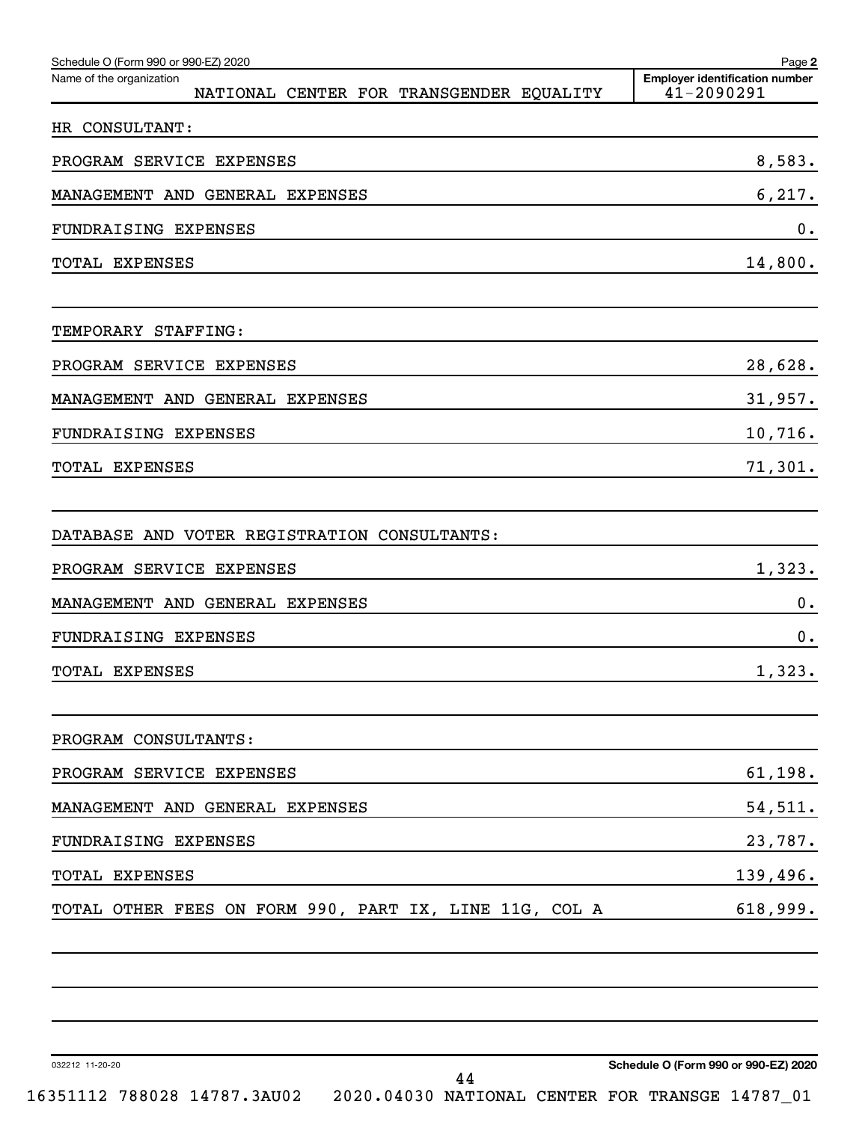| Schedule O (Form 990 or 990-EZ) 2020<br>Name of the organization<br>NATIONAL CENTER FOR TRANSGENDER EQUALITY | Page 2<br><b>Employer identification number</b><br>41-2090291 |
|--------------------------------------------------------------------------------------------------------------|---------------------------------------------------------------|
| HR CONSULTANT:                                                                                               |                                                               |
| PROGRAM SERVICE EXPENSES                                                                                     | 8,583.                                                        |
| MANAGEMENT AND GENERAL EXPENSES                                                                              | 6, 217.                                                       |
| <b>FUNDRAISING EXPENSES</b>                                                                                  | 0.                                                            |
| TOTAL EXPENSES                                                                                               | 14,800.                                                       |
| TEMPORARY STAFFING:                                                                                          |                                                               |
| PROGRAM SERVICE EXPENSES                                                                                     | 28,628.                                                       |
| MANAGEMENT AND GENERAL EXPENSES                                                                              | 31,957.                                                       |
| <b>FUNDRAISING EXPENSES</b>                                                                                  | 10,716.                                                       |
| TOTAL EXPENSES                                                                                               | 71,301.                                                       |
| DATABASE AND VOTER REGISTRATION CONSULTANTS:                                                                 |                                                               |
| PROGRAM SERVICE EXPENSES                                                                                     | 1,323.                                                        |
| MANAGEMENT AND GENERAL EXPENSES                                                                              | Ο.                                                            |
| <b>FUNDRAISING EXPENSES</b>                                                                                  | О.                                                            |
| TOTAL EXPENSES                                                                                               | 1,323.                                                        |
| PROGRAM CONSULTANTS:                                                                                         |                                                               |
| PROGRAM SERVICE EXPENSES                                                                                     | 61, 198.                                                      |
| MANAGEMENT AND GENERAL EXPENSES                                                                              | 54,511.                                                       |
| FUNDRAISING EXPENSES                                                                                         | 23,787.                                                       |
| TOTAL EXPENSES                                                                                               | 139,496.                                                      |
| TOTAL OTHER FEES ON FORM 990, PART IX, LINE 11G, COL A                                                       | 618,999.                                                      |
|                                                                                                              |                                                               |
| 032212 11-20-20<br>44<br>16351112 788028 14787.3AU02 2020.04030 NATIONAL CENTER FOR TRANSGE 14787_01         | Schedule O (Form 990 or 990-EZ) 2020                          |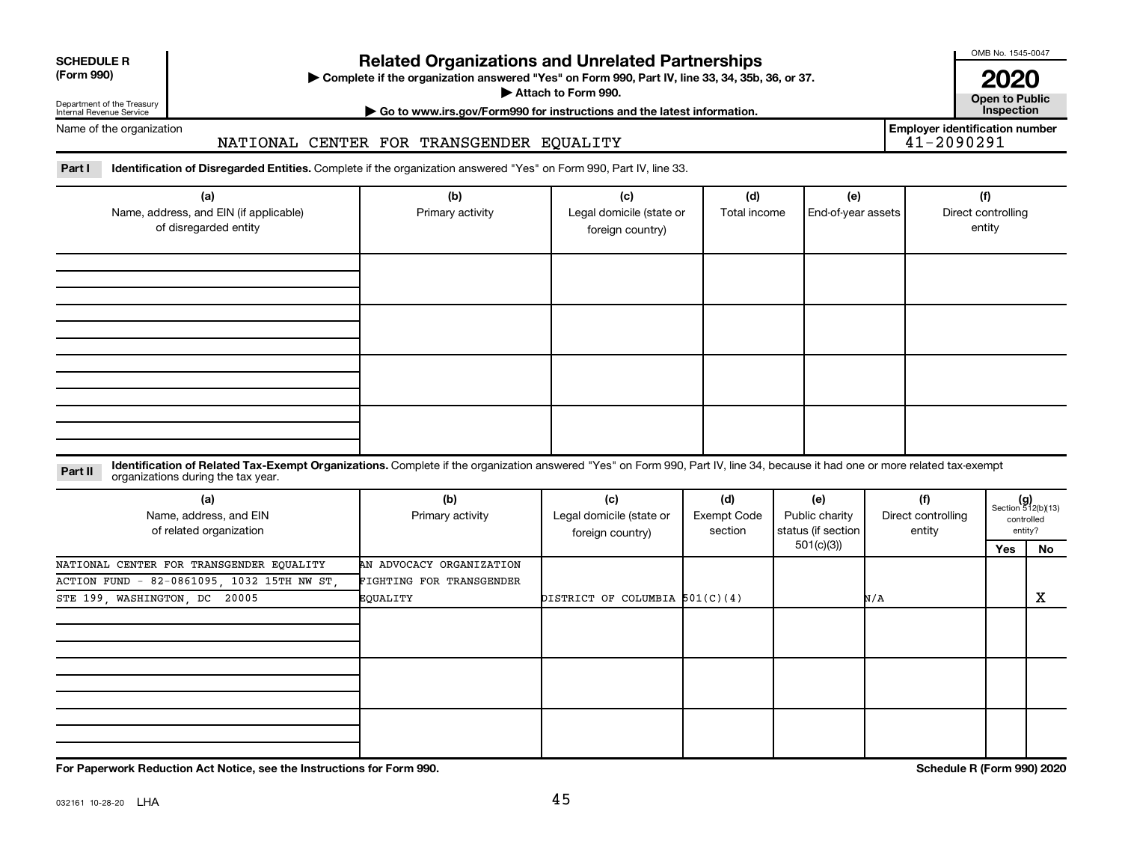| <b>SCHEDULE R</b> |  |
|-------------------|--|
|                   |  |

### **Related Organizations and Unrelated Partnerships**

**(Form 990) Complete if the organization answered "Yes" on Form 990, Part IV, line 33, 34, 35b, 36, or 37.** |

■ Attach to Form 990. **Dependent of Attach to Form 990.** Open to Public

OMB No. 1545-0047

**| Go to www.irs.gov/Form990 for instructions and the latest information. Inspection 2020**<br>Open to Public

Internal Revenue Service Name of the organization

Department of the Treasury

# NATIONAL CENTER FOR TRANSGENDER EQUALITY

**Employer identification number**

Part I ldentification of Disregarded Entities. Complete if the organization answered "Yes" on Form 990, Part IV, line 33.

| (a)<br>Name, address, and EIN (if applicable)<br>of disregarded entity | (b)<br>Primary activity | (c)<br>Legal domicile (state or<br>foreign country) | (d)<br>Total income | (e)<br>End-of-year assets | (f)<br>Direct controlling<br>entity |
|------------------------------------------------------------------------|-------------------------|-----------------------------------------------------|---------------------|---------------------------|-------------------------------------|
|                                                                        |                         |                                                     |                     |                           |                                     |
|                                                                        |                         |                                                     |                     |                           |                                     |
|                                                                        |                         |                                                     |                     |                           |                                     |
|                                                                        |                         |                                                     |                     |                           |                                     |

#### **Part II** Identification of Related Tax-Exempt Organizations. Complete if the organization answered "Yes" on Form 990, Part IV, line 34, because it had one or more related tax-exempt<br>Part II acconizations during the tax ye organizations during the tax year.

| (a)<br>Name, address, and EIN<br>of related organization | (b)<br>Primary activity  | (c)<br>Legal domicile (state or<br>foreign country) | (d)<br>Exempt Code<br>section | (e)<br>Public charity<br>status (if section | (f)<br>Direct controlling<br>entity | $(g)$<br>Section 512(b)(13) | controlled<br>entity? |
|----------------------------------------------------------|--------------------------|-----------------------------------------------------|-------------------------------|---------------------------------------------|-------------------------------------|-----------------------------|-----------------------|
|                                                          |                          |                                                     |                               | 501(c)(3))                                  |                                     | Yes                         | No                    |
| NATIONAL CENTER FOR TRANSGENDER EQUALITY                 | AN ADVOCACY ORGANIZATION |                                                     |                               |                                             |                                     |                             |                       |
| ACTION FUND - 82-0861095, 1032 15TH NW ST,               | FIGHTING FOR TRANSGENDER |                                                     |                               |                                             |                                     |                             |                       |
| STE 199, WASHINGTON, DC 20005                            | EQUALITY                 | DISTRICT OF COLUMBIA $501(C)(4)$                    |                               |                                             | N/A                                 |                             | х                     |
|                                                          |                          |                                                     |                               |                                             |                                     |                             |                       |
|                                                          |                          |                                                     |                               |                                             |                                     |                             |                       |
|                                                          |                          |                                                     |                               |                                             |                                     |                             |                       |

**For Paperwork Reduction Act Notice, see the Instructions for Form 990. Schedule R (Form 990) 2020**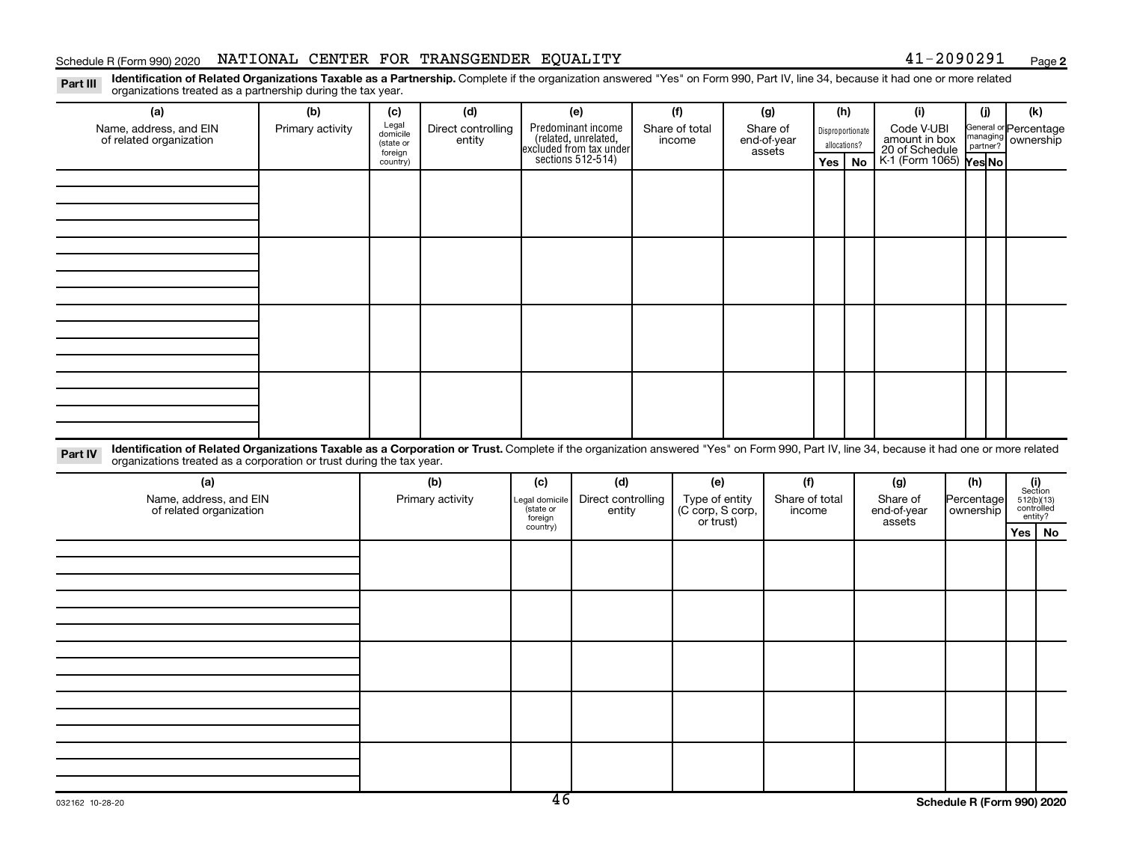#### Schedule R (Form 990) 2020 NATIONAL CENTER FOR TRANSGENDER EQUALITY  $_{\rm{200\,keq}$

**2**

Part III Identification of Related Organizations Taxable as a Partnership. Complete if the organization answered "Yes" on Form 990, Part IV, line 34, because it had one or more related<br>Read to the organizations tracted as organizations treated as a partnership during the tax year.

| (a)<br>Name, address, and EIN<br>of related organization                                                                                                                                                                                                                    | (b)<br>Primary activity | (c)<br>Legal<br>domicile<br>(state or<br>foreign<br>country) | (d)<br>Direct controlling<br>entity |                                                           | (e)<br>Predominant income<br>(related, unrelated,<br>excluded from tax under<br>sections 512-514) |  | (f)<br>Share of total<br>income                        |  | (g)<br>Share of<br>end-of-year<br>assets | allocations?<br>Yes | (h)<br>Disproportionate<br><b>No</b> | (i)<br>Code V-UBI<br>amount in box<br>20 of Schedule<br>K-1 (Form 1065) Yes No | (i)<br>General or Percentage<br>managing ownership | (k)                                                     |  |
|-----------------------------------------------------------------------------------------------------------------------------------------------------------------------------------------------------------------------------------------------------------------------------|-------------------------|--------------------------------------------------------------|-------------------------------------|-----------------------------------------------------------|---------------------------------------------------------------------------------------------------|--|--------------------------------------------------------|--|------------------------------------------|---------------------|--------------------------------------|--------------------------------------------------------------------------------|----------------------------------------------------|---------------------------------------------------------|--|
|                                                                                                                                                                                                                                                                             |                         |                                                              |                                     |                                                           |                                                                                                   |  |                                                        |  |                                          |                     |                                      |                                                                                |                                                    |                                                         |  |
|                                                                                                                                                                                                                                                                             |                         |                                                              |                                     |                                                           |                                                                                                   |  |                                                        |  |                                          |                     |                                      |                                                                                |                                                    |                                                         |  |
|                                                                                                                                                                                                                                                                             |                         |                                                              |                                     |                                                           |                                                                                                   |  |                                                        |  |                                          |                     |                                      |                                                                                |                                                    |                                                         |  |
|                                                                                                                                                                                                                                                                             |                         |                                                              |                                     |                                                           |                                                                                                   |  |                                                        |  |                                          |                     |                                      |                                                                                |                                                    |                                                         |  |
| Identification of Related Organizations Taxable as a Corporation or Trust. Complete if the organization answered "Yes" on Form 990, Part IV, line 34, because it had one or more related<br>Part IV<br>organizations treated as a corporation or trust during the tax year. |                         |                                                              |                                     |                                                           |                                                                                                   |  |                                                        |  |                                          |                     |                                      |                                                                                |                                                    |                                                         |  |
| (a)<br>Name, address, and EIN<br>of related organization                                                                                                                                                                                                                    |                         |                                                              | (b)<br>Primary activity             | (c)<br>Legal domicile<br>(state or<br>foreign<br>country) | (d)<br>Direct controlling<br>entity                                                               |  | (e)<br>Type of entity<br>(C corp, S corp,<br>or trust) |  | (f)<br>Share of total<br>income          |                     |                                      | (g)<br>Share of<br>end-of-year<br>assets                                       | (h)<br>Percentage<br>ownership                     | $(i)$<br>Section<br>512(b)(13)<br>controlled<br>entity? |  |
|                                                                                                                                                                                                                                                                             |                         |                                                              |                                     |                                                           |                                                                                                   |  |                                                        |  |                                          |                     |                                      |                                                                                |                                                    | Yes   No                                                |  |
|                                                                                                                                                                                                                                                                             |                         |                                                              |                                     |                                                           |                                                                                                   |  |                                                        |  |                                          |                     |                                      |                                                                                |                                                    |                                                         |  |
|                                                                                                                                                                                                                                                                             |                         |                                                              |                                     |                                                           |                                                                                                   |  |                                                        |  |                                          |                     |                                      |                                                                                |                                                    |                                                         |  |
|                                                                                                                                                                                                                                                                             |                         |                                                              |                                     |                                                           |                                                                                                   |  |                                                        |  |                                          |                     |                                      |                                                                                |                                                    |                                                         |  |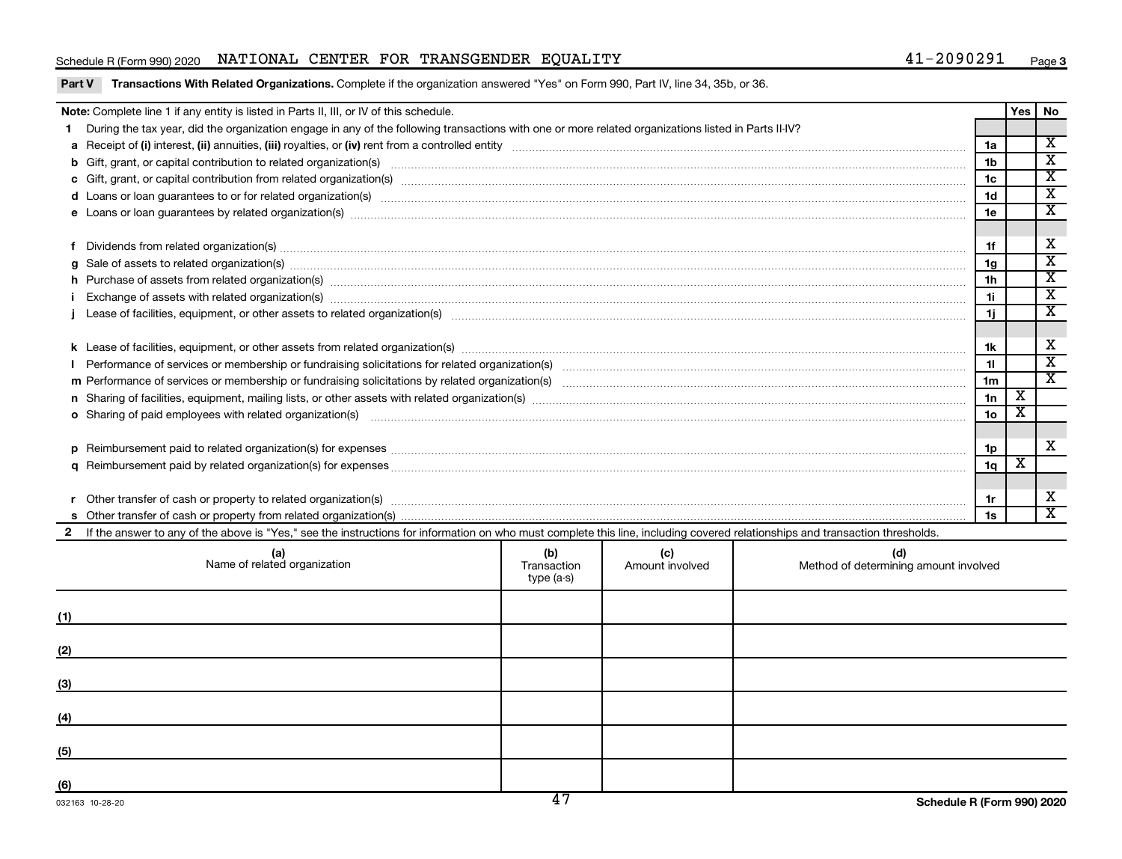#### Schedule R (Form 990) 2020 NATIONAL CENTER FOR TRANSGENDER EQUALITY  $_{\rm{200\,keq}$

|   | Note: Complete line 1 if any entity is listed in Parts II, III, or IV of this schedule.                                                                                                                                        |                                  |                        |                                              |                                  | Yes                     | No                                                 |  |  |  |
|---|--------------------------------------------------------------------------------------------------------------------------------------------------------------------------------------------------------------------------------|----------------------------------|------------------------|----------------------------------------------|----------------------------------|-------------------------|----------------------------------------------------|--|--|--|
|   | During the tax year, did the organization engage in any of the following transactions with one or more related organizations listed in Parts II-IV?                                                                            |                                  |                        |                                              |                                  |                         |                                                    |  |  |  |
|   |                                                                                                                                                                                                                                |                                  |                        |                                              |                                  |                         |                                                    |  |  |  |
|   | b Gift, grant, or capital contribution to related organization(s) manufactured contains and contribution to related organization(s) manufactured contribution to related organization(s) manufactured contribution and contrib |                                  |                        |                                              |                                  |                         |                                                    |  |  |  |
|   |                                                                                                                                                                                                                                |                                  |                        |                                              | 1 <sub>b</sub><br>1 <sub>c</sub> |                         | $\overline{\mathbf{x}}$<br>$\overline{\mathbf{x}}$ |  |  |  |
|   |                                                                                                                                                                                                                                |                                  |                        |                                              | 1d                               |                         | $\overline{\mathtt{x}}$                            |  |  |  |
|   |                                                                                                                                                                                                                                |                                  |                        |                                              | 1e                               |                         | $\overline{\texttt{x}}$                            |  |  |  |
|   |                                                                                                                                                                                                                                |                                  |                        |                                              |                                  |                         |                                                    |  |  |  |
|   | Dividends from related organization(s) machinesis and contract and contract and contract and contract and contract and contract and contract and contract and contract and contract and contract and contract and contract and |                                  |                        |                                              | 1f                               |                         | X                                                  |  |  |  |
| a | Sale of assets to related organization(s) material contents and content to the content of the content of the content of the content of the content of the content of the content of the content of the content of the content  |                                  |                        |                                              | 1 <sub>q</sub>                   |                         | $\overline{\textbf{x}}$                            |  |  |  |
|   | h Purchase of assets from related organization(s) manufactured and content to content the content of assets from related organization(s) manufactured and content and content and content of the content of the content of the |                                  |                        |                                              | 1 <sub>h</sub>                   |                         | $\overline{\texttt{x}}$                            |  |  |  |
|   | Exchange of assets with related organization(s) www.andron.com/www.andron.com/www.andron.com/www.andron.com/www.andron.com/www.andron.com/www.andron.com/www.andron.com/www.andron.com/www.andron.com/www.andron.com/www.andro |                                  |                        |                                              | 1i.                              |                         | $\overline{\texttt{x}}$<br>$\overline{\texttt{x}}$ |  |  |  |
|   |                                                                                                                                                                                                                                |                                  |                        |                                              |                                  |                         |                                                    |  |  |  |
|   |                                                                                                                                                                                                                                |                                  |                        |                                              |                                  |                         |                                                    |  |  |  |
|   |                                                                                                                                                                                                                                |                                  |                        |                                              |                                  |                         |                                                    |  |  |  |
|   |                                                                                                                                                                                                                                |                                  |                        |                                              | 11                               |                         | $\overline{\mathbf{x}}$                            |  |  |  |
|   |                                                                                                                                                                                                                                |                                  |                        |                                              | 1 <sub>m</sub>                   |                         | $\overline{\mathbf{x}}$                            |  |  |  |
|   |                                                                                                                                                                                                                                |                                  |                        |                                              | 1n                               | X                       |                                                    |  |  |  |
|   | o Sharing of paid employees with related organization(s) manufactured and content to the content of the content of the content of the content of the content of the content of the content of the content of the content of th |                                  |                        |                                              | 1о                               | $\overline{\textbf{x}}$ |                                                    |  |  |  |
|   |                                                                                                                                                                                                                                |                                  |                        |                                              |                                  |                         |                                                    |  |  |  |
| D |                                                                                                                                                                                                                                |                                  |                        |                                              | 1p                               |                         | x                                                  |  |  |  |
|   |                                                                                                                                                                                                                                |                                  |                        |                                              | 1q                               | $\overline{\textbf{X}}$ |                                                    |  |  |  |
|   |                                                                                                                                                                                                                                |                                  |                        |                                              |                                  |                         |                                                    |  |  |  |
|   | Other transfer of cash or property to related organization(s) www.communically.communically content transfer of cash or property to related organization(s)                                                                    |                                  |                        |                                              | 1r                               |                         | х                                                  |  |  |  |
|   |                                                                                                                                                                                                                                |                                  |                        |                                              | 1s                               |                         | $\overline{\mathbf{X}}$                            |  |  |  |
|   | If the answer to any of the above is "Yes," see the instructions for information on who must complete this line, including covered relationships and transaction thresholds.                                                   |                                  |                        |                                              |                                  |                         |                                                    |  |  |  |
|   | (a)<br>Name of related organization                                                                                                                                                                                            | (b)<br>Transaction<br>type (a-s) | (c)<br>Amount involved | (d)<br>Method of determining amount involved |                                  |                         |                                                    |  |  |  |
|   |                                                                                                                                                                                                                                |                                  |                        |                                              |                                  |                         |                                                    |  |  |  |

| (1) |  |  |
|-----|--|--|
| (2) |  |  |
| (3) |  |  |
|     |  |  |
| (4) |  |  |
| (5) |  |  |
| (6) |  |  |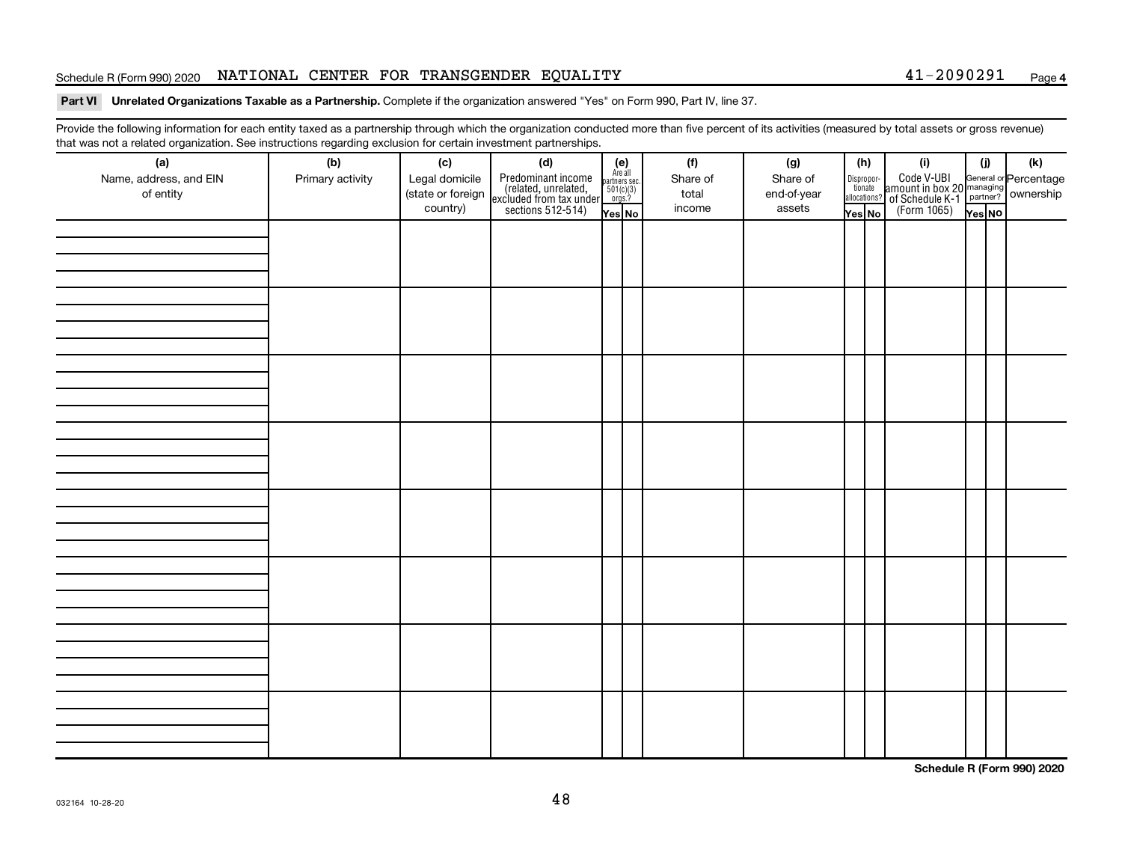#### Schedule R (Form 990) 2020 NATIONAL CENTER FOR TRANSGENDER EQUALITY  $_{\rm{200\,keq}$

#### **4**

#### Part VI Unrelated Organizations Taxable as a Partnership. Complete if the organization answered "Yes" on Form 990, Part IV, line 37.

Provide the following information for each entity taxed as a partnership through which the organization conducted more than five percent of its activities (measured by total assets or gross revenue) that was not a related organization. See instructions regarding exclusion for certain investment partnerships.

| (a)<br>Name, address, and EIN<br>of entity | - - -<br>- محب محب المنابع المراجع المراجع المراجع المراجع المراجع المراجع المراجع المراجع المراجع المراجع ا<br>(b)<br>Primary activity | (c)<br>Legal domicile<br>(state or foreign<br>country) | (d)<br>Predominant income<br>(related, unrelated,<br>excluded from tax under<br>sections 512-514) | (e)<br>Are all<br>partners sec.<br>$501(c)(3)$<br>orgs.?<br>Yes No | (f)<br>Share of<br>total<br>income | (g)<br>Share of<br>end-of-year<br>assets | (h)<br>Dispropor-<br>tionate<br>allocations?<br>Yes No | (i)<br>Code V-UBI<br>amount in box 20 managing<br>of Schedule K-1<br>(Form 1065)<br>ves No | (i)<br>Yes NO | (k) |
|--------------------------------------------|-----------------------------------------------------------------------------------------------------------------------------------------|--------------------------------------------------------|---------------------------------------------------------------------------------------------------|--------------------------------------------------------------------|------------------------------------|------------------------------------------|--------------------------------------------------------|--------------------------------------------------------------------------------------------|---------------|-----|
|                                            |                                                                                                                                         |                                                        |                                                                                                   |                                                                    |                                    |                                          |                                                        |                                                                                            |               |     |
|                                            |                                                                                                                                         |                                                        |                                                                                                   |                                                                    |                                    |                                          |                                                        |                                                                                            |               |     |
|                                            |                                                                                                                                         |                                                        |                                                                                                   |                                                                    |                                    |                                          |                                                        |                                                                                            |               |     |
|                                            |                                                                                                                                         |                                                        |                                                                                                   |                                                                    |                                    |                                          |                                                        |                                                                                            |               |     |
|                                            |                                                                                                                                         |                                                        |                                                                                                   |                                                                    |                                    |                                          |                                                        |                                                                                            |               |     |
|                                            |                                                                                                                                         |                                                        |                                                                                                   |                                                                    |                                    |                                          |                                                        |                                                                                            |               |     |
|                                            |                                                                                                                                         |                                                        |                                                                                                   |                                                                    |                                    |                                          |                                                        |                                                                                            |               |     |
|                                            |                                                                                                                                         |                                                        |                                                                                                   |                                                                    |                                    |                                          |                                                        |                                                                                            |               |     |

**Schedule R (Form 990) 2020**